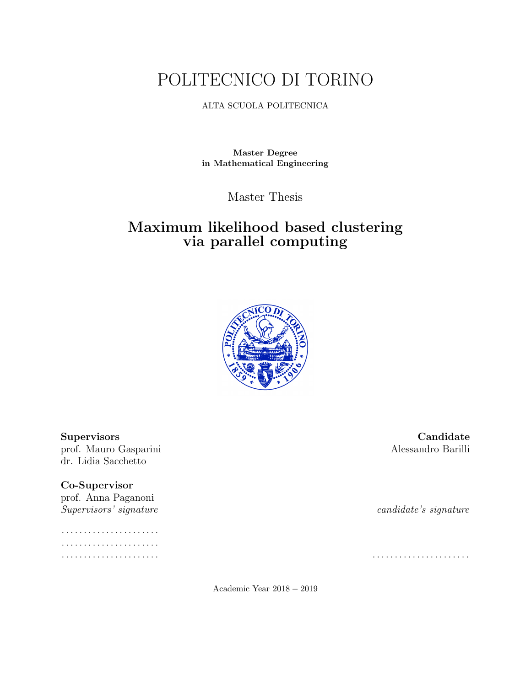# POLITECNICO DI TORINO

#### ALTA SCUOLA POLITECNICA

Master Degree in Mathematical Engineering

Master Thesis

## Maximum likelihood based clustering via parallel computing



prof. Mauro Gasparini Alessandro Barilli dr. Lidia Sacchetto

## Co-Supervisor

prof. Anna Paganoni Supervisors' signature candidate's signature

. . . . . . . . . . . . . . . . . . . . . . . . . . . . . . . . . . . . . . . . . . . . . . . . . . . . . . . . . . . . . . . . . . . . . . . . . . . . . . . . . . . . . . . .

Supervisors Candidate

Academic Year 2018 − 2019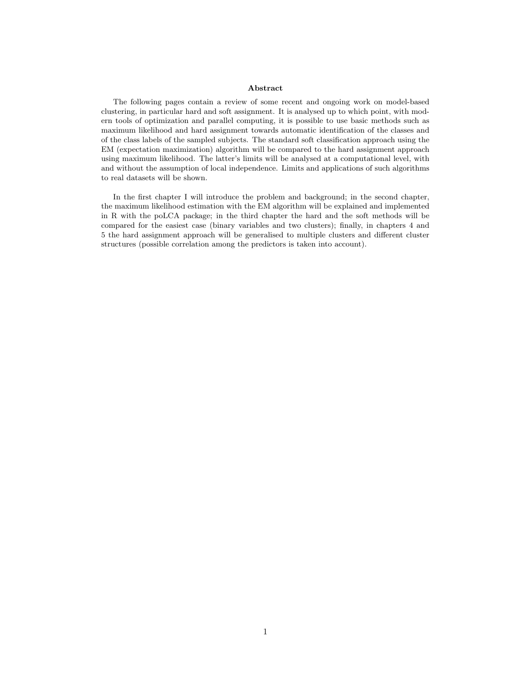#### Abstract

The following pages contain a review of some recent and ongoing work on model-based clustering, in particular hard and soft assignment. It is analysed up to which point, with modern tools of optimization and parallel computing, it is possible to use basic methods such as maximum likelihood and hard assignment towards automatic identification of the classes and of the class labels of the sampled subjects. The standard soft classification approach using the EM (expectation maximization) algorithm will be compared to the hard assignment approach using maximum likelihood. The latter's limits will be analysed at a computational level, with and without the assumption of local independence. Limits and applications of such algorithms to real datasets will be shown.

In the first chapter I will introduce the problem and background; in the second chapter, the maximum likelihood estimation with the EM algorithm will be explained and implemented in R with the poLCA package; in the third chapter the hard and the soft methods will be compared for the easiest case (binary variables and two clusters); finally, in chapters 4 and 5 the hard assignment approach will be generalised to multiple clusters and different cluster structures (possible correlation among the predictors is taken into account).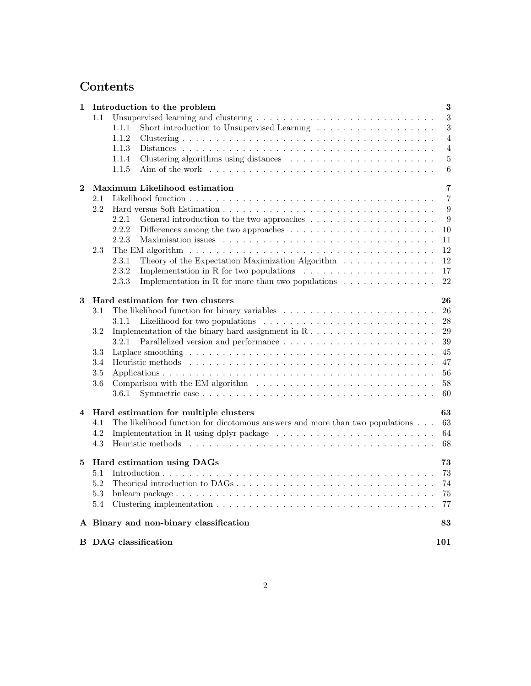## Contents

| Introduction to the problem<br>1 |                                    |                                                                                                               |                     |  |  |  |  |  |
|----------------------------------|------------------------------------|---------------------------------------------------------------------------------------------------------------|---------------------|--|--|--|--|--|
|                                  | 1.1                                |                                                                                                               |                     |  |  |  |  |  |
|                                  |                                    | Short introduction to Unsupervised Learning<br>1.1.1                                                          | $\sqrt{3}$          |  |  |  |  |  |
|                                  |                                    | 1.1.2                                                                                                         | $\overline{4}$      |  |  |  |  |  |
|                                  |                                    | 1.1.3                                                                                                         | $\overline{4}$      |  |  |  |  |  |
|                                  |                                    | 1.1.4                                                                                                         | $\overline{5}$      |  |  |  |  |  |
|                                  |                                    | 1.1.5                                                                                                         | $\,6$               |  |  |  |  |  |
| $\bf{2}$                         | Maximum Likelihood estimation      |                                                                                                               |                     |  |  |  |  |  |
|                                  | 2.1                                |                                                                                                               | 7<br>$\overline{7}$ |  |  |  |  |  |
|                                  | 2.2                                |                                                                                                               | $\boldsymbol{9}$    |  |  |  |  |  |
|                                  |                                    | 2.2.1                                                                                                         | $\boldsymbol{9}$    |  |  |  |  |  |
|                                  |                                    | 2.2.2<br>Differences among the two approaches $\dots \dots \dots \dots \dots \dots \dots \dots$               | 10                  |  |  |  |  |  |
|                                  |                                    | 2.2.3                                                                                                         | 11                  |  |  |  |  |  |
|                                  | 2.3                                | The EM algorithm $\ldots \ldots \ldots \ldots \ldots \ldots \ldots \ldots \ldots \ldots \ldots \ldots \ldots$ | 12                  |  |  |  |  |  |
|                                  |                                    | 2.3.1<br>Theory of the Expectation Maximization Algorithm                                                     | 12                  |  |  |  |  |  |
|                                  |                                    | 2.3.2<br>Implementation in R for two populations $\ldots \ldots \ldots \ldots \ldots \ldots$                  | 17                  |  |  |  |  |  |
|                                  |                                    | 2.3.3<br>Implementation in R for more than two populations $\ldots \ldots \ldots \ldots$                      | 22                  |  |  |  |  |  |
| 3                                |                                    | Hard estimation for two clusters                                                                              | 26                  |  |  |  |  |  |
|                                  | 3.1                                | The likelihood function for binary variables $\ldots \ldots \ldots \ldots \ldots \ldots \ldots \ldots$        | 26                  |  |  |  |  |  |
|                                  |                                    | 3.1.1                                                                                                         | $28\,$              |  |  |  |  |  |
|                                  | 3.2                                |                                                                                                               | $29\,$              |  |  |  |  |  |
|                                  |                                    | 3.2.1                                                                                                         | 39                  |  |  |  |  |  |
|                                  | 3.3                                |                                                                                                               | 45                  |  |  |  |  |  |
|                                  | 3.4                                |                                                                                                               |                     |  |  |  |  |  |
|                                  | $3.5\,$                            |                                                                                                               | 56                  |  |  |  |  |  |
|                                  | 3.6                                |                                                                                                               |                     |  |  |  |  |  |
|                                  |                                    | 60<br>3.6.1                                                                                                   |                     |  |  |  |  |  |
| $\overline{\mathbf{4}}$          |                                    | Hard estimation for multiple clusters                                                                         | 63                  |  |  |  |  |  |
|                                  | 4.1                                | The likelihood function for dicotomous answers and more than two populations                                  | 63                  |  |  |  |  |  |
|                                  | 4.2                                | Implementation in R using dplyr package $\dots \dots \dots \dots \dots \dots \dots \dots \dots \dots$         | 64                  |  |  |  |  |  |
|                                  | 4.3                                |                                                                                                               | 68                  |  |  |  |  |  |
| 5                                | 73<br>Hard estimation using DAGs   |                                                                                                               |                     |  |  |  |  |  |
|                                  | 5.1                                |                                                                                                               | 73                  |  |  |  |  |  |
|                                  | 5.2                                | Theorical introduction to DAGs                                                                                | 74                  |  |  |  |  |  |
|                                  | $5.3\,$                            |                                                                                                               | 75                  |  |  |  |  |  |
|                                  | 5.4                                |                                                                                                               | 77                  |  |  |  |  |  |
|                                  |                                    | A Binary and non-binary classification<br>83                                                                  |                     |  |  |  |  |  |
|                                  | <b>B</b> DAG classification<br>101 |                                                                                                               |                     |  |  |  |  |  |
|                                  |                                    |                                                                                                               |                     |  |  |  |  |  |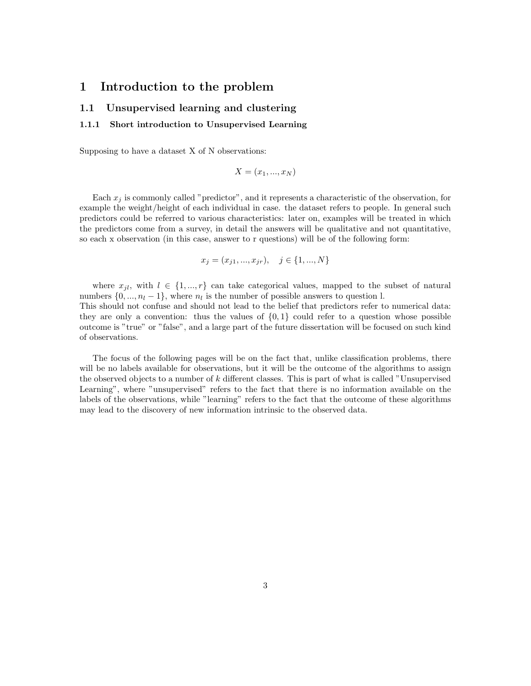#### 1 Introduction to the problem

#### 1.1 Unsupervised learning and clustering

#### 1.1.1 Short introduction to Unsupervised Learning

Supposing to have a dataset X of N observations:

$$
X = (x_1, \ldots, x_N)
$$

Each  $x_j$  is commonly called "predictor", and it represents a characteristic of the observation, for example the weight/height of each individual in case. the dataset refers to people. In general such predictors could be referred to various characteristics: later on, examples will be treated in which the predictors come from a survey, in detail the answers will be qualitative and not quantitative, so each x observation (in this case, answer to r questions) will be of the following form:

$$
x_j = (x_{j1}, ..., x_{jr}), \quad j \in \{1, ..., N\}
$$

where  $x_{jl}$ , with  $l \in \{1, ..., r\}$  can take categorical values, mapped to the subset of natural numbers  $\{0, ..., n_l - 1\}$ , where  $n_l$  is the number of possible answers to question l.

This should not confuse and should not lead to the belief that predictors refer to numerical data: they are only a convention: thus the values of  $\{0,1\}$  could refer to a question whose possible outcome is "true" or "false", and a large part of the future dissertation will be focused on such kind of observations.

The focus of the following pages will be on the fact that, unlike classification problems, there will be no labels available for observations, but it will be the outcome of the algorithms to assign the observed objects to a number of k different classes. This is part of what is called "Unsupervised Learning", where "unsupervised" refers to the fact that there is no information available on the labels of the observations, while "learning" refers to the fact that the outcome of these algorithms may lead to the discovery of new information intrinsic to the observed data.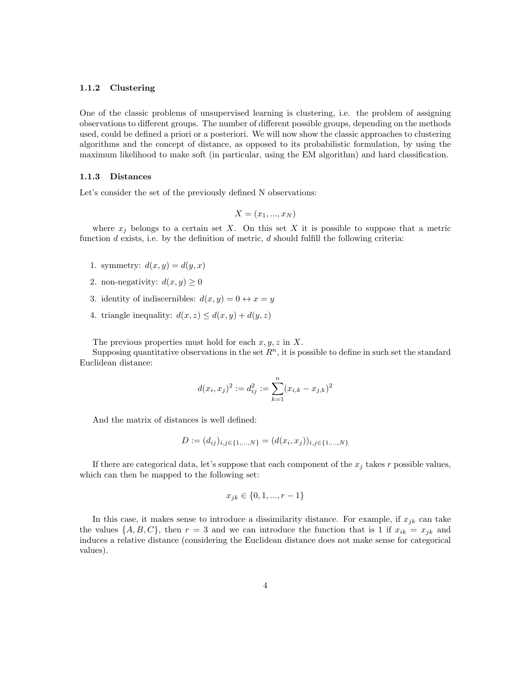#### 1.1.2 Clustering

One of the classic problems of unsupervised learning is clustering, i.e. the problem of assigning observations to different groups. The number of different possible groups, depending on the methods used, could be defined a priori or a posteriori. We will now show the classic approaches to clustering algorithms and the concept of distance, as opposed to its probabilistic formulation, by using the maximum likelihood to make soft (in particular, using the EM algorithm) and hard classification.

#### 1.1.3 Distances

Let's consider the set of the previously defined N observations:

$$
X = (x_1, \ldots, x_N)
$$

where  $x_j$  belongs to a certain set X. On this set X it is possible to suppose that a metric function  $d$  exists, i.e. by the definition of metric,  $d$  should fulfill the following criteria:

- 1. symmetry:  $d(x, y) = d(y, x)$
- 2. non-negativity:  $d(x, y) \geq 0$
- 3. identity of indiscernibles:  $d(x, y) = 0 \leftrightarrow x = y$
- 4. triangle inequality:  $d(x, z) \leq d(x, y) + d(y, z)$

The previous properties must hold for each  $x, y, z$  in X.

Supposing quantitative observations in the set  $R<sup>n</sup>$ , it is possible to define in such set the standard Euclidean distance:

$$
d(x_i, x_j)^2 := d_{ij}^2 := \sum_{k=1}^n (x_{i,k} - x_{j,k})^2
$$

And the matrix of distances is well defined:

$$
D := (d_{ij})_{i,j \in \{1,\dots,N\}} = (d(x_i, x_j))_{i,j \in \{1,\dots,N\}}
$$

If there are categorical data, let's suppose that each component of the  $x_j$  takes r possible values, which can then be mapped to the following set:

$$
x_{jk} \in \{0, 1, ..., r - 1\}
$$

In this case, it makes sense to introduce a dissimilarity distance. For example, if  $x_{jk}$  can take the values  $\{A, B, C\}$ , then  $r = 3$  and we can introduce the function that is 1 if  $x_{ik} = x_{jk}$  and induces a relative distance (considering the Euclidean distance does not make sense for categorical values).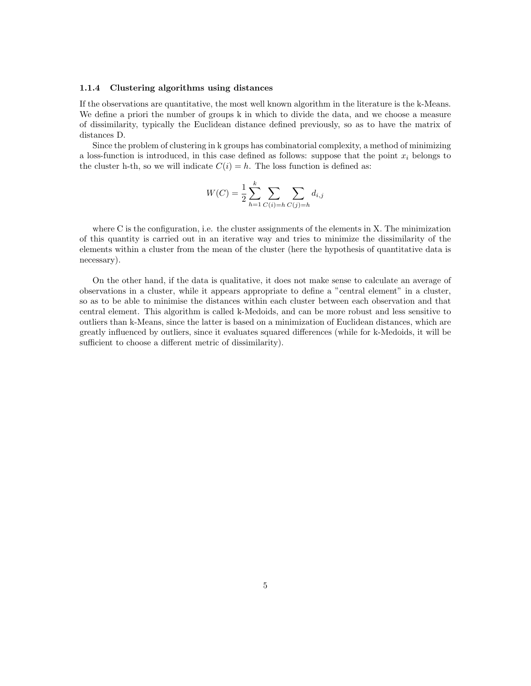#### 1.1.4 Clustering algorithms using distances

If the observations are quantitative, the most well known algorithm in the literature is the k-Means. We define a priori the number of groups k in which to divide the data, and we choose a measure of dissimilarity, typically the Euclidean distance defined previously, so as to have the matrix of distances D.

Since the problem of clustering in k groups has combinatorial complexity, a method of minimizing a loss-function is introduced, in this case defined as follows: suppose that the point  $x_i$  belongs to the cluster h-th, so we will indicate  $C(i) = h$ . The loss function is defined as:

$$
W(C) = \frac{1}{2} \sum_{h=1}^{k} \sum_{C(i)=h} \sum_{C(j)=h} d_{i,j}
$$

where C is the configuration, i.e. the cluster assignments of the elements in X. The minimization of this quantity is carried out in an iterative way and tries to minimize the dissimilarity of the elements within a cluster from the mean of the cluster (here the hypothesis of quantitative data is necessary).

On the other hand, if the data is qualitative, it does not make sense to calculate an average of observations in a cluster, while it appears appropriate to define a "central element" in a cluster, so as to be able to minimise the distances within each cluster between each observation and that central element. This algorithm is called k-Medoids, and can be more robust and less sensitive to outliers than k-Means, since the latter is based on a minimization of Euclidean distances, which are greatly influenced by outliers, since it evaluates squared differences (while for k-Medoids, it will be sufficient to choose a different metric of dissimilarity).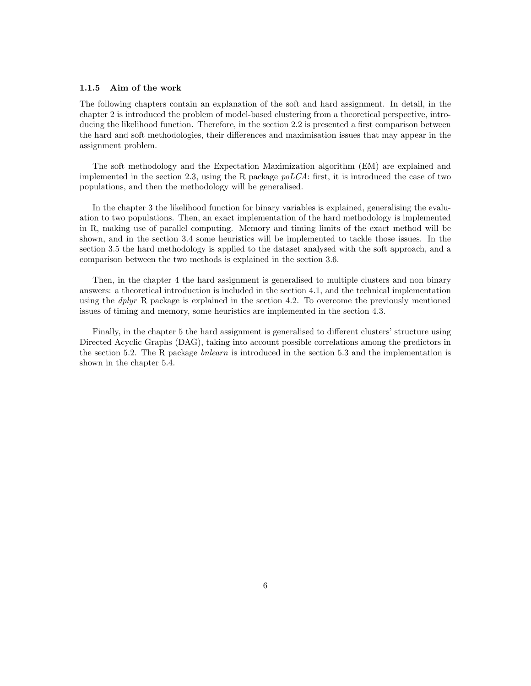#### 1.1.5 Aim of the work

The following chapters contain an explanation of the soft and hard assignment. In detail, in the chapter 2 is introduced the problem of model-based clustering from a theoretical perspective, introducing the likelihood function. Therefore, in the section 2.2 is presented a first comparison between the hard and soft methodologies, their differences and maximisation issues that may appear in the assignment problem.

The soft methodology and the Expectation Maximization algorithm (EM) are explained and implemented in the section 2.3, using the R package  $poLCA$ : first, it is introduced the case of two populations, and then the methodology will be generalised.

In the chapter 3 the likelihood function for binary variables is explained, generalising the evaluation to two populations. Then, an exact implementation of the hard methodology is implemented in R, making use of parallel computing. Memory and timing limits of the exact method will be shown, and in the section 3.4 some heuristics will be implemented to tackle those issues. In the section 3.5 the hard methodology is applied to the dataset analysed with the soft approach, and a comparison between the two methods is explained in the section 3.6.

Then, in the chapter 4 the hard assignment is generalised to multiple clusters and non binary answers: a theoretical introduction is included in the section 4.1, and the technical implementation using the  $dplyr$  R package is explained in the section 4.2. To overcome the previously mentioned issues of timing and memory, some heuristics are implemented in the section 4.3.

Finally, in the chapter 5 the hard assignment is generalised to different clusters' structure using Directed Acyclic Graphs (DAG), taking into account possible correlations among the predictors in the section 5.2. The R package bnlearn is introduced in the section 5.3 and the implementation is shown in the chapter 5.4.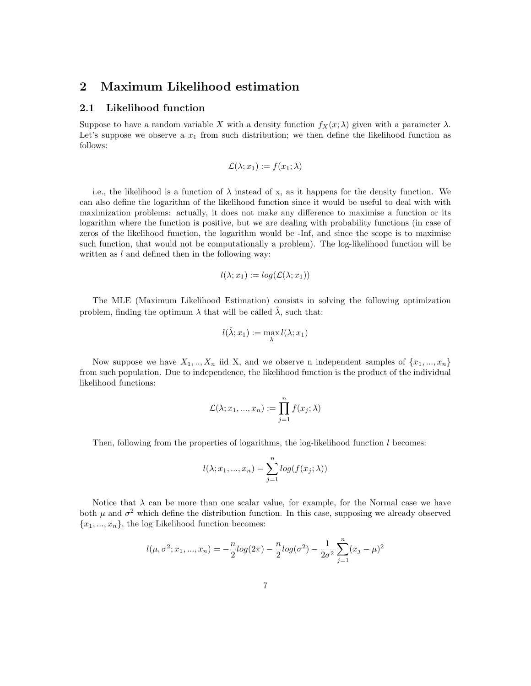### 2 Maximum Likelihood estimation

#### 2.1 Likelihood function

Suppose to have a random variable X with a density function  $f_X(x; \lambda)$  given with a parameter  $\lambda$ . Let's suppose we observe a  $x_1$  from such distribution; we then define the likelihood function as follows:

$$
\mathcal{L}(\lambda; x_1) := f(x_1; \lambda)
$$

i.e., the likelihood is a function of  $\lambda$  instead of x, as it happens for the density function. We can also define the logarithm of the likelihood function since it would be useful to deal with with maximization problems: actually, it does not make any difference to maximise a function or its logarithm where the function is positive, but we are dealing with probability functions (in case of zeros of the likelihood function, the logarithm would be -Inf, and since the scope is to maximise such function, that would not be computationally a problem). The log-likelihood function will be written as  $l$  and defined then in the following way:

$$
l(\lambda; x_1) := \log(\mathcal{L}(\lambda; x_1))
$$

The MLE (Maximum Likelihood Estimation) consists in solving the following optimization problem, finding the optimum  $\lambda$  that will be called  $\lambda$ , such that:

$$
l(\hat{\lambda};x_1):=\max_{\lambda}l(\lambda;x_1)
$$

Now suppose we have  $X_1, ..., X_n$  iid X, and we observe n independent samples of  $\{x_1, ..., x_n\}$ from such population. Due to independence, the likelihood function is the product of the individual likelihood functions:

$$
\mathcal{L}(\lambda; x_1, ..., x_n) := \prod_{j=1}^n f(x_j; \lambda)
$$

Then, following from the properties of logarithms, the log-likelihood function  $l$  becomes:

$$
l(\lambda; x_1, ..., x_n) = \sum_{j=1}^n \log(f(x_j; \lambda))
$$

Notice that  $\lambda$  can be more than one scalar value, for example, for the Normal case we have both  $\mu$  and  $\sigma^2$  which define the distribution function. In this case, supposing we already observed  ${x_1, ..., x_n}$ , the log Likelihood function becomes:

$$
l(\mu, \sigma^2; x_1, ..., x_n) = -\frac{n}{2} log(2\pi) - \frac{n}{2} log(\sigma^2) - \frac{1}{2\sigma^2} \sum_{j=1}^n (x_j - \mu)^2
$$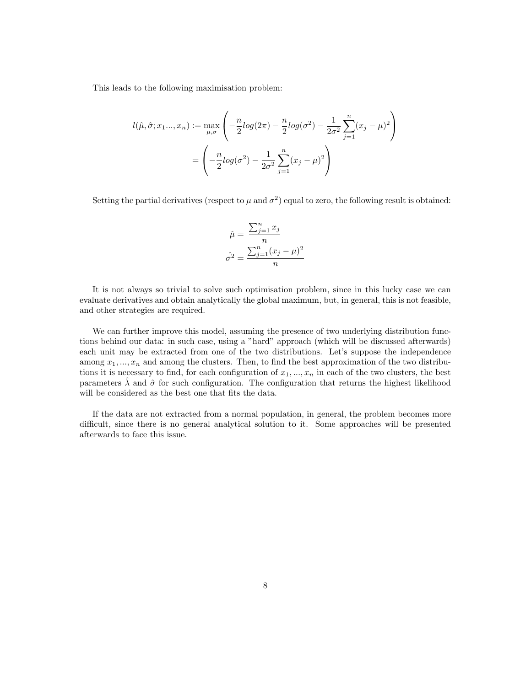This leads to the following maximisation problem:

$$
l(\hat{\mu}, \hat{\sigma}; x_1... , x_n) := \max_{\mu, \sigma} \left( -\frac{n}{2} log(2\pi) - \frac{n}{2} log(\sigma^2) - \frac{1}{2\sigma^2} \sum_{j=1}^n (x_j - \mu)^2 \right)
$$
  
= 
$$
\left( -\frac{n}{2} log(\sigma^2) - \frac{1}{2\sigma^2} \sum_{j=1}^n (x_j - \mu)^2 \right)
$$

Setting the partial derivatives (respect to  $\mu$  and  $\sigma^2$ ) equal to zero, the following result is obtained:

$$
\hat{\mu} = \frac{\sum_{j=1}^{n} x_j}{n}
$$

$$
\hat{\sigma}^2 = \frac{\sum_{j=1}^{n} (x_j - \mu)^2}{n}
$$

It is not always so trivial to solve such optimisation problem, since in this lucky case we can evaluate derivatives and obtain analytically the global maximum, but, in general, this is not feasible, and other strategies are required.

We can further improve this model, assuming the presence of two underlying distribution functions behind our data: in such case, using a "hard" approach (which will be discussed afterwards) each unit may be extracted from one of the two distributions. Let's suppose the independence among  $x_1, ..., x_n$  and among the clusters. Then, to find the best approximation of the two distributions it is necessary to find, for each configuration of  $x_1, ..., x_n$  in each of the two clusters, the best parameters  $\lambda$  and  $\hat{\sigma}$  for such configuration. The configuration that returns the highest likelihood will be considered as the best one that fits the data.

If the data are not extracted from a normal population, in general, the problem becomes more difficult, since there is no general analytical solution to it. Some approaches will be presented afterwards to face this issue.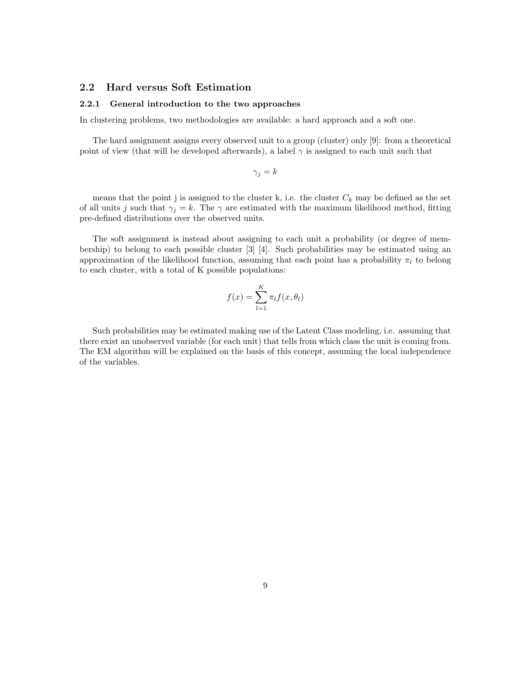#### 2.2 Hard versus Soft Estimation

#### 2.2.1 General introduction to the two approaches

In clustering problems, two methodologies are available: a hard approach and a soft one.

The hard assignment assigns every observed unit to a group (cluster) only [9]: from a theoretical point of view (that will be developed afterwards), a label  $\gamma$  is assigned to each unit such that

$$
\gamma_j = k
$$

means that the point j is assigned to the cluster k, i.e. the cluster  $C_k$  may be defined as the set of all units j such that  $\gamma_j = k$ . The  $\gamma$  are estimated with the maximum likelihood method, fitting pre-defined distributions over the observed units.

The soft assignment is instead about assigning to each unit a probability (or degree of membership) to belong to each possible cluster [3] [4]. Such probabilities may be estimated using an approximation of the likelihood function, assuming that each point has a probability  $\pi_l$  to belong to each cluster, with a total of K possible populations:

$$
f(x) = \sum_{l=1}^{K} \pi_l f(x, \theta_l)
$$

Such probabilities may be estimated making use of the Latent Class modeling, i.e. assuming that there exist an unobserved variable (for each unit) that tells from which class the unit is coming from. The EM algorithm will be explained on the basis of this concept, assuming the local independence of the variables.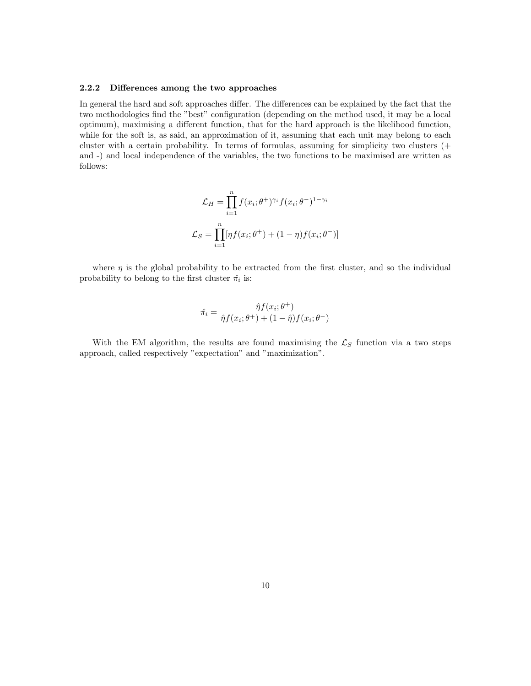#### 2.2.2 Differences among the two approaches

In general the hard and soft approaches differ. The differences can be explained by the fact that the two methodologies find the "best" configuration (depending on the method used, it may be a local optimum), maximising a different function, that for the hard approach is the likelihood function, while for the soft is, as said, an approximation of it, assuming that each unit may belong to each cluster with a certain probability. In terms of formulas, assuming for simplicity two clusters (+ and -) and local independence of the variables, the two functions to be maximised are written as follows:

$$
\mathcal{L}_H = \prod_{i=1}^n f(x_i; \theta^+)^{\gamma_i} f(x_i; \theta^-)^{1-\gamma_i}
$$

$$
\mathcal{L}_S = \prod_{i=1}^n [\eta f(x_i; \theta^+) + (1-\eta) f(x_i; \theta^-)]
$$

where  $\eta$  is the global probability to be extracted from the first cluster, and so the individual probability to belong to the first cluster  $\hat{\pi}_i$  is:

$$
\hat{\pi_i} = \frac{\hat{\eta}f(x_i; \theta^+)}{\hat{\eta}f(x_i; \theta^+) + (1 - \hat{\eta})f(x_i; \theta^-)}
$$

With the EM algorithm, the results are found maximising the  $\mathcal{L}_S$  function via a two steps approach, called respectively "expectation" and "maximization".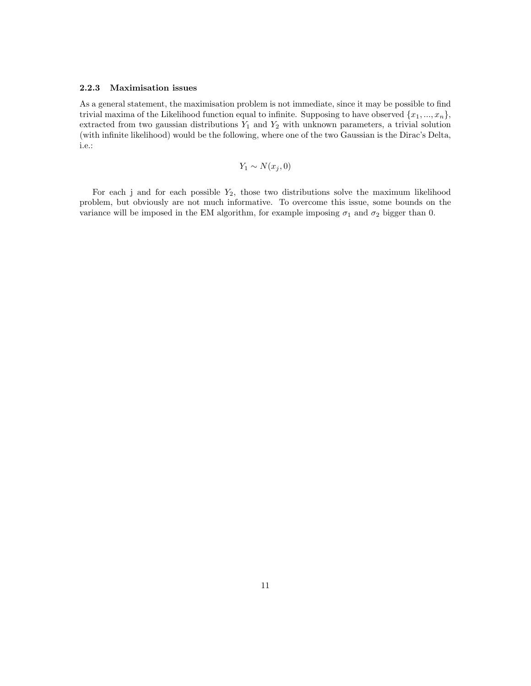#### 2.2.3 Maximisation issues

As a general statement, the maximisation problem is not immediate, since it may be possible to find trivial maxima of the Likelihood function equal to infinite. Supposing to have observed  $\{x_1, ..., x_n\}$ , extracted from two gaussian distributions  $Y_1$  and  $Y_2$  with unknown parameters, a trivial solution (with infinite likelihood) would be the following, where one of the two Gaussian is the Dirac's Delta, i.e.:

$$
Y_1 \sim N(x_j, 0)
$$

For each j and for each possible  $Y_2$ , those two distributions solve the maximum likelihood problem, but obviously are not much informative. To overcome this issue, some bounds on the variance will be imposed in the EM algorithm, for example imposing  $\sigma_1$  and  $\sigma_2$  bigger than 0.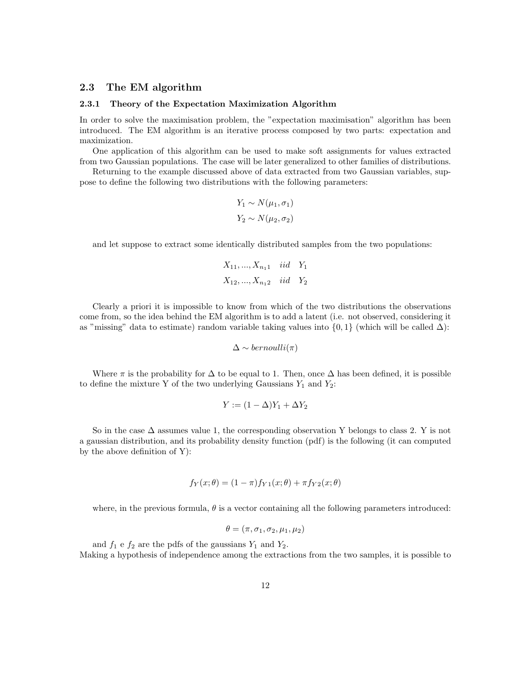#### 2.3 The EM algorithm

#### 2.3.1 Theory of the Expectation Maximization Algorithm

In order to solve the maximisation problem, the "expectation maximisation" algorithm has been introduced. The EM algorithm is an iterative process composed by two parts: expectation and maximization.

One application of this algorithm can be used to make soft assignments for values extracted from two Gaussian populations. The case will be later generalized to other families of distributions.

Returning to the example discussed above of data extracted from two Gaussian variables, suppose to define the following two distributions with the following parameters:

$$
Y_1 \sim N(\mu_1, \sigma_1)
$$

$$
Y_2 \sim N(\mu_2, \sigma_2)
$$

and let suppose to extract some identically distributed samples from the two populations:

$$
X_{11},..., X_{n_11}
$$
 *iid*  $Y_1$   
 $X_{12},..., X_{n_12}$  *iid*  $Y_2$ 

Clearly a priori it is impossible to know from which of the two distributions the observations come from, so the idea behind the EM algorithm is to add a latent (i.e. not observed, considering it as "missing" data to estimate) random variable taking values into  $\{0, 1\}$  (which will be called  $\Delta$ ):

$$
\Delta \sim bernoulli(\pi)
$$

Where  $\pi$  is the probability for  $\Delta$  to be equal to 1. Then, once  $\Delta$  has been defined, it is possible to define the mixture Y of the two underlying Gaussians  $Y_1$  and  $Y_2\colon$ 

$$
Y := (1 - \Delta)Y_1 + \Delta Y_2
$$

So in the case  $\Delta$  assumes value 1, the corresponding observation Y belongs to class 2. Y is not a gaussian distribution, and its probability density function (pdf) is the following (it can computed by the above definition of Y):

$$
f_Y(x; \theta) = (1 - \pi) f_{Y1}(x; \theta) + \pi f_{Y2}(x; \theta)
$$

where, in the previous formula,  $\theta$  is a vector containing all the following parameters introduced:

$$
\theta = (\pi, \sigma_1, \sigma_2, \mu_1, \mu_2)
$$

and  $f_1$  e  $f_2$  are the pdfs of the gaussians  $Y_1$  and  $Y_2$ . Making a hypothesis of independence among the extractions from the two samples, it is possible to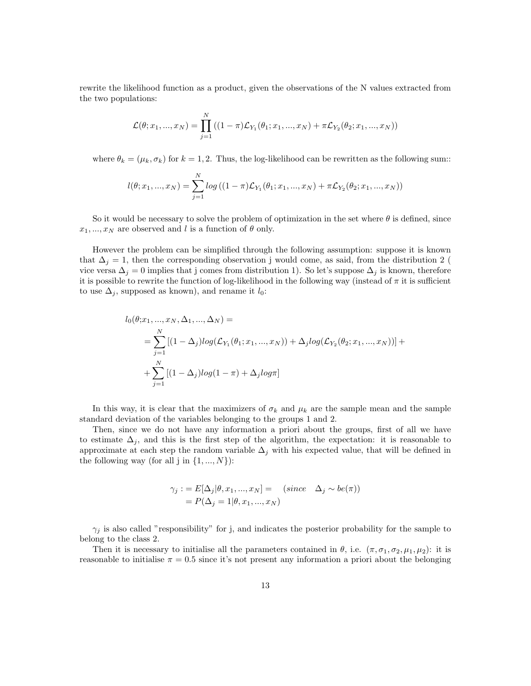rewrite the likelihood function as a product, given the observations of the N values extracted from the two populations:

$$
\mathcal{L}(\theta; x_1, ..., x_N) = \prod_{j=1}^N ((1-\pi)\mathcal{L}_{Y_1}(\theta_1; x_1, ..., x_N) + \pi \mathcal{L}_{Y_2}(\theta_2; x_1, ..., x_N))
$$

where  $\theta_k = (\mu_k, \sigma_k)$  for  $k = 1, 2$ . Thus, the log-likelihood can be rewritten as the following sum::

$$
l(\theta; x_1, ..., x_N) = \sum_{j=1}^{N} log ((1-\pi)\mathcal{L}_{Y_1}(\theta_1; x_1, ..., x_N) + \pi \mathcal{L}_{Y_2}(\theta_2; x_1, ..., x_N))
$$

So it would be necessary to solve the problem of optimization in the set where  $\theta$  is defined, since  $x_1, ..., x_N$  are observed and l is a function of  $\theta$  only.

However the problem can be simplified through the following assumption: suppose it is known that  $\Delta_j = 1$ , then the corresponding observation j would come, as said, from the distribution 2 ( vice versa  $\Delta_j = 0$  implies that j comes from distribution 1). So let's suppose  $\Delta_j$  is known, therefore it is possible to rewrite the function of log-likelihood in the following way (instead of  $\pi$  it is sufficient to use  $\Delta_i$ , supposed as known), and rename it  $l_0$ :

$$
l_0(\theta; x_1, ..., x_N, \Delta_1, ..., \Delta_N) =
$$
  
= 
$$
\sum_{j=1}^N [(1 - \Delta_j)log(\mathcal{L}_{Y_1}(\theta_1; x_1, ..., x_N)) + \Delta_j log(\mathcal{L}_{Y_2}(\theta_2; x_1, ..., x_N))] +
$$
  
+ 
$$
\sum_{j=1}^N [(1 - \Delta_j)log(1 - \pi) + \Delta_j log\pi]
$$

In this way, it is clear that the maximizers of  $\sigma_k$  and  $\mu_k$  are the sample mean and the sample standard deviation of the variables belonging to the groups 1 and 2.

Then, since we do not have any information a priori about the groups, first of all we have to estimate  $\Delta_i$ , and this is the first step of the algorithm, the expectation: it is reasonable to approximate at each step the random variable  $\Delta_j$  with his expected value, that will be defined in the following way (for all j in  $\{1, ..., N\}$ ):

$$
\gamma_j := E[\Delta_j | \theta, x_1, ..., x_N] = (since \Delta_j \sim be(\pi))
$$
  
=  $P(\Delta_j = 1 | \theta, x_1, ..., x_N)$ 

 $\gamma_i$  is also called "responsibility" for j, and indicates the posterior probability for the sample to belong to the class 2.

Then it is necessary to initialise all the parameters contained in  $\theta$ , i.e.  $(\pi, \sigma_1, \sigma_2, \mu_1, \mu_2)$ : it is reasonable to initialise  $\pi = 0.5$  since it's not present any information a priori about the belonging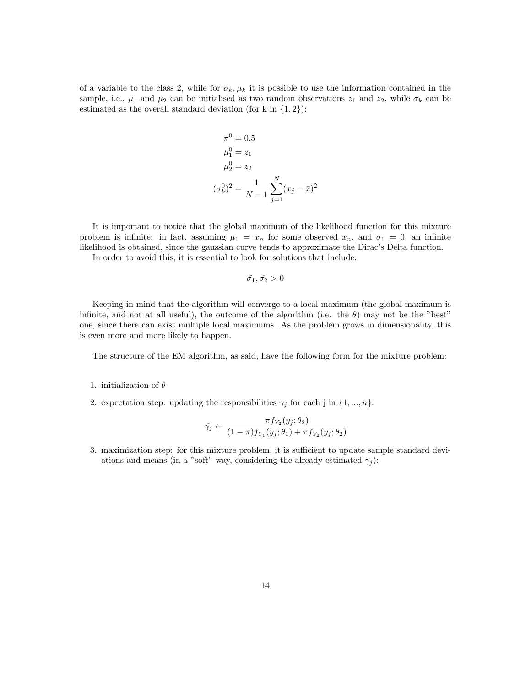of a variable to the class 2, while for  $\sigma_k, \mu_k$  it is possible to use the information contained in the sample, i.e.,  $\mu_1$  and  $\mu_2$  can be initialised as two random observations  $z_1$  and  $z_2$ , while  $\sigma_k$  can be estimated as the overall standard deviation (for k in  $\{1, 2\}$ ):

$$
\pi^{0} = 0.5
$$
  
\n
$$
\mu_{1}^{0} = z_{1}
$$
  
\n
$$
\mu_{2}^{0} = z_{2}
$$
  
\n
$$
(\sigma_{k}^{0})^{2} = \frac{1}{N-1} \sum_{j=1}^{N} (x_{j} - \bar{x})^{2}
$$

It is important to notice that the global maximum of the likelihood function for this mixture problem is infinite: in fact, assuming  $\mu_1 = x_n$  for some observed  $x_n$ , and  $\sigma_1 = 0$ , an infinite likelihood is obtained, since the gaussian curve tends to approximate the Dirac's Delta function.

In order to avoid this, it is essential to look for solutions that include:

$$
\hat{\sigma_1},\hat{\sigma_2} > 0
$$

Keeping in mind that the algorithm will converge to a local maximum (the global maximum is infinite, and not at all useful), the outcome of the algorithm (i.e. the  $\theta$ ) may not be the "best" one, since there can exist multiple local maximums. As the problem grows in dimensionality, this is even more and more likely to happen.

The structure of the EM algorithm, as said, have the following form for the mixture problem:

#### 1. initialization of  $\theta$

2. expectation step: updating the responsibilities  $\gamma_j$  for each j in  $\{1, ..., n\}$ :

$$
\hat{\gamma_j} \leftarrow \frac{\pi f_{Y_2}(y_j; \theta_2)}{(1-\pi)f_{Y_1}(y_j; \theta_1) + \pi f_{Y_2}(y_j; \theta_2)}
$$

3. maximization step: for this mixture problem, it is sufficient to update sample standard deviations and means (in a "soft" way, considering the already estimated  $\gamma_i$ ):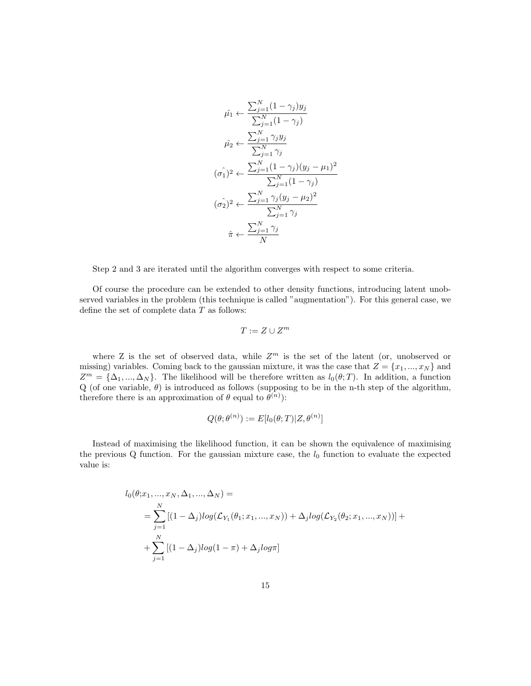$$
\hat{\mu}_1 \leftarrow \frac{\sum_{j=1}^N (1 - \gamma_j) y_j}{\sum_{j=1}^N (1 - \gamma_j)}
$$
\n
$$
\hat{\mu}_2 \leftarrow \frac{\sum_{j=1}^N \gamma_j y_j}{\sum_{j=1}^N \gamma_j}
$$
\n
$$
(\hat{\sigma_1})^2 \leftarrow \frac{\sum_{j=1}^N (1 - \gamma_j) (y_j - \mu_1)^2}{\sum_{j=1}^N (1 - \gamma_j)}
$$
\n
$$
(\hat{\sigma_2})^2 \leftarrow \frac{\sum_{j=1}^N \gamma_j (y_j - \mu_2)^2}{\sum_{j=1}^N \gamma_j}
$$
\n
$$
\hat{\pi} \leftarrow \frac{\sum_{j=1}^N \gamma_j}{N}
$$

Step 2 and 3 are iterated until the algorithm converges with respect to some criteria.

Of course the procedure can be extended to other density functions, introducing latent unobserved variables in the problem (this technique is called "augmentation"). For this general case, we define the set of complete data  $T$  as follows:

$$
T:=Z\cup Z^m
$$

where Z is the set of observed data, while  $Z<sup>m</sup>$  is the set of the latent (or, unobserved or missing) variables. Coming back to the gaussian mixture, it was the case that  $Z = \{x_1, ..., x_N\}$  and  $Z^m = {\{\Delta_1, ..., \Delta_N\}}$ . The likelihood will be therefore written as  $l_0(\theta;T)$ . In addition, a function Q (of one variable,  $\theta$ ) is introduced as follows (supposing to be in the n-th step of the algorithm, therefore there is an approximation of  $\theta$  equal to  $\theta^{(n)}$ :

$$
Q(\theta; \theta^{(n)}):=E[l_0(\theta;T)|Z,\theta^{(n)}]
$$

Instead of maximising the likelihood function, it can be shown the equivalence of maximising the previous  $Q$  function. For the gaussian mixture case, the  $l_0$  function to evaluate the expected value is:

$$
l_0(\theta; x_1, ..., x_N, \Delta_1, ..., \Delta_N) =
$$
  
= 
$$
\sum_{j=1}^N [(1 - \Delta_j)log(\mathcal{L}_{Y_1}(\theta_1; x_1, ..., x_N)) + \Delta_j log(\mathcal{L}_{Y_2}(\theta_2; x_1, ..., x_N))] +
$$
  
+ 
$$
\sum_{j=1}^N [(1 - \Delta_j)log(1 - \pi) + \Delta_j log\pi]
$$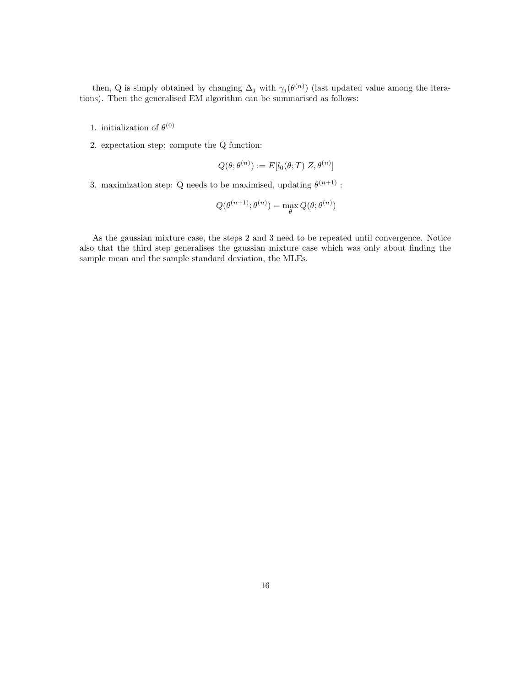then, Q is simply obtained by changing  $\Delta_j$  with  $\gamma_j(\theta^{(n)})$  (last updated value among the iterations). Then the generalised EM algorithm can be summarised as follows:

- 1. initialization of  $\theta^{(0)}$
- 2. expectation step: compute the Q function:

$$
Q(\theta; \theta^{(n)}) := E[l_0(\theta; T)|Z, \theta^{(n)}]
$$

3. maximization step: Q needs to be maximised, updating  $\theta^{(n+1)}$ :

$$
Q(\theta^{(n+1)}; \theta^{(n)}) = \max_{\theta} Q(\theta; \theta^{(n)})
$$

As the gaussian mixture case, the steps 2 and 3 need to be repeated until convergence. Notice also that the third step generalises the gaussian mixture case which was only about finding the sample mean and the sample standard deviation, the MLEs.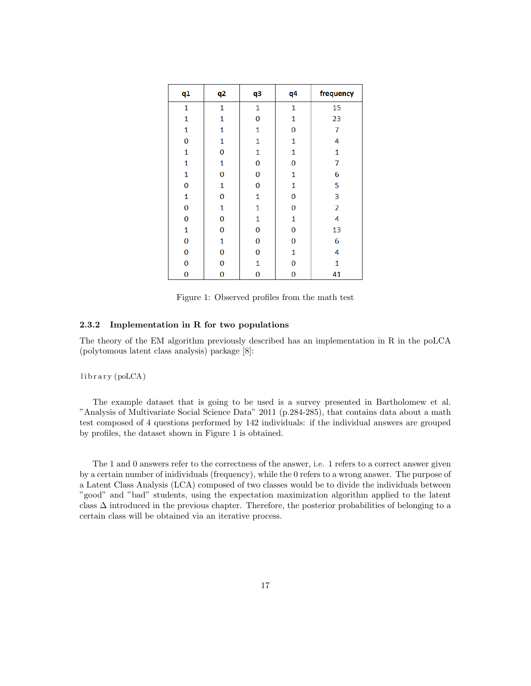| q1             | q <sub>2</sub> | q3       | q4           | frequency      |
|----------------|----------------|----------|--------------|----------------|
| $\mathbf{1}$   | $\mathbf 1$    | 1        | 1            | 15             |
| $\mathbf{1}$   | $\mathbf{1}$   | $\bf{0}$ | $\mathbf{1}$ | 23             |
| $\mathbf{1}$   | 1              | 1        | 0            | 7              |
| $\overline{0}$ | $\mathbf 1$    | 1        | $\mathbf{1}$ | 4              |
| $\mathbf 1$    | $\bf{0}$       | 1        | $\mathbf{1}$ | $\mathbf{1}$   |
| $\mathbf{1}$   | $\mathbf{1}$   | $\bf{0}$ | 0            | 7              |
| $\mathbf{1}$   | 0              | 0        | $\mathbf{1}$ | 6              |
| $\bf{0}$       | 1              | $\bf{0}$ | $\mathbf{1}$ | 5              |
| $\mathbf 1$    | $\bf{0}$       | 1        | $\bf{0}$     | 3              |
| 0              | 1              | 1        | 0            | $\overline{2}$ |
| $\bf{0}$       | 0              | 1        | $\mathbf{1}$ | 4              |
| $\mathbf{1}$   | 0              | 0        | 0            | 13             |
| $\bf{0}$       | $\mathbf{1}$   | $\bf{0}$ | $\bf{0}$     | 6              |
| 0              | 0              | 0        | $\mathbf{1}$ | 4              |
| 0              | $\overline{0}$ | 1        | 0            | $\mathbf{1}$   |
| $\bf{0}$       | 0              | 0        | 0            | 41             |

Figure 1: Observed profiles from the math test

#### 2.3.2 Implementation in R for two populations

The theory of the EM algorithm previously described has an implementation in R in the poLCA (polytomous latent class analysis) package [8]:

library (poLCA)

The example dataset that is going to be used is a survey presented in Bartholomew et al. "Analysis of Multivariate Social Science Data" 2011 (p.284-285), that contains data about a math test composed of 4 questions performed by 142 individuals: if the individual answers are grouped by profiles, the dataset shown in Figure 1 is obtained.

The 1 and 0 answers refer to the correctness of the answer, i.e. 1 refers to a correct answer given by a certain number of inidividuals (frequency), while the 0 refers to a wrong answer. The purpose of a Latent Class Analysis (LCA) composed of two classes would be to divide the individuals between "good" and "bad" students, using the expectation maximization algorithm applied to the latent class  $\Delta$  introduced in the previous chapter. Therefore, the posterior probabilities of belonging to a certain class will be obtained via an iterative process.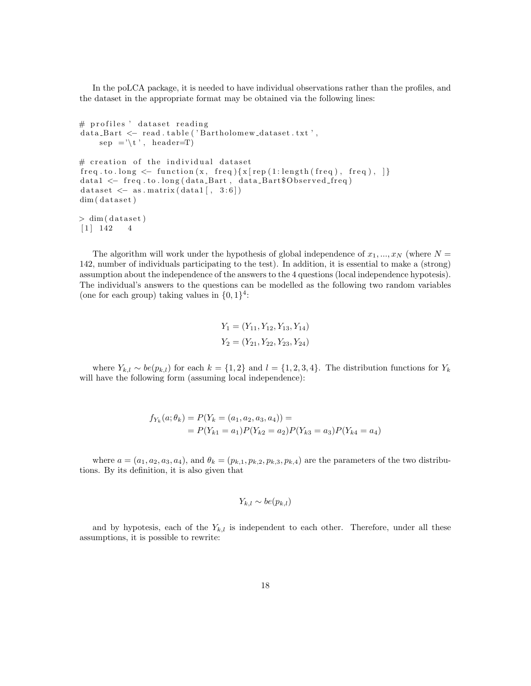In the poLCA package, it is needed to have individual observations rather than the profiles, and the dataset in the appropriate format may be obtained via the following lines:

```
# profiles ' dataset reading
data_Bart < - read.table ('Bartholomew_dataset.txt',
    sep = '\t', header=T)
# creation of the individual dataset
freq, to long < - function (x, freq) \{x \mid rep (1: length (freq), freq), \}data1 <- freq.to.long(data_Bart, data_Bart$Observed_freq)
dataset \leftarrow as . matrix (data1[, 3:6])dim ( dataset)> dim (dataset)
[1] 142 4
```
The algorithm will work under the hypothesis of global independence of  $x_1, ..., x_N$  (where  $N =$ 142, number of individuals participating to the test). In addition, it is essential to make a (strong) assumption about the independence of the answers to the 4 questions (local independence hypotesis). The individual's answers to the questions can be modelled as the following two random variables (one for each group) taking values in  $\{0,1\}^4$ :

$$
Y_1 = (Y_{11}, Y_{12}, Y_{13}, Y_{14})
$$
  

$$
Y_2 = (Y_{21}, Y_{22}, Y_{23}, Y_{24})
$$

where  $Y_{k,l} \sim be(p_{k,l})$  for each  $k = \{1,2\}$  and  $l = \{1,2,3,4\}$ . The distribution functions for  $Y_k$ will have the following form (assuming local independence):

$$
f_{Y_k}(a; \theta_k) = P(Y_k = (a_1, a_2, a_3, a_4)) =
$$
  
=  $P(Y_{k1} = a_1)P(Y_{k2} = a_2)P(Y_{k3} = a_3)P(Y_{k4} = a_4)$ 

where  $a = (a_1, a_2, a_3, a_4)$ , and  $\theta_k = (p_{k,1}, p_{k,2}, p_{k,3}, p_{k,4})$  are the parameters of the two distributions. By its definition, it is also given that

$$
Y_{k,l} \sim be(p_{k,l})
$$

and by hypotesis, each of the  $Y_{k,l}$  is independent to each other. Therefore, under all these assumptions, it is possible to rewrite: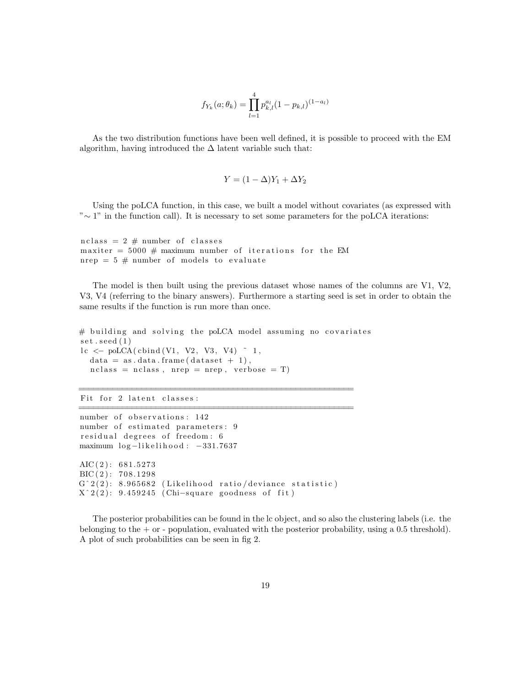$$
f_{Y_k}(a; \theta_k) = \prod_{l=1}^4 p_{k,l}^{a_l} (1 - p_{k,l})^{(1 - a_l)}
$$

As the two distribution functions have been well defined, it is possible to proceed with the EM algorithm, having introduced the  $\Delta$  latent variable such that:

$$
Y = (1 - \Delta)Y_1 + \Delta Y_2
$$

Using the poLCA function, in this case, we built a model without covariates (as expressed with "∼ 1" in the function call). It is necessary to set some parameters for the poLCA iterations:

 $nclass = 2 # number of classes$ maxiter =  $5000 \#$  maximum number of iterations for the EM nrep =  $5 \#$  number of models to evaluate

The model is then built using the previous dataset whose names of the columns are V1, V2, V3, V4 (referring to the binary answers). Furthermore a starting seed is set in order to obtain the same results if the function is run more than once.

```
# building and solving the poLCA model assuming no covariates
set . seed (1)l c \leftarrow poLCA(cbind (V1, V2, V3, V4) \degree 1,
  data = as.data frame(dataset + 1),nclass = nclass, nrep = nrep, verbose = T)
```
=========================================================

=========================================================

Fit for 2 latent classes:

```
number of observations: 142
number of estimated parameters: 9
r e sidual degrees of freedom: 6
maximum log-likelihood: -331.7637
AIC(2): 681.5273BIC(2): 708.1298G^2(2): 8.965682 (Likelihood ratio/deviance statistic)
X^2(2): 9.459245 (Chi-square goodness of fit)
```
The posterior probabilities can be found in the lc object, and so also the clustering labels (i.e. the belonging to the + or - population, evaluated with the posterior probability, using a 0.5 threshold). A plot of such probabilities can be seen in fig 2.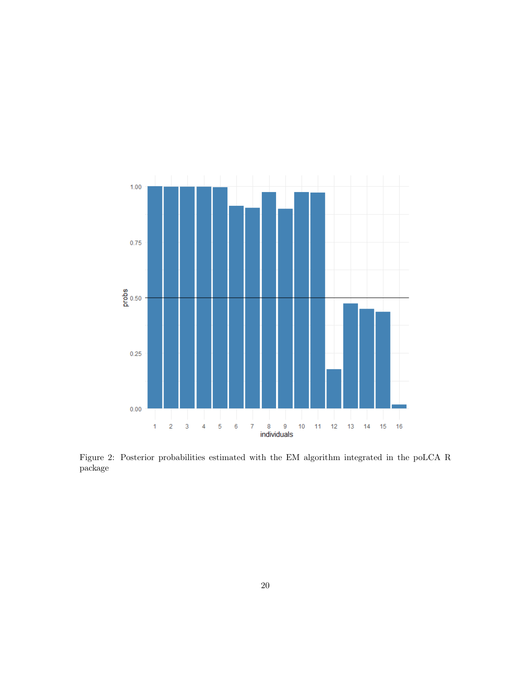

Figure 2: Posterior probabilities estimated with the EM algorithm integrated in the poLCA R package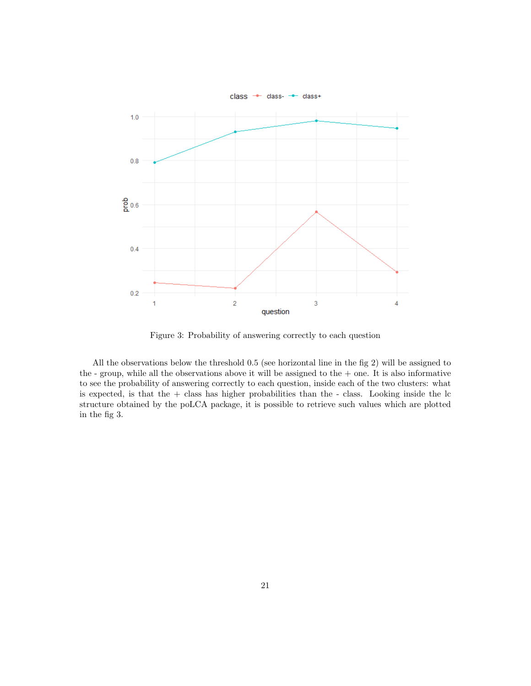

Figure 3: Probability of answering correctly to each question

All the observations below the threshold 0.5 (see horizontal line in the fig 2) will be assigned to the - group, while all the observations above it will be assigned to the  $+$  one. It is also informative to see the probability of answering correctly to each question, inside each of the two clusters: what is expected, is that the  $+$  class has higher probabilities than the  $-$  class. Looking inside the  $\ln$ structure obtained by the poLCA package, it is possible to retrieve such values which are plotted in the fig 3.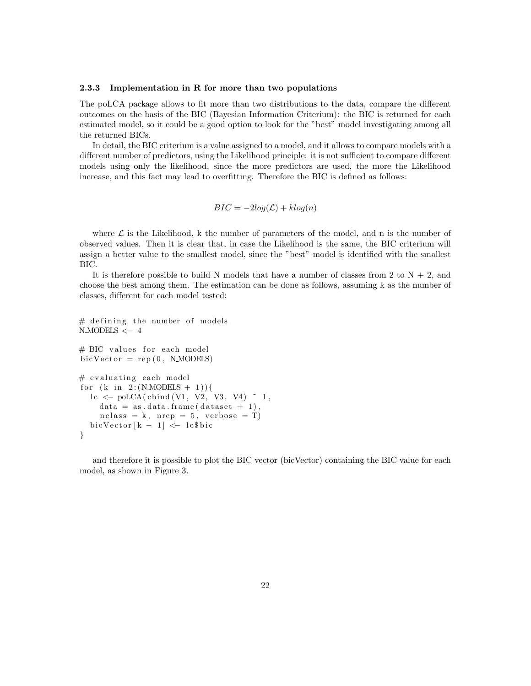#### 2.3.3 Implementation in R for more than two populations

The poLCA package allows to fit more than two distributions to the data, compare the different outcomes on the basis of the BIC (Bayesian Information Criterium): the BIC is returned for each estimated model, so it could be a good option to look for the "best" model investigating among all the returned BICs.

In detail, the BIC criterium is a value assigned to a model, and it allows to compare models with a different number of predictors, using the Likelihood principle: it is not sufficient to compare different models using only the likelihood, since the more predictors are used, the more the Likelihood increase, and this fact may lead to overfitting. Therefore the BIC is defined as follows:

$$
BIC = -2log(\mathcal{L}) + klog(n)
$$

where  $\mathcal L$  is the Likelihood, k the number of parameters of the model, and n is the number of observed values. Then it is clear that, in case the Likelihood is the same, the BIC criterium will assign a better value to the smallest model, since the "best" model is identified with the smallest BIC.

It is therefore possible to build N models that have a number of classes from 2 to  $N + 2$ , and choose the best among them. The estimation can be done as follows, assuming k as the number of classes, different for each model tested:

```
# defining the number of models
N MODELS <− 4
# BIC values for each model
\text{bic Vector} = \text{rep}(0, \text{ N.MODELS})# evaluating each model
for (k \text{ in } 2:(N \text{ MODELS } + 1))lc \leftarrow \text{poLCA}(\text{cbind} (V1, V2, V3, V4)<sup>7</sup> ,
     data = as.data frame(dataset + 1),nclass = k, nrep = 5, verbose = T)bicVector [k - 1] \leq - \log bic
}
```
and therefore it is possible to plot the BIC vector (bicVector) containing the BIC value for each model, as shown in Figure 3.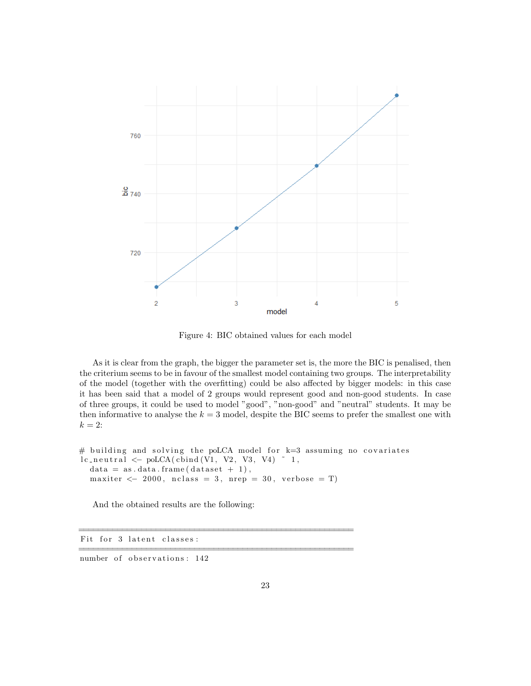

Figure 4: BIC obtained values for each model

As it is clear from the graph, the bigger the parameter set is, the more the BIC is penalised, then the criterium seems to be in favour of the smallest model containing two groups. The interpretability of the model (together with the overfitting) could be also affected by bigger models: in this case it has been said that a model of 2 groups would represent good and non-good students. In case of three groups, it could be used to model "good", "non-good" and "neutral" students. It may be then informative to analyse the  $k = 3$  model, despite the BIC seems to prefer the smallest one with  $k=2$ :

```
# building and solving the poLCA model for k=3 assuming no covariates
lc\_neutral \leftarrow \text{poLCA}(\text{cbind}(V1, V2, V3, V4) \sim 1,data = as.data frame(dataset + 1),maxiter \langle -2000, \text{nclass} = 3, \text{nrep} = 30, \text{verbose} = T \rangle
```
=========================================================

=========================================================

And the obtained results are the following:

Fit for 3 latent classes:

number of observations: 142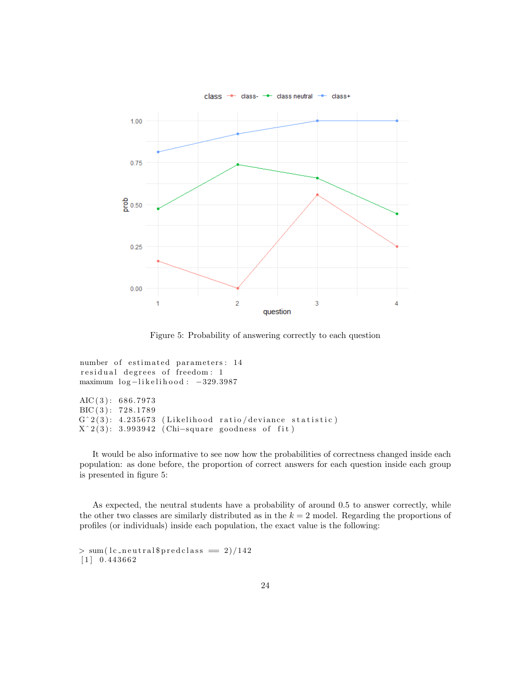

Figure 5: Probability of answering correctly to each question

```
number of estimated parameters: 14
residual degrees of freedom: 1
maximum log-likelihood: -329.3987
AIC(3): 686.7973BIC(3): 728.1789G^2(3): 4.235673 (Likelihood ratio/deviance statistic)
X^2(3): 3.993942 (Chi-square goodness of fit)
```
It would be also informative to see now how the probabilities of correctness changed inside each population: as done before, the proportion of correct answers for each question inside each group is presented in figure 5:

As expected, the neutral students have a probability of around 0.5 to answer correctly, while the other two classes are similarly distributed as in the  $k = 2$  model. Regarding the proportions of profiles (or individuals) inside each population, the exact value is the following:

```
> sum( lc_neutral $predclass = 2)/142[1] 0.443662
```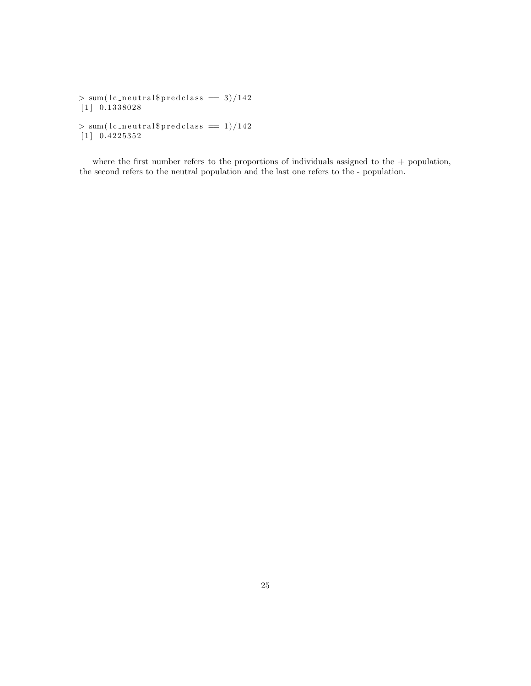```
> sum(lc_neutral$predclass == 3)/142
[1] 0.1338028
> sum(lc_{\text{neutrally}}) = 1)/142[1] 0.4225352
```
where the first number refers to the proportions of individuals assigned to the  $+$  population, the second refers to the neutral population and the last one refers to the - population.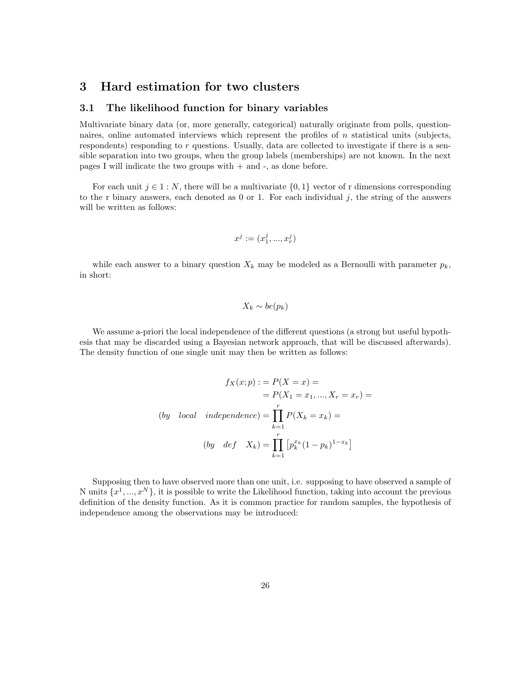#### 3 Hard estimation for two clusters

#### 3.1 The likelihood function for binary variables

Multivariate binary data (or, more generally, categorical) naturally originate from polls, questionnaires, online automated interviews which represent the profiles of  $n$  statistical units (subjects, respondents) responding to  $r$  questions. Usually, data are collected to investigate if there is a sensible separation into two groups, when the group labels (memberships) are not known. In the next pages I will indicate the two groups with  $+$  and  $-$ , as done before.

For each unit  $j \in 1 : N$ , there will be a multivariate  $\{0, 1\}$  vector of r dimensions corresponding to the r binary answers, each denoted as  $0$  or 1. For each individual j, the string of the answers will be written as follows:

$$
x^j := (x^j_1, ..., x^j_r)
$$

while each answer to a binary question  $X_k$  may be modeled as a Bernoulli with parameter  $p_k$ , in short:

$$
X_k \sim be(p_k)
$$

We assume a-priori the local independence of the different questions (a strong but useful hypothesis that may be discarded using a Bayesian network approach, that will be discussed afterwards). The density function of one single unit may then be written as follows:

$$
f_X(x; p) := P(X = x) =
$$

$$
= P(X_1 = x_1, ..., X_r = x_r) =
$$

$$
(by \quad local \quad independence) = \prod_{k=1}^r P(X_k = x_k) =
$$

$$
(by \quad def \quad X_k) = \prod_{k=1}^r \left[ p_k^{x_k} (1 - p_k)^{1 - x_k} \right]
$$

Supposing then to have observed more than one unit, i.e. supposing to have observed a sample of N units  $\{x^1, ..., x^N\}$ , it is possible to write the Likelihood function, taking into account the previous definition of the density function. As it is common practice for random samples, the hypothesis of independence among the observations may be introduced: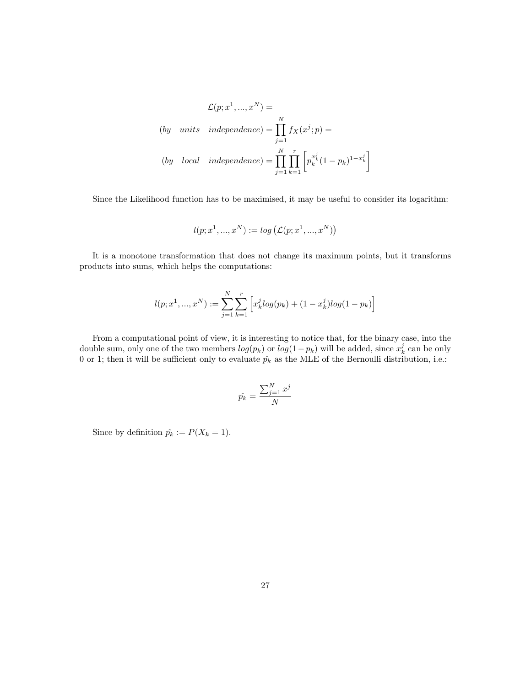$$
\mathcal{L}(p; x^1, ..., x^N) =
$$
  
(by units independence) = 
$$
\prod_{j=1}^N f_X(x^j; p) =
$$
  
(by local independence) = 
$$
\prod_{j=1}^N \prod_{k=1}^r \left[ p_k^{x_k^j} (1 - p_k)^{1 - x_k^j} \right]
$$

Since the Likelihood function has to be maximised, it may be useful to consider its logarithm:

$$
l(p; x^1, ..., x^N) := \log \left( \mathcal{L}(p; x^1, ..., x^N) \right)
$$

It is a monotone transformation that does not change its maximum points, but it transforms products into sums, which helps the computations:

$$
l(p; x^1, ..., x^N) := \sum_{j=1}^{N} \sum_{k=1}^{r} \left[ x_k^j log(p_k) + (1 - x_k^j) log(1 - p_k) \right]
$$

From a computational point of view, it is interesting to notice that, for the binary case, into the double sum, only one of the two members  $log(p_k)$  or  $log(1-p_k)$  will be added, since  $x_k^j$  can be only 0 or 1; then it will be sufficient only to evaluate  $\hat{p}_k$  as the MLE of the Bernoulli distribution, i.e.:

$$
\hat{p_k} = \frac{\sum_{j=1}^{N} x^j}{N}
$$

Since by definition  $\hat{p_k} := P(X_k = 1)$ .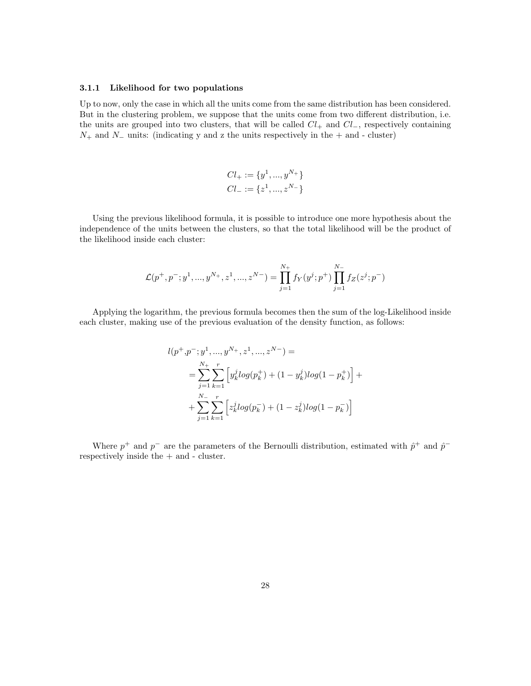#### 3.1.1 Likelihood for two populations

Up to now, only the case in which all the units come from the same distribution has been considered. But in the clustering problem, we suppose that the units come from two different distribution, i.e. the units are grouped into two clusters, that will be called  $Cl_{+}$  and  $Cl_{-}$ , respectively containing  $N_+$  and  $N_-$  units: (indicating y and z the units respectively in the  $+$  and - cluster)

$$
Cl_{+} := \{y^{1}, ..., y^{N_{+}}\}
$$

$$
Cl_{-} := \{z^{1}, ..., z^{N_{-}}\}
$$

Using the previous likelihood formula, it is possible to introduce one more hypothesis about the independence of the units between the clusters, so that the total likelihood will be the product of the likelihood inside each cluster:

$$
\mathcal{L}(p^+,p^-;y^1,...,y^{N_+},z^1,...,z^{N_-})=\prod_{j=1}^{N_+}f_Y(y^j;p^+)\prod_{j=1}^{N_-}f_Z(z^j;p^-)
$$

Applying the logarithm, the previous formula becomes then the sum of the log-Likelihood inside each cluster, making use of the previous evaluation of the density function, as follows:

$$
l(p^+, p^-, y^1, ..., y^{N_+, z^1, ..., z^{N-}}) =
$$
  
= 
$$
\sum_{j=1}^{N_+} \sum_{k=1}^r \left[ y_k^j log(p_k^+) + (1 - y_k^j) log(1 - p_k^+) \right] +
$$
  
+ 
$$
\sum_{j=1}^{N_-} \sum_{k=1}^r \left[ z_k^j log(p_k^-) + (1 - z_k^j) log(1 - p_k^-) \right]
$$

Where  $p^+$  and  $p^-$  are the parameters of the Bernoulli distribution, estimated with  $\hat{p}^+$  and  $\hat{p}^$ respectively inside the + and - cluster.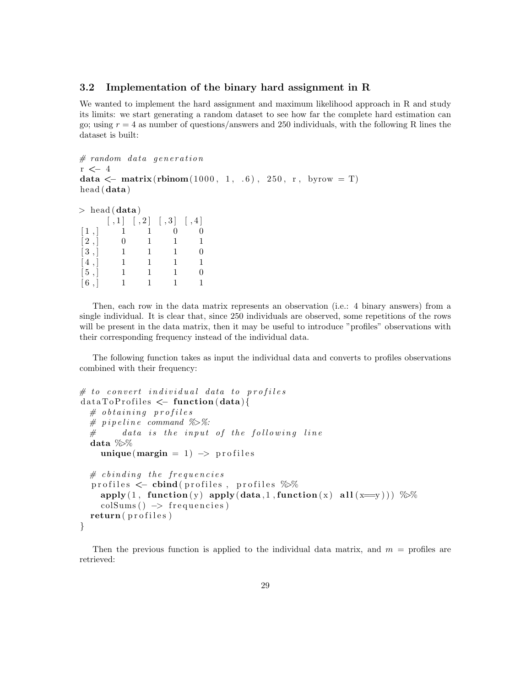#### 3.2 Implementation of the binary hard assignment in R

We wanted to implement the hard assignment and maximum likelihood approach in R and study its limits: we start generating a random dataset to see how far the complete hard estimation can go; using  $r = 4$  as number of questions/answers and 250 individuals, with the following R lines the dataset is built:

```
# random data generationr \leftarrow 4
data \leq matrix(rbinom(1000, 1, .6), 250, r, byrow = T)
head (data )
```

```
> head (data)
```

| 0  |
|----|
| 1  |
| 0  |
| 1. |
| 0  |
| 1. |
|    |

Then, each row in the data matrix represents an observation (i.e.: 4 binary answers) from a single individual. It is clear that, since 250 individuals are observed, some repetitions of the rows will be present in the data matrix, then it may be useful to introduce "profiles" observations with their corresponding frequency instead of the individual data.

The following function takes as input the individual data and converts to profiles observations combined with their frequency:

```
# to convert individual data to profiles
data To Profiles \leftarrow function(data){
  # obtaining profiles
  # p i p e l i n e command %>%:
  # data is the input of the following line
  data %>%
    unique (margin = 1) \rightarrow profiles
  # c binding the frequencies
  profiles <- cbind(profiles, profiles %%
    apply(1, function(y) apply(data, 1, function(x) all (x=y))) %%
    \text{colSums}() \rightarrow \text{frequencies}return (profiles)
}
```
Then the previous function is applied to the individual data matrix, and  $m =$  profiles are retrieved: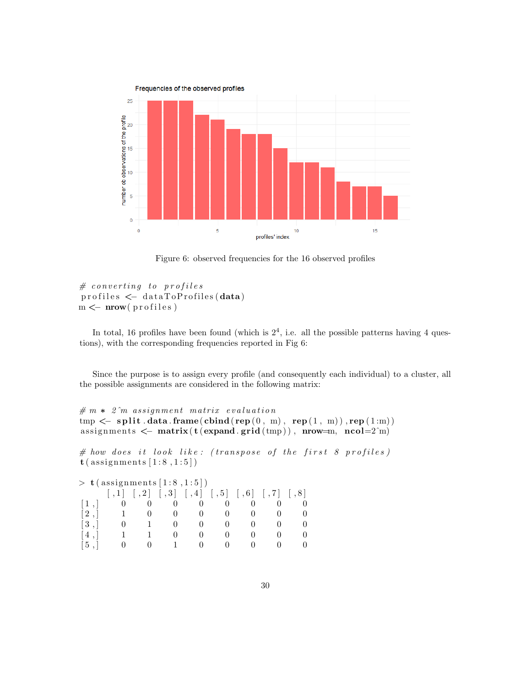

Figure 6: observed frequencies for the 16 observed profiles

```
# converting to profiles
\text{profiles} \leftarrow \text{dataToProfiles}(\text{data})m \leftarrow mow(profiles)
```
In total, 16 profiles have been found (which is  $2<sup>4</sup>$ , i.e. all the possible patterns having 4 questions), with the corresponding frequencies reported in Fig 6:

Since the purpose is to assign every profile (and consequently each individual) to a cluster, all the possible assignments are considered in the following matrix:

```
# m * 2^m assignment matrix evaluation
tmp < -split . data . frame (\text{cbind}(rep(0, m), rep(1, m)), rep(1:m))assignments \leq matrix(t(expand.grid(tmp)), nrow=m, ncol=2^m)
# how does it look like: (transpose of the first 8 profiles)t (assignments [1:8,1:5])
> t (assignments [1:8,1:5])
         \begin{bmatrix} 1 \\ 1 \end{bmatrix} \begin{bmatrix} 1 \\ 2 \end{bmatrix} \begin{bmatrix} 1 \\ 3 \end{bmatrix} \begin{bmatrix} 1 \\ 4 \end{bmatrix} \begin{bmatrix} 1 \\ 5 \end{bmatrix} \begin{bmatrix} 1 \\ 6 \end{bmatrix} \begin{bmatrix} 1 \\ 7 \end{bmatrix} \begin{bmatrix} 1 \\ 8 \end{bmatrix}\begin{bmatrix} 1 \end{bmatrix} 0 0 0 0 0 0 0 0
 [2, 1 \ 1 \ 0 \ 0 \ 0 \ 0 \ 0 \ 0 \ 0[3, 0 1 0 0 0 0 0 0[4, 1 \quad 1 \quad 0 \quad 0 \quad 0 \quad 0 \quad 0\begin{array}{cccccccccccccc} \left[ \begin{matrix} 5 \end{matrix} \right] & & 0 & & 0 & & 1 & & 0 & & 0 & & 0 & & 0 \end{array}
```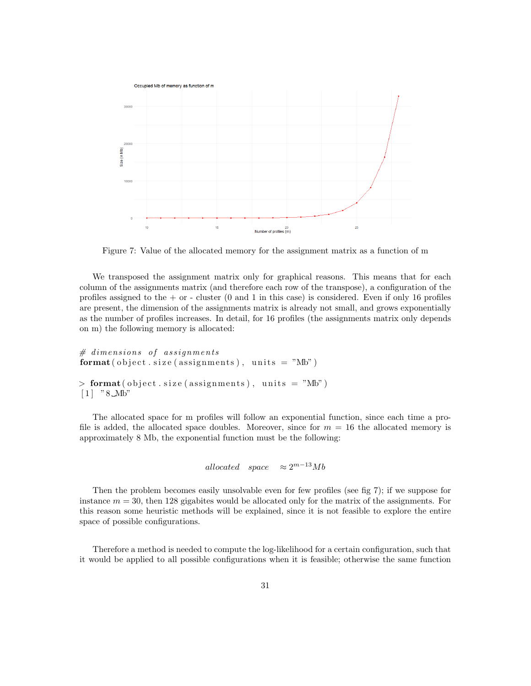

Figure 7: Value of the allocated memory for the assignment matrix as a function of m

We transposed the assignment matrix only for graphical reasons. This means that for each column of the assignments matrix (and therefore each row of the transpose), a configuration of the profiles assigned to the  $+$  or  $-$  cluster (0 and 1 in this case) is considered. Even if only 16 profiles are present, the dimension of the assignments matrix is already not small, and grows exponentially as the number of profiles increases. In detail, for 16 profiles (the assignments matrix only depends on m) the following memory is allocated:

```
# \ dimensions \ of \ assignmentsformat ( object . size ( assignments ), units = "Mb")
> format ( object . size ( assignments ), units = "Mb")
[1] " 8 Mb"
```
The allocated space for m profiles will follow an exponential function, since each time a profile is added, the allocated space doubles. Moreover, since for  $m = 16$  the allocated memory is approximately 8 Mb, the exponential function must be the following:

```
allocated space \approx 2^{m-13}Mb
```
Then the problem becomes easily unsolvable even for few profiles (see fig 7); if we suppose for instance  $m = 30$ , then 128 gigabites would be allocated only for the matrix of the assignments. For this reason some heuristic methods will be explained, since it is not feasible to explore the entire space of possible configurations.

Therefore a method is needed to compute the log-likelihood for a certain configuration, such that it would be applied to all possible configurations when it is feasible; otherwise the same function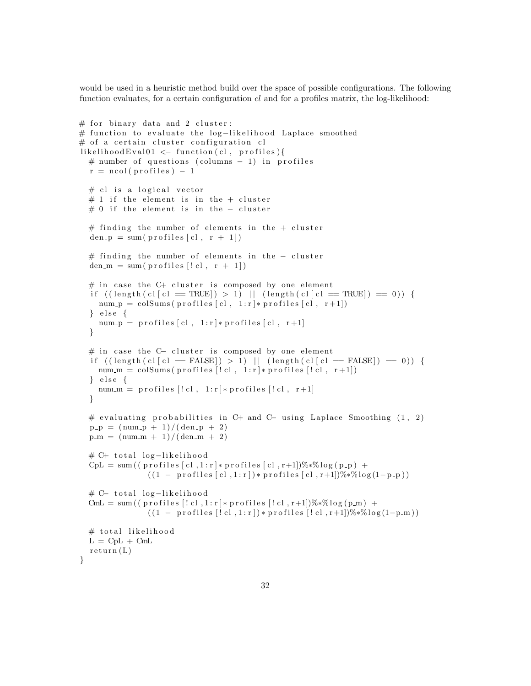would be used in a heuristic method build over the space of possible configurations. The following function evaluates, for a certain configuration  $cl$  and for a profiles matrix, the log-likelihood:

```
# for binary data and 2 cluster:
# function to evaluate the log-likelihood Laplace smoothed
# of a certain cluster configuration cl
likelihoodEval01 \leftarrow function(cl, profiles){
  # number of questions (columns -1) in profiles
  r = \text{ncol}(\text{profiles}) - 1# cl is a logical vector
  # 1 if the element is in the + cluster
  # 0 if the element is in the - cluster
  # finding the number of elements in the + cluster
  den_p = sum(profiles [c], r + 1])# finding the number of elements in the - cluster
  den m = sum(p \text{rofiles} [! \text{cl}, r + 1])# in case the C+ cluster is composed by one element
  if ((\text{length}( \text{ cl } c]) = \text{TRUE}) > 1 || (\text{length}( \text{ cl } c]) = \text{TRUE}) = 0 (num p = colSums( profiles [c], 1:r] * profiles [c], r+1])\} else \{num.p = profiles [c], 1:r]*profiles [c], r+1]}
  # in case the C− cluster is composed by one element
  if ((\text{length}( \text{ cl } c) \neq \text{FALSE}]) > 1) || (\text{length}( \text{ cl } c) \neq \text{FALSE}]) = 0) {
    num\_m = colSums( profiles [! cl, 1:r] * profiles [! cl, r+1])\} else {
     num m = profiles [! \text{ cl }, 1 \text{ : } r] * profiles [! \text{ cl }, r+1]}
  # evaluating probabilities in C+ and C− using Laplace Smoothing (1, 2)
  p - p = (num - p + 1) / (den - p + 2)p_{m} = (num_{m} + 1) / (den_{m} + 2)# C+ total log-likelihood
  CpL = sum((profiles [c], 1:r] * profiles [c], r+1])\% * \%log(p-p) +((1 - \text{profiles} [c], 1 : r]) * \text{profiles} [c], r+1])%*%\log(1-p-p))# C− total log-likelihood
  CmL = sum (( pr \text{ of } i les [! \text{ cl }, 1 \text{ : } r] * pr \text{ of } i les [! \text{ cl }, r+1])%*% log ( p_m) +
                  ((1 - \text{profiles} [! \text{cl}, 1 \text{cl}]) * \text{profiles} [! \text{cl}, r+1]) % * \% log(1-p-m))# total likelihood
  L = CpL + CmLreturn (L)}
```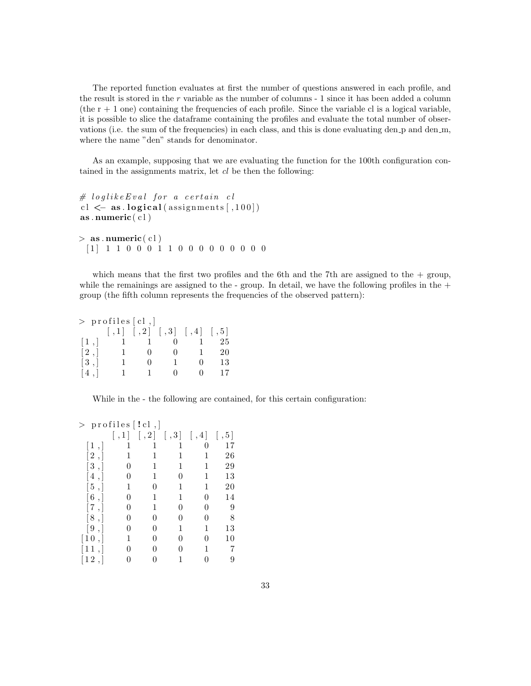The reported function evaluates at first the number of questions answered in each profile, and the result is stored in the r variable as the number of columns - 1 since it has been added a column (the  $r + 1$  one) containing the frequencies of each profile. Since the variable cl is a logical variable, it is possible to slice the dataframe containing the profiles and evaluate the total number of observations (i.e. the sum of the frequencies) in each class, and this is done evaluating den p and den m, where the name "den" stands for denominator.

As an example, supposing that we are evaluating the function for the 100th configuration contained in the assignments matrix, let  $cl$  be then the following:

```
# loglike Eval for a certain cl
cl \langle - as . logical (assignments [,100])
as . numeric(cl)> as . numeric(cl)
```
[ 1 ] 1 1 0 0 0 1 1 0 0 0 0 0 0 0 0 0

which means that the first two profiles and the 6th and the 7th are assigned to the  $+$  group, while the remainings are assigned to the - group. In detail, we have the following profiles in the  $+$ group (the fifth column represents the frequencies of the observed pattern):

|                   |              | $>$ profiles [cl,] |                                    |    |
|-------------------|--------------|--------------------|------------------------------------|----|
|                   |              |                    | $[,1]$ $[,2]$ $[,3]$ $[,4]$ $[,5]$ |    |
| $\lceil 1 \rceil$ |              |                    |                                    | 25 |
| $\lceil 2 \rceil$ | $\mathbf{I}$ | $\mathbf{0}$       |                                    | 20 |
| $\lceil 3 \rceil$ | ı            | $\mathbf{0}$       | $\mathbf{0}$                       | 13 |
| [4,]              |              |                    |                                    | 17 |

While in the - the following are contained, for this certain configuration:

| >                            | profiles $\lceil$ !cl, |      |                 |                        |         |
|------------------------------|------------------------|------|-----------------|------------------------|---------|
|                              | $\lfloor 1 \rfloor$    | , 2] | $[ \, , 3 \, ]$ | $\vert \,$ , 4 $\vert$ | $, 5$ ] |
| $\lceil 1 \rceil$            | 1                      | 1    | 1               | 0                      | 17      |
| $[\,2\;,]$                   | 1                      | 1    | 1               | 1                      | 26      |
| [3, ]                        | 0                      | 1    | 1               | 1                      | 29      |
| [4,]                         | 0                      | 1    | 0               | 1                      | 13      |
| $[\,5\;,]$                   | 1                      | 0    | 1               | 1                      | 20      |
| [6,                          | 0                      | 1    | 1               | 0                      | 14      |
| $[\hbox{7}\,,]$              | 0                      | 1    | 0               | 0                      | 9       |
| [8,]                         | 0                      | 0    |                 | 0                      | 8       |
| [9,                          | 0                      | 0    | 1               | 1                      | 13      |
| $\left\lceil 10\right\rceil$ |                        | 0    | 0               | 0                      | 10      |
| $\left\lceil 11\right\rceil$ | 0                      | 0    |                 |                        | 7       |
| $\lceil 12 \rceil$           | 0                      | 0    |                 |                        | 9       |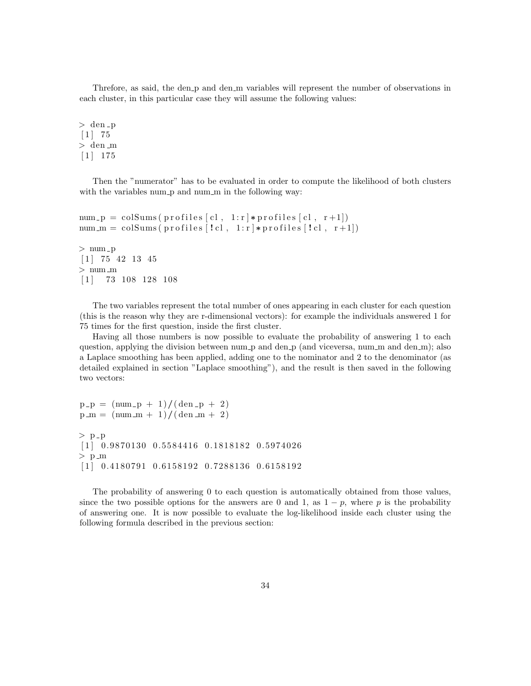Threfore, as said, the den p and den m variables will represent the number of observations in each cluster, in this particular case they will assume the following values:

 $>$  den  $-p$  $[1]$  75 > den m  $[1]$  175

Then the "numerator" has to be evaluated in order to compute the likelihood of both clusters with the variables num p and num m in the following way:

```
num -p = \text{colSums}(\text{profiles}[\text{cl}, 1:r] * \text{profiles}[\text{cl}, r+1])num\_m = colSums( profiles [! cl, 1:r] * profiles [! cl, r+1])> num -p\lceil 1 \rceil 75 42 13 45
> numm\begin{bmatrix} 1 \end{bmatrix} 73 108 128 108
```
The two variables represent the total number of ones appearing in each cluster for each question (this is the reason why they are r-dimensional vectors): for example the individuals answered 1 for 75 times for the first question, inside the first cluster.

Having all those numbers is now possible to evaluate the probability of answering 1 to each question, applying the division between num p and den p (and viceversa, num m and den m); also a Laplace smoothing has been applied, adding one to the nominator and 2 to the denominator (as detailed explained in section "Laplace smoothing"), and the result is then saved in the following two vectors:

```
p - p = (num - p + 1) / (den - p + 2)p_{m} = (num_{m} + 1) / (den_{m} + 2)> p_p
[1] 0.9870130 0.5584416 0.1818182 0.5974026
> p_m
\begin{bmatrix} 1 & 0.4180791 & 0.6158192 & 0.7288136 & 0.6158192 \end{bmatrix}
```
The probability of answering 0 to each question is automatically obtained from those values, since the two possible options for the answers are 0 and 1, as  $1 - p$ , where p is the probability of answering one. It is now possible to evaluate the log-likelihood inside each cluster using the following formula described in the previous section: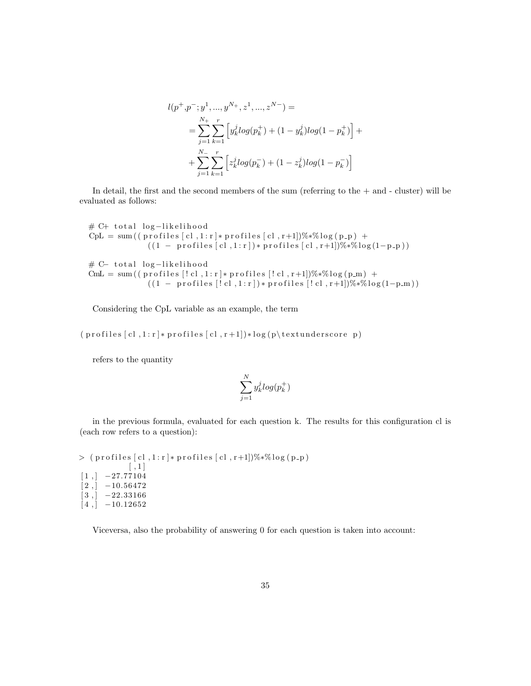$$
l(p^+, p^-, y^1, ..., y^{N_+, z^1}, ..., z^{N_-}) =
$$
  
= 
$$
\sum_{j=1}^{N_+} \sum_{k=1}^r \left[ y_k^j log(p_k^+) + (1 - y_k^j) log(1 - p_k^+) \right] +
$$
  
+ 
$$
\sum_{j=1}^{N_-} \sum_{k=1}^r \left[ z_k^j log(p_k^-) + (1 - z_k^j) log(1 - p_k^-) \right]
$$

In detail, the first and the second members of the sum (referring to the + and - cluster) will be evaluated as follows:

# C+ total log-likelihood  $CpL = sum((pr ofiles [cl, 1:r]*pr ofiles [cl, r+1])\%*%log(p-p) +$  $((1 - \text{profiles} [c1, 1:r]) * \text{profiles} [c1, r+1])% * \% \text{log}(1-p-p))$ # C− total log-likelihood  $CmL = sum((profiles [! cl, 1:r] * profiles [! cl, r+1])% * \%log(p_m) +$  $((1 - \text{profiles} [! \text{ cl } , 1 \text{ : } r]) * \text{profiles} [! \text{ cl } , r+1])% * \% \text{log}(1-p_m))$ 

Considering the CpL variable as an example, the term

 $(p \in \text{if } c \in [c]$ ,  $1 : r \mid * \text{profiles} [c]$ ,  $r + 1 \mid * \log(p \mid t \text{extunderscore } p)$ 

refers to the quantity

$$
\sum_{j=1}^N y_k^j log(p_k^+)
$$

in the previous formula, evaluated for each question k. The results for this configuration cl is (each row refers to a question):

 $>$  ( profiles [cl,1:r]\* profiles [cl,r+1])%\*% $\log(p-p)$  $[ ,1]$  $[1,] -27.77104$  $[2, ] -10.56472$  $[3,]$  -22.33166  $[4,] -10.12652$ 

Viceversa, also the probability of answering 0 for each question is taken into account: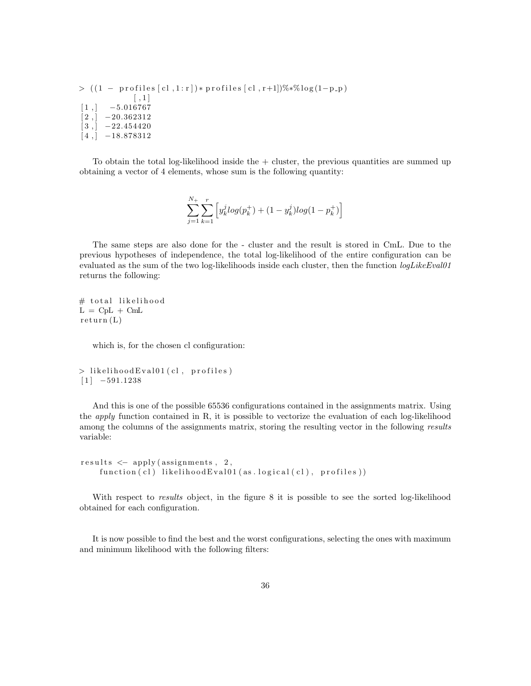$> ((1 - \text{profiles} [c], 1 : r]) * \text{profiles} [c], r+1])% * \% \log(1-p_p)$  $[ \, , 1 \, ]$  $[1,]$   $-5.016767$  $[2, ] -20.362312$  $[3,]$  -22.454420  $[4,]$  –18.878312

To obtain the total log-likelihood inside the + cluster, the previous quantities are summed up obtaining a vector of 4 elements, whose sum is the following quantity:

$$
\sum_{j=1}^{N_+}\sum_{k=1}^r \left[ y_k^j log(p_k^+) + (1-y_k^j)log(1-p_k^+)\right]
$$

The same steps are also done for the - cluster and the result is stored in CmL. Due to the previous hypotheses of independence, the total log-likelihood of the entire configuration can be evaluated as the sum of the two log-likelihoods inside each cluster, then the function  $logLikEEval01$ returns the following:

# total likelihood  $L = CpL + CmL$  $return (L)$ 

which is, for the chosen cl configuration:

```
> likelihood Eval01 (cl, profiles)
[1] -591.1238
```
And this is one of the possible 65536 configurations contained in the assignments matrix. Using the *apply* function contained in R, it is possible to vectorize the evaluation of each log-likelihood among the columns of the assignments matrix, storing the resulting vector in the following results variable:

```
results \leftarrow apply(assignments, 2,function (c!) likelihood Eval01(as. logical (c!), profiles))
```
With respect to *results* object, in the figure 8 it is possible to see the sorted log-likelihood obtained for each configuration.

It is now possible to find the best and the worst configurations, selecting the ones with maximum and minimum likelihood with the following filters: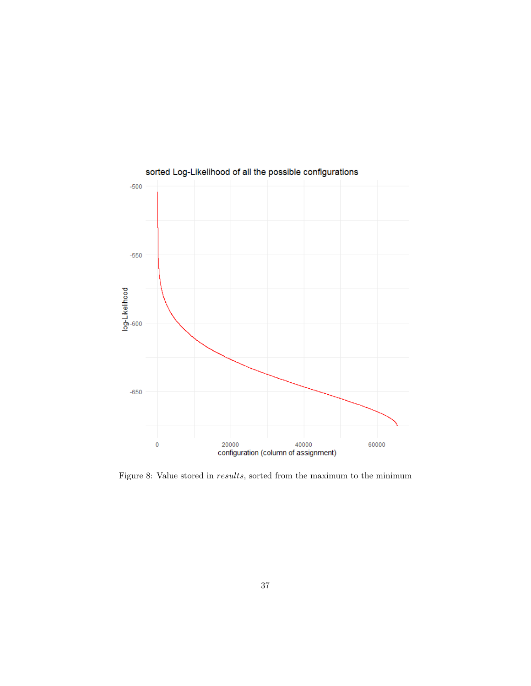

Figure 8: Value stored in results, sorted from the maximum to the minimum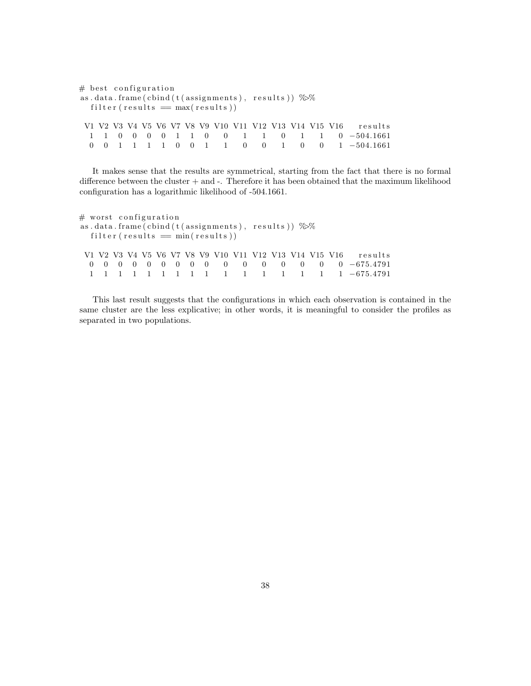```
# best configuration
as.data.frame(\text{cbind}(\text{t}(\text{assignments}), \text{results})) %%
  filter (results = max(results))V1 V2 V3 V4 V5 V6 V7 V8 V9 V10 V11 V12 V13 V14 V15 V16 results
  1 1 0 0 0 0 1 1 0 0 1 1 0 1 1 0 −504.1661
  0 0 1 1 1 1 0 0 1 1 0 0 1 0 0 1 −504.1661
```
It makes sense that the results are symmetrical, starting from the fact that there is no formal difference between the cluster  $+$  and  $-$ . Therefore it has been obtained that the maximum likelihood configuration has a logarithmic likelihood of -504.1661.

```
# worst configuration
as.data.frame(\text{cbind}(\text{t}(\text{assignments}), \text{results})) %%
  filter (results = min(results))V1 V2 V3 V4 V5 V6 V7 V8 V9 V10 V11 V12 V13 V14 V15 V16 results
  0 0 0 0 0 0 0 0 0 0 0 0 0 0 0 0 −675.4791
  1 1 1 1 1 1 1 1 1 1 1 1 1 1 1 1 −675.4791
```
This last result suggests that the configurations in which each observation is contained in the same cluster are the less explicative; in other words, it is meaningful to consider the profiles as separated in two populations.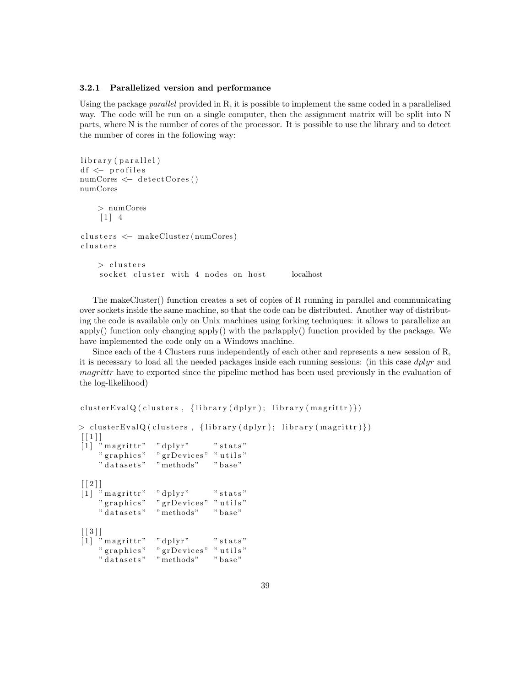#### 3.2.1 Parallelized version and performance

Using the package parallel provided in R, it is possible to implement the same coded in a parallelised way. The code will be run on a single computer, then the assignment matrix will be split into N parts, where N is the number of cores of the processor. It is possible to use the library and to detect the number of cores in the following way:

```
library (parallel)
df <- profiles
numCores \leftarrow detectCores()numCores
    > numCores
     \begin{bmatrix} 1 \end{bmatrix} 4
clusters <- makeCluster (numCores)
c l u s t e r s
    > clusters
     socket cluster with 4 nodes on host bocalhost
```
The makeCluster() function creates a set of copies of R running in parallel and communicating over sockets inside the same machine, so that the code can be distributed. Another way of distributing the code is available only on Unix machines using forking techniques: it allows to parallelize an apply() function only changing apply() with the parlapply() function provided by the package. We have implemented the code only on a Windows machine.

Since each of the 4 Clusters runs independently of each other and represents a new session of R, it is necessary to load all the needed packages inside each running sessions: (in this case dplyr and magrittr have to exported since the pipeline method has been used previously in the evaluation of the log-likelihood)

```
clusterEvalQ (clusters, {library ( dplyr ); library ( margin (margin) })
```

```
> cluster EvalQ ( clusters, {library ( dplyr ); library ( magrittr ) })
[[1] " magrittr" = "dplyr" = " stats"<br>" graphics" = " grDevices" = " utils"
                     " grDevices" " utils"
     " datasets" " "methods" " base"
\lceil \lceil 2 \rceil \rceil[1] " magrittr" = " dplyr" = " stats"<br>" graphics" = " grDevices" = " utils"
                     " grDevices" " utils"
     " datasets" methods" "base"
[[3]][1] " magrittr" " dplyr" " stats"
     " graphics" " grDevices" " utils"
     " datasets" " methods" " base"
```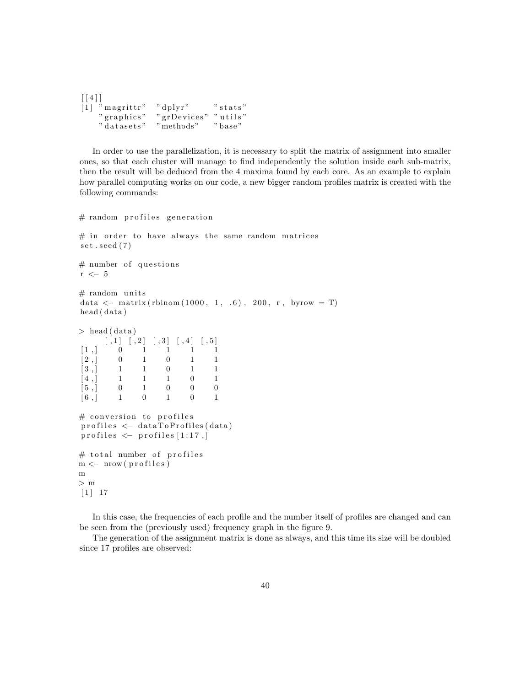```
\lceil [4] \rceil[1] " magrittr" = " dplyr" = " stats"<br>" graphics" = " grDevices" = " utils"
                              " grDevices" " utils"<br>" methods" = " base"
      " datasets" " methods" " base"
```
In order to use the parallelization, it is necessary to split the matrix of assignment into smaller ones, so that each cluster will manage to find independently the solution inside each sub-matrix, then the result will be deduced from the 4 maxima found by each core. As an example to explain how parallel computing works on our code, a new bigger random profiles matrix is created with the following commands:

```
# random profiles generation
# in order to have always the same random matrices
set . seed (7)# number of questions
r \leftarrow 5
# random units
data \leftarrow matrix (rbinom (1000, 1, .6), 200, r, byrow = T)
head ( data )
> head (data)
           \begin{bmatrix} 1 \\ 1 \end{bmatrix} \begin{bmatrix} 1 \\ 2 \\ 1 \end{bmatrix} \begin{bmatrix} 1 \\ 3 \\ 1 \end{bmatrix} \begin{bmatrix} 1 \\ 4 \\ 1 \end{bmatrix} \begin{bmatrix} 1 \\ 5 \\ 1 \end{bmatrix}[1,] 0 1 1 1 1 1\begin{bmatrix} 2 \end{bmatrix} 0 1 0 1 1
[3, 1 \ 1 \ 1 \ 0 \ 1 \ 1][4,] 1 1 1 0 1
\begin{array}{cccccccccccccc} \hspace{0.2cm} & [5 \ , \vert \hspace{0.2cm} & 0 \hspace{0.2cm} & 1 \hspace{0.2cm} & 0 \hspace{0.2cm} & 0 \hspace{0.2cm} & 0 \hspace{0.2cm} & 0 \hspace{0.2cm} & 0 \hspace{0.2cm} & 0 \hspace{0.2cm} & 0 \hspace{0.2cm} & 0 \hspace{0.2cm} & 0 \hspace{0.2cm} & 0 \hspace{0.2cm} & 0 \hspace{0.2cm} & 0 \hspace{0.2cm} & 0 \hspace{0.2cm} & 0 \hs[6,] 1 0 1 0 1
# conversion to profiles
profiles \leftarrow data ToProfiles (data)profiles \leftarrow profiles [1:17,]
# total number of profiles
m \leftarrow \text{now} (\text{profiles})m
> m
\lceil 1 \rceil 17
```
In this case, the frequencies of each profile and the number itself of profiles are changed and can be seen from the (previously used) frequency graph in the figure 9.

The generation of the assignment matrix is done as always, and this time its size will be doubled since 17 profiles are observed: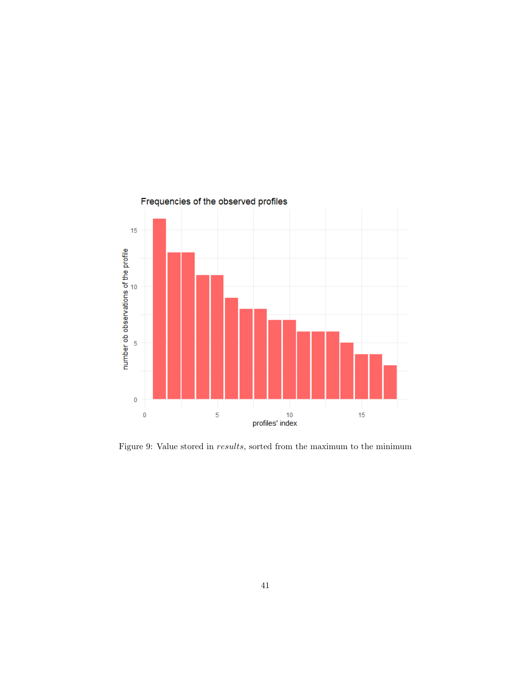

Figure 9: Value stored in  $results$ , sorted from the maximum to the minimum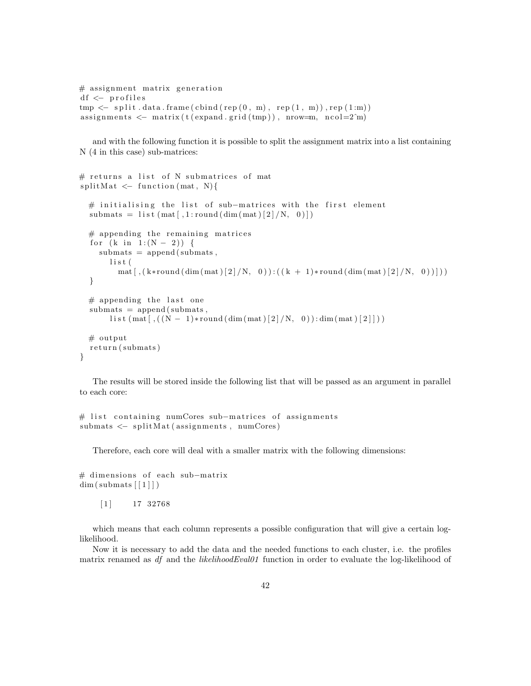```
# assignment matrix generation
df \leftarrow profiles
tmp \leq - split data frame(cbind(rep(0, m), rep(1, m)), rep(1:m))assignments \leq matrix (t(expand.grid(tmp)), nrow=m, ncol=2\hat{m})
```
and with the following function it is possible to split the assignment matrix into a list containing N (4 in this case) sub-matrices:

```
# returns a list of N submatrices of mat
splitMat \leftarrow function (mat, N){
  # initialising the list of sub-matrices with the first element
  submats = list (\text{mat} [\cdot, 1 : \text{round}(\text{dim}(\text{mat})[2]/N, 0)])# appending the remaining matrices
  for (k \in 1 : (N - 2)) {
     submats = append(submats,l i s t (
         mat [\, , (k*round(\dim(\text{mat})[2]/N, 0)) : ((k + 1)*round(\dim(\text{mat})[2]/N, 0)) ] )}
  # appending the last one
  submats = append(submats,l is t (mat [ , ((N-1)*round(dim(mat) [2]/N, 0)): dim (mat ) [2]]))
  # output
  return (submats)
}
```
The results will be stored inside the following list that will be passed as an argument in parallel to each core:

```
# list containing numCores sub-matrices of assignments
submats < - split Mat (assignments, numCores)
```
Therefore, each core will deal with a smaller matrix with the following dimensions:

# dimensions of each sub-matrix  $dim ( \text{ submats} [1])$ 

 $\begin{bmatrix} 1 \end{bmatrix}$  17 32768

which means that each column represents a possible configuration that will give a certain loglikelihood.

Now it is necessary to add the data and the needed functions to each cluster, i.e. the profiles matrix renamed as df and the *likelihoodEval01* function in order to evaluate the log-likelihood of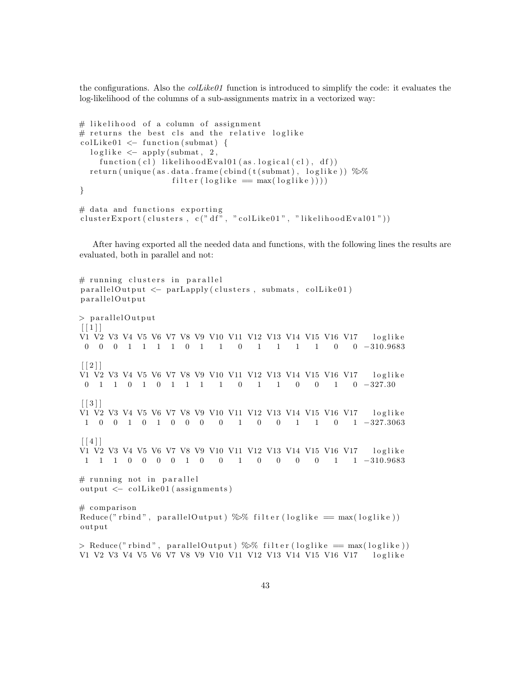the configurations. Also the  $collike01$  function is introduced to simplify the code: it evaluates the log-likelihood of the columns of a sub-assignments matrix in a vectorized way:

```
# likelihood of a column of assignment
# returns the best cls and the relative loglike
\text{collike01}\leq\text{function}\left(\text{submat}\right)\leqlog like < apply (submat, 2,
     function ( c!) likelihood Eval01 ( as. logical ( c!) , df ))return (unique (as. data. frame (cbind (t (submat), loglike)) \%%
                      filter (loglike = max(loglike)))}
# data and functions exporting
```

```
{\tt clusterExpert}\,({\tt clusters}\;,\;{\tt c}("{\tt df}"\;,\; "{\tt collike01}"\;,\; "{\tt likelihoodEval01"}))
```
After having exported all the needed data and functions, with the following lines the results are evaluated, both in parallel and not:

```
# running clusters in parallel
parallelOutput \leftarrow parLapply (clusters , submats , colLike01)parallelOutput
> parallelOutput
[ [ 1 ] ]V1 V2 V3 V4 V5 V6 V7 V8 V9 V10 V11 V12 V13 V14 V15 V16 V17 loglike
 0 0 0 1 1 1 1 0 1 1 0 1 1 1 1 0 0 −310.9683
\lceil \lceil 2 \rceil \rceilV1 V2 V3 V4 V5 V6 V7 V8 V9 V10 V11 V12 V13 V14 V15 V16 V17 loglike
 0 1 1 0 1 0 1 1 1 1 0 1 1 0 0 1 0 −327.30
\lceil 3 \rceilV1 V2 V3 V4 V5 V6 V7 V8 V9 V10 V11 V12 V13 V14 V15 V16 V17 loglike
1 0 0 1 0 1 0 0 0 0 1 0 0 1 1 0 1 −327.3063
\lceil [ 4 ] ]
V1 V2 V3 V4 V5 V6 V7 V8 V9 V10 V11 V12 V13 V14 V15 V16 V17 loglike
1 1 1 0 0 0 0 1 0 0 1 0 0 0 0 1 1 −310.9683
# running not in parallel
output \leftarrow colllike01 (assignments)# comparison
Reduce (" rbind", parallel Output ) \frac{1}{2} filter (loglike = max(loglike))
output
> Reduce (" rbind", parallel Output ) \gg filter (loglike = max (loglike))
V1 V2 V3 V4 V5 V6 V7 V8 V9 V10 V11 V12 V13 V14 V15 V16 V17 loglike
```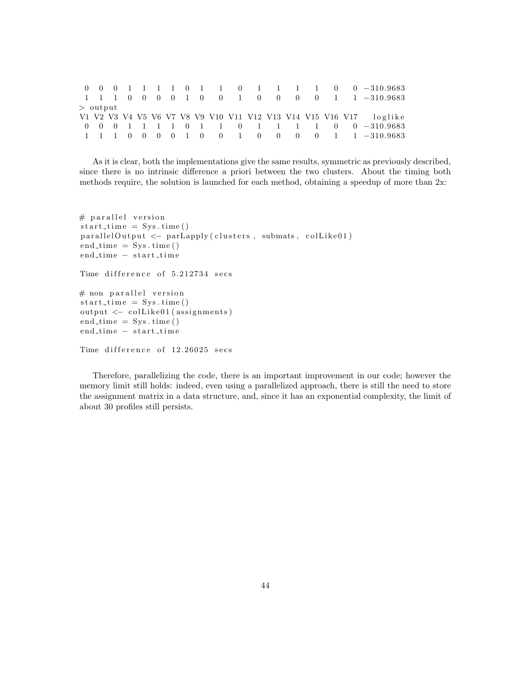|            |  |  |  |  |  |  |  | 0 0 0 1 1 1 0 1 1 0 1 1 1 1 0 0 -310.9683                          |
|------------|--|--|--|--|--|--|--|--------------------------------------------------------------------|
|            |  |  |  |  |  |  |  | 1 1 1 0 0 0 0 1 0 0 1 0 0 0 0 0 1 1 -310.9683                      |
| $>$ output |  |  |  |  |  |  |  |                                                                    |
|            |  |  |  |  |  |  |  |                                                                    |
|            |  |  |  |  |  |  |  | V1 V2 V3 V4 V5 V6 V7 V8 V9 V10 V11 V12 V13 V14 V15 V16 V17 loglike |
|            |  |  |  |  |  |  |  | 0 0 0 1 1 1 0 1 1 0 1 1 1 1 0 0 -310.9683                          |
|            |  |  |  |  |  |  |  |                                                                    |

As it is clear, both the implementations give the same results, symmetric as previously described, since there is no intrinsic difference a priori between the two clusters. About the timing both methods require, the solution is launched for each method, obtaining a speedup of more than 2x:

```
# parallel version
start_time = Sys.time()parallelOutput \leftarrow parLapply(clusters, submats, colLike01)end_time = Sys.time()end_time - start_time
Time difference of 5.212734 secs
# non parallel version
start_time = Sys.time()output \leftarrow colllike01 (assignments)end_time = Sys.time()end_time - start_time
Time difference of 12.26025 secs
```
Therefore, parallelizing the code, there is an important improvement in our code; however the memory limit still holds: indeed, even using a parallelized approach, there is still the need to store the assignment matrix in a data structure, and, since it has an exponential complexity, the limit of about 30 profiles still persists.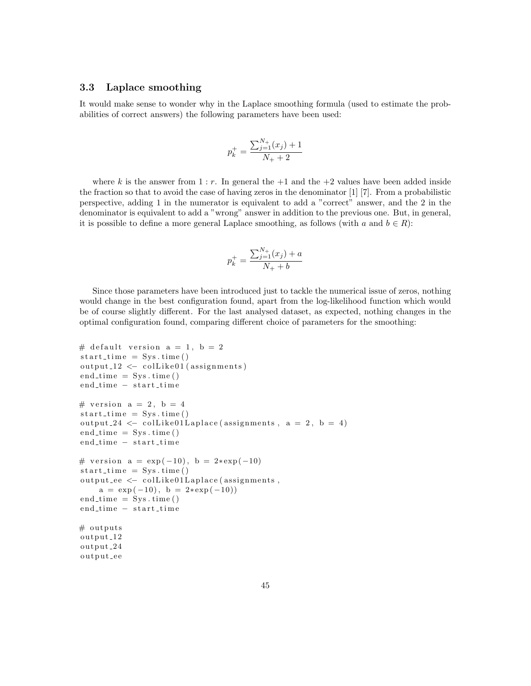## 3.3 Laplace smoothing

It would make sense to wonder why in the Laplace smoothing formula (used to estimate the probabilities of correct answers) the following parameters have been used:

$$
p_k^+ = \frac{\sum_{j=1}^{N_+} (x_j) + 1}{N_+ + 2}
$$

where k is the answer from 1 : r. In general the  $+1$  and the  $+2$  values have been added inside the fraction so that to avoid the case of having zeros in the denominator [1] [7]. From a probabilistic perspective, adding 1 in the numerator is equivalent to add a "correct" answer, and the 2 in the denominator is equivalent to add a "wrong" answer in addition to the previous one. But, in general, it is possible to define a more general Laplace smoothing, as follows (with a and  $b \in R$ ):

$$
p_k^+ = \frac{\sum_{j=1}^{N_+} (x_j) + a}{N_+ + b}
$$

Since those parameters have been introduced just to tackle the numerical issue of zeros, nothing would change in the best configuration found, apart from the log-likelihood function which would be of course slightly different. For the last analysed dataset, as expected, nothing changes in the optimal configuration found, comparing different choice of parameters for the smoothing:

```
# default version a = 1, b = 2start_time = Sys.time()output_12 \leftarrow colllike01 (assignments)end_time = Sys.time()end_time - start_time
# version a = 2, b = 4start_time = Sys.time()output 24 \leq \text{collike01Laplace} (assignments, a = 2, b = 4)
end_time = Sys.time()end_time - start_time
# version a = exp(-10), b = 2*exp(-10)start_time = Sys.time()output\_ee \leftarrow \text{colllike01Laplace} (assignments ,a = exp(-10), b = 2*exp(-10)end_time = Sys.time()end_time - start_time
# outputs
output<sub>-12</sub>
output<sub>-24</sub>
output_ee
```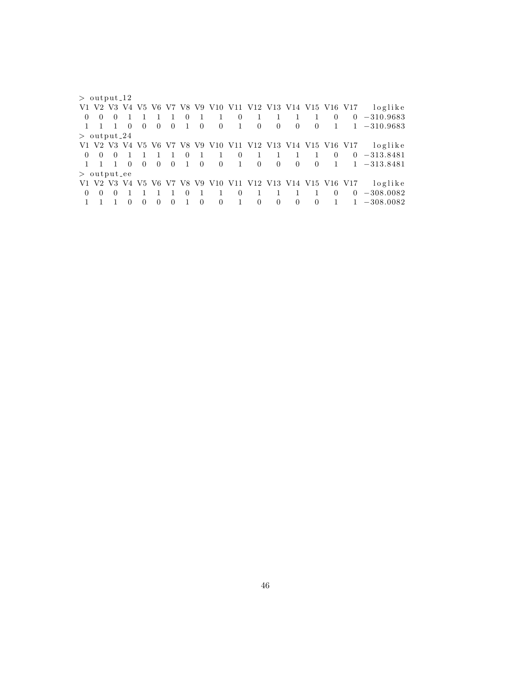$>$  output  $12$ V1 V2 V3 V4 V5 V6 V7 V8 V9 V10 V11 V12 V13 V14 V15 V16 V17 loglike 0 0 0 1 1 1 1 0 1 1 0 1 1 1 1 0 0 −310.9683 1 1 1 0 0 0 0 1 0 0 1 0 0 0 0 1 1 −310.9683  $>$  output  $24$ V1 V2 V3 V4 V5 V6 V7 V8 V9 V10 V11 V12 V13 V14 V15 V16 V17 loglike 0 0 0 1 1 1 1 0 1 1 0 1 1 1 1 0 0 −313.8481 1 1 1 0 0 0 0 1 0 0 1 0 0 0 0 1 1 −313.8481  $>$  output ee V1 V2 V3 V4 V5 V6 V7 V8 V9 V10 V11 V12 V13 V14 V15 V16 V17 loglike 0 0 0 1 1 1 1 0 1 1 0 1 1 1 1 0 0 −308.0082  $1 \quad 1 \quad 1 \quad 0 \quad 0 \quad 0 \quad 0 \quad 1 \quad 0$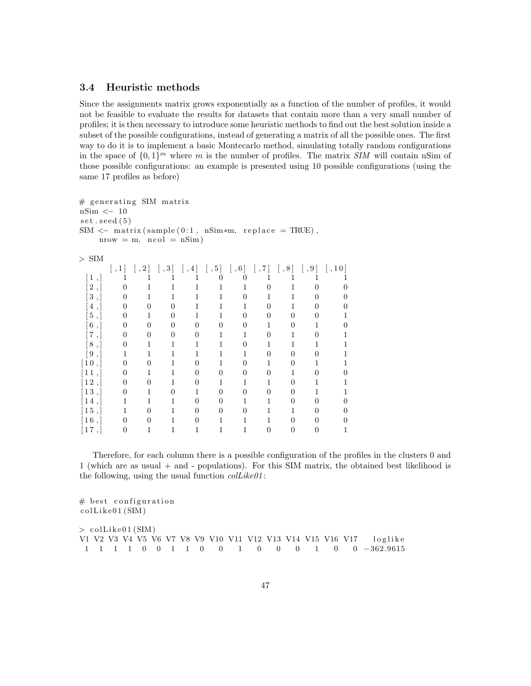## 3.4 Heuristic methods

Since the assignments matrix grows exponentially as a function of the number of profiles, it would not be feasible to evaluate the results for datasets that contain more than a very small number of profiles; it is then necessary to introduce some heuristic methods to find out the best solution inside a subset of the possible configurations, instead of generating a matrix of all the possible ones. The first way to do it is to implement a basic Montecarlo method, simulating totally random configurations in the space of  $\{0,1\}^m$  where m is the number of profiles. The matrix SIM will contain nSim of those possible configurations: an example is presented using 10 possible configurations (using the same 17 profiles as before)

```
# generating SIM matrix
nSim <− 10
set . seed (5)SIM \leftarrow matrix(sample(0:1, nSim*m, replace = TRUE),nrow = m, ncol = nSim)
> SIM
      \begin{bmatrix} 1 \\ 1 \end{bmatrix} \begin{bmatrix} 1 \\ 2 \end{bmatrix} \begin{bmatrix} 1 \\ 3 \end{bmatrix} \begin{bmatrix} 1 \\ 4 \end{bmatrix} \begin{bmatrix} 1 \\ 5 \end{bmatrix} \begin{bmatrix} 1 \\ 6 \end{bmatrix} \begin{bmatrix} 1 \\ 7 \end{bmatrix} \begin{bmatrix} 1 \\ 8 \end{bmatrix} \begin{bmatrix} 1 \\ 9 \end{bmatrix} \begin{bmatrix} 1 \\ 1 \end{bmatrix}[1, 1 1 1 1 1 0 0 1 1 1 1[2,] 0 1 1 1 1 1 1 0 1 0 0[3, 0 \t 1 \t 1 \t 1 \t 1 \t 0 \t 1 \t 1 \t 0 \t 0[4, ] 0 0 0 1 1 1 0 1 0 0[5,] 0 1 0 1 1 0 0 0 0 1[6,] 0 0 0 0 0 0 0 1 0 1 0[7,] 0 0 0 0 1 1 0 1 0 1[8, 0 \t 1 \t 1 \t 1 \t 1 \t 0 \t 1 \t 1 \t 1 \t 1[9, 1 \ 1 \ 1 \ 1 \ 1 \ 1 \ 1 \ 0 \ 0 \ 0 \ 1[10], 0 0 1 0 1 0 1 0 1 1
[11, 0 1 1 0 0 0 0 1 0 0[12], 0 0 1 0 1 1 1 0 1 1
[13, 0 1 0 1 0 0 0 0 1 1[14, 1 \quad 1 \quad 1 \quad 0 \quad 0 \quad 1 \quad 1 \quad 0 \quad 0[15, 1 \ 1 \ 0 \ 1 \ 0 \ 0 \ 0 \ 1 \ 1 \ 0 \ 0[16, 0 0 1 0 1 1 1 0 0 0[17, 0 \t 1 \t 1 \t 1 \t 1 \t 0 \t 0 \t 1
```
Therefore, for each column there is a possible configuration of the profiles in the clusters 0 and 1 (which are as usual + and - populations). For this SIM matrix, the obtained best likelihood is the following, using the usual function  $collike01$ :

 $#$  best configuration c ol Li k e 0 1 (SIM )  $>$  collike 01 (SIM) V1 V2 V3 V4 V5 V6 V7 V8 V9 V10 V11 V12 V13 V14 V15 V16 V17 loglike 1 1 1 1 0 0 1 1 0 0 1 0 0 0 1 0 0 −362.9615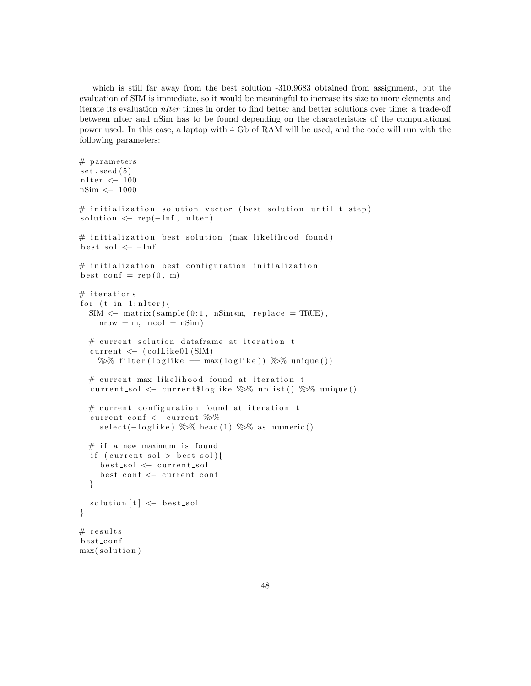which is still far away from the best solution -310.9683 obtained from assignment, but the evaluation of SIM is immediate, so it would be meaningful to increase its size to more elements and iterate its evaluation nIter times in order to find better and better solutions over time: a trade-off between nIter and nSim has to be found depending on the characteristics of the computational power used. In this case, a laptop with 4 Gb of RAM will be used, and the code will run with the following parameters:

```
# parameters
set . seed (5)nIter < - 100
nSim <− 1000
# initialization solution vector (best solution until t step)
solution < - rep(-Inf, nIter)# initialization best solution (max likelihood found)
best\_sol \leq -Inf# initialization best configuration initialization
best\_conf = rep(0, m)# iterations
for (t \text{ in } 1 \text{: nIter})SIM \leq matrix (sample (0:1, nSim*m, replace = TRUE),
    nrow = m, ncol = nSim)\# current solution dataframe at iteration t
  current \leftarrow (collike01(SIM))\% filter (loglike = max(loglike)) \% unique())
  \# current max likelihood found at iteration t
  current_sol \leq current$loglike \%% unlist () \%% unique ()
  # current configuration found at iteration t
  current_conf \le current %%
    select (-\loglike) %\% head (1) %\% as . numeric ()
  # if a new maximum is found
  if (\text{current\_sol} > \text{best\_sol}){
    b e st_sol <- current_sol
    best_conf <- current_conf
  }
  solution [t] \leftarrow best\_sol}
# results
best_conf
max(solution)
```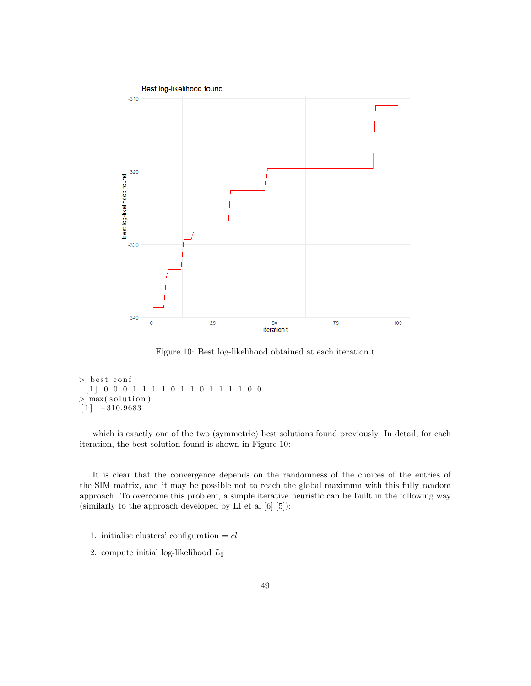

Figure 10: Best log-likelihood obtained at each iteration t

```
> best_conf
 [1] 0 0 0 1 1 1 1 0 1 1 0 1 1 1 1 0 0> max(solution)
[1] -310.9683
```
which is exactly one of the two (symmetric) best solutions found previously. In detail, for each iteration, the best solution found is shown in Figure 10:

It is clear that the convergence depends on the randomness of the choices of the entries of the SIM matrix, and it may be possible not to reach the global maximum with this fully random approach. To overcome this problem, a simple iterative heuristic can be built in the following way (similarly to the approach developed by LI et al [6] [5]):

- 1. initialise clusters' configuration  $= cl$
- 2. compute initial log-likelihood  $L_0$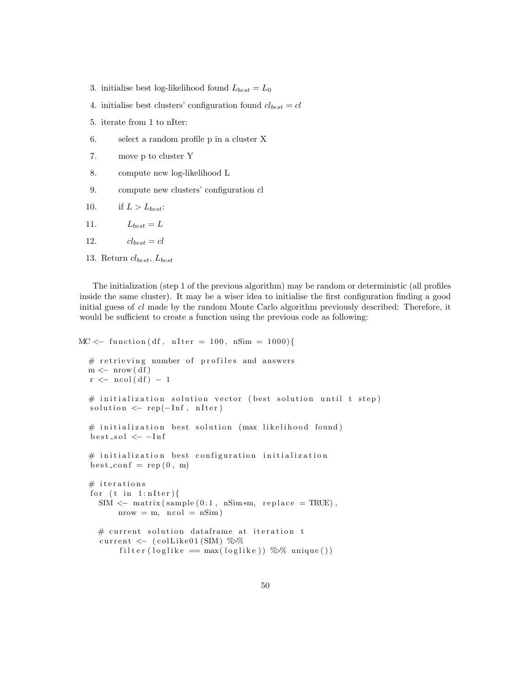- 3. initialise best log-likelihood found  $L_{best} = L_0$
- 4. initialise best clusters' configuration found  $cl_{best} = cl$
- 5. iterate from 1 to nIter:
- 6. select a random profile p in a cluster X
- 7. move p to cluster Y
- 8. compute new log-likelihood L
- 9. compute new clusters' configuration cl
- 10. if  $L > L_{best}$ :
- 11.  $L_{best} = L$
- 12.  $cl_{best} = cl$
- 13. Return  $cl_{best}$ ,  $L_{best}$

The initialization (step 1 of the previous algorithm) may be random or deterministic (all profiles inside the same cluster). It may be a wiser idea to initialise the first configuration finding a good initial guess of cl made by the random Monte Carlo algorithm previously described: Therefore, it would be sufficient to create a function using the previous code as following:

```
MC \leftarrow function (df, nIter = 100, nSim = 1000){
  # retrieving number of profiles and answers
  m \leftarrow \text{now}(\text{df})r \leftarrow \text{ncol}(df) - 1# initialization solution vector (best solution until t step)
  solution \leftarrow rep(-\text{Inf}, \text{ nIter})\# initialization best solution (max likelihood found)
  best\_sol \leq -Inf# initialization best configuration initialization
  best\_conf = rep(0, m)# iterations
  for (t \text{ in } 1 \text{: nIter})SIM < - matrix (sample (0:1, nSim*m, replace = TRUE),
         nrow = m, ncol = nSim)
    # current solution dataframe at iteration t
     current \langle - \rangle (collike 01 (SIM) %%
          filter (loglike = max(loglike)) \% unique ())
```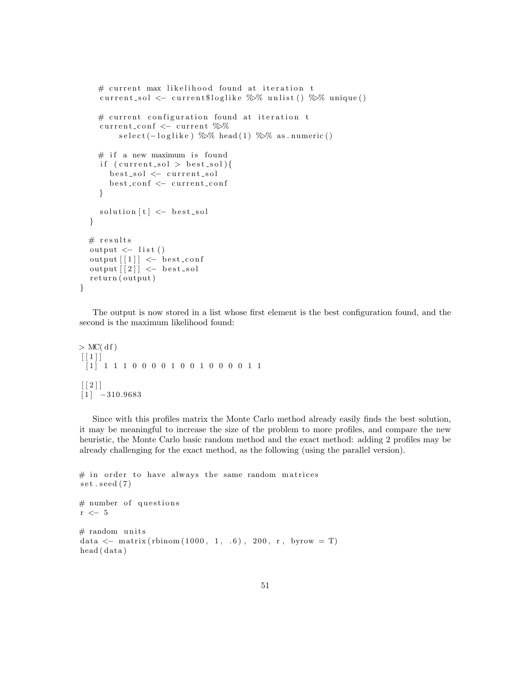```
# current max likelihood found at iteration t
  current_sol <- current$loglike \%% unlist () \%% unique ()
  # current configuration found at iteration t
  current_conf \leq current \%select (-loglike) %% head (1) %% as . numeric ()
  # if a new maximum is found
  if (\text{current\_sol} > \text{best\_sol}){
    best_sol <- current_sol
    best_conf <- current_conf
  }
  solution [t] \leftarrow best\_sol}
# results
output \langle - list()
output [1] \leftarrow best_conf
output [2] \leftarrow best_sol
return (output)
```
The output is now stored in a list whose first element is the best configuration found, and the second is the maximum likelihood found:

```
>MC(d f)[1][ 1 ] 1 1 1 0 0 0 0 1 0 0 1 0 0 0 0 1 1
\left[ \left[ 2 \right] \right][1] -310.9683
```
}

Since with this profiles matrix the Monte Carlo method already easily finds the best solution, it may be meaningful to increase the size of the problem to more profiles, and compare the new heuristic, the Monte Carlo basic random method and the exact method: adding 2 profiles may be already challenging for the exact method, as the following (using the parallel version).

```
# in order to have always the same random matrices
set . seed (7)# number of questions
r <− 5
# random units
data \leftarrow matrix (rbinom (1000, 1, .6), 200, r, byrow = T)
head ( data )
```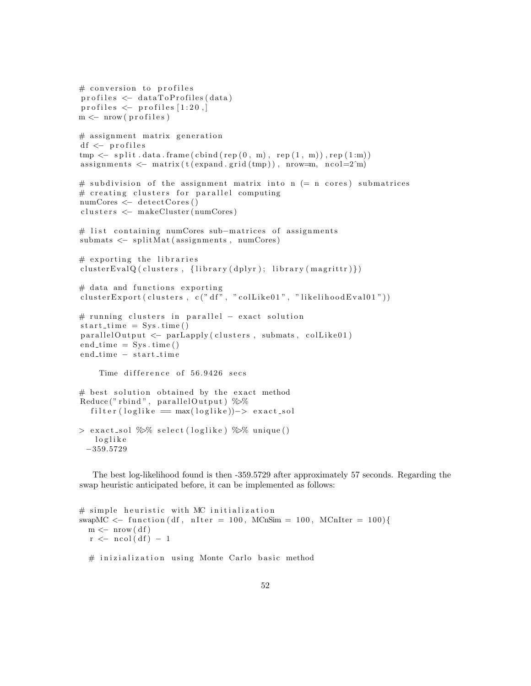```
# conversion to profiles
\text{profiles} \leftarrow \text{dataToProfiles}(\text{data})profiles \leftarrow profiles [1:20,m \leftarrow \text{now} (\text{profiles})# assignment matrix generation
df \leftarrow profiles
tmp \leftarrow split.data frame(cbind(rep(0, m), rep(1, m)), rep(1:m))assignments \leq matrix (t (expand.grid (tmp)), nrow=m, ncol=2\hat{m})
# subdivision of the assignment matrix into n (= n cores) submatrices
# creating clusters for parallel computing
numCores \leftarrow detectCores()clusters <- makeCluster (numCores)
# list containing numCores sub-matrices of assignments
submats < - splitMat(assignment, numCores)# exporting the libraries
clusterEvalQ (clusters, {library ( dplyr ); library ( margin (margin) })# data and functions exporting
cluster Export ( clusters , c(" df", " collike01", " likelihoodEval01"))# running clusters in parallel - exact solution
start_time = Sys.time()parallel Output \leftarrow parLapply (clusters, submats, colLike01)end_time = Sys.time()end_time – start_time
    Time difference of 56.9426 secs
# best solution obtained by the exact method
Reduce ("rbind", parallel Output) \%%
  filter (loglike = max(loglike))->exact\_sol> exact_sol \frac{1}{2}\% select (loglike) \frac{1}{2}\% unique ()
   l o g l i k e
 −359.5729
```
The best log-likelihood found is then -359.5729 after approximately 57 seconds. Regarding the swap heuristic anticipated before, it can be implemented as follows:

```
# simple heuristic with MC initialization
swapMC \langle function (df, nIter = 100, MCnSim = 100, MCnIter = 100){
  m \leftarrow \text{now}(\text{df})r \leftarrow \text{ncol}(df) - 1# inizialization using Monte Carlo basic method
```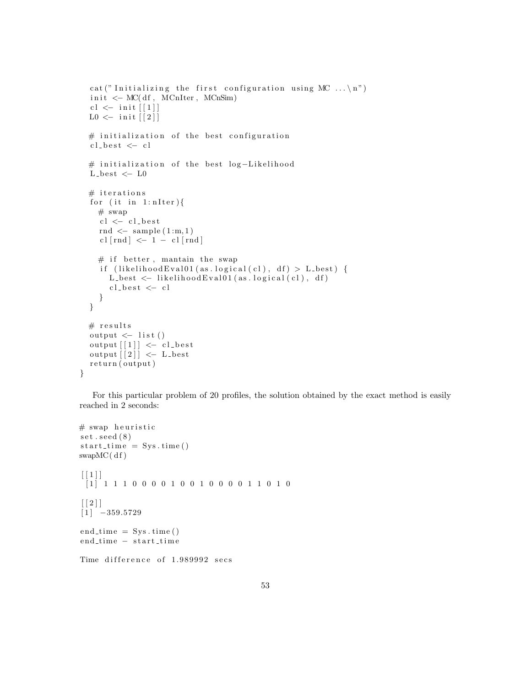```
cat ("Initializing the first configuration using MC \ldots \n")
init \leq -MC(df, MCnIter, MCnSim)cl \leftarrow init [1]L0 \leftarrow \text{init} [[2]]# initialization of the best configuration
cl\_best \leq cl# initialization of the best log-Likelihood
L-best \leftarrow L0# iterations
for (it in 1: nIter){
  # swap
  cl \leftarrow cl\_bestrnd \leq sample (1:m,1)cl [rnd] \leq -1 - cl [rnd]# if better, mantain the swap
  if (likelihood Eval01 (as. logical (cl), df) > L_best) {
     L_{best} \leftarrow likelihood Eval01 (as. logical (cl), df)
     cl\_best \leftarrow cl}
}
# results
output \leftarrow list ()
output [1] \leftarrow cl_best
output \lceil 2 \rceil \leq L best
return (output)
```
For this particular problem of 20 profiles, the solution obtained by the exact method is easily reached in 2 seconds:

```
# swap heuristic
set . seed (8)start_time = Sys.time()swapMC(df)\lceil \lceil 1 \rceil \rceil[ 1 ] 1 1 1 0 0 0 0 1 0 0 1 0 0 0 0 1 1 0 1 0
\lceil \lceil 2 \rceil \rceil[1] -359.5729
end_time = Sys.time()end_time – start_time
Time difference of 1.989992 secs
```
}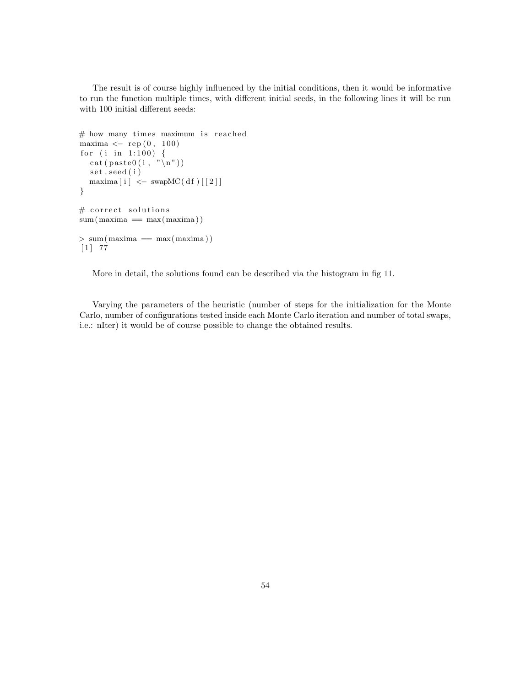The result is of course highly influenced by the initial conditions, then it would be informative to run the function multiple times, with different initial seeds, in the following lines it will be run with 100 initial different seeds:

```
# how many times maximum is reached
maxima \leftarrow rep (0, 100)for (i \text{ in } 1:100) {
  c a t ( p a s t e 0 ( i , "\n " ) )
   set.seed(i)
  maxima[i] < -swapMC(df)[2]}
# correct solutions
sum (maxima == max(maxima))> \text{sum}(\text{maxima} = \text{max}(\text{maxima}))[1] 77
```
More in detail, the solutions found can be described via the histogram in fig 11.

Varying the parameters of the heuristic (number of steps for the initialization for the Monte Carlo, number of configurations tested inside each Monte Carlo iteration and number of total swaps, i.e.: nIter) it would be of course possible to change the obtained results.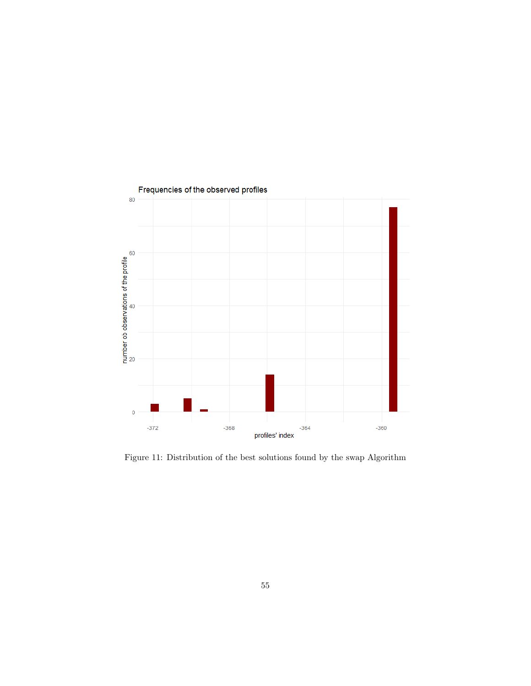

Figure 11: Distribution of the best solutions found by the swap Algorithm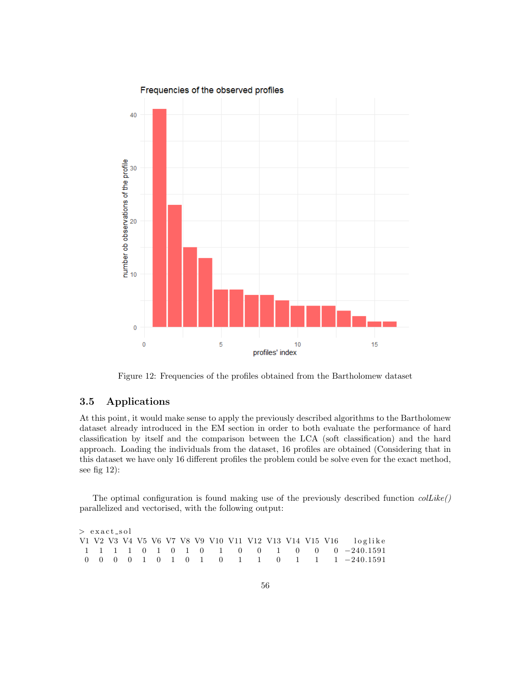

Figure 12: Frequencies of the profiles obtained from the Bartholomew dataset

## 3.5 Applications

At this point, it would make sense to apply the previously described algorithms to the Bartholomew dataset already introduced in the EM section in order to both evaluate the performance of hard classification by itself and the comparison between the LCA (soft classification) and the hard approach. Loading the individuals from the dataset, 16 profiles are obtained (Considering that in this dataset we have only 16 different profiles the problem could be solve even for the exact method, see fig 12):

The optimal configuration is found making use of the previously described function  $collike()$ parallelized and vectorised, with the following output:

 $>$  exact\_sol V1 V2 V3 V4 V5 V6 V7 V8 V9 V10 V11 V12 V13 V14 V15 V16 loglike 1 1 1 1 0 1 0 1 0 1 0 0 1 0 0 0 −240.1591 0 0 0 0 1 0 1 0 1 0 1 1 0 1 1 1 −240.1591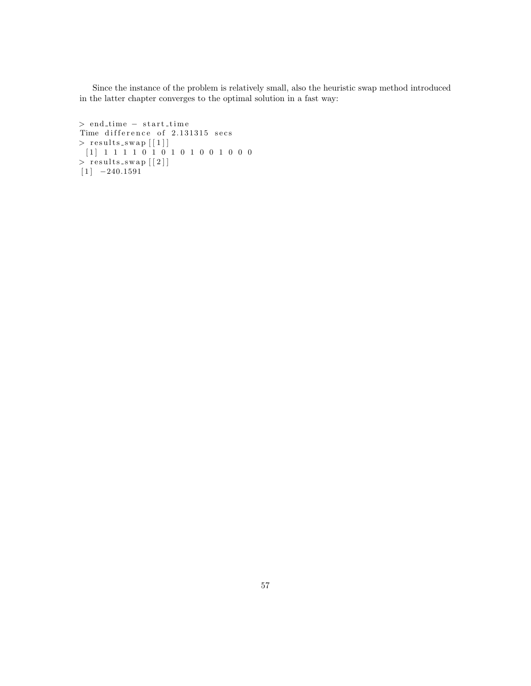Since the instance of the problem is relatively small, also the heuristic swap method introduced in the latter chapter converges to the optimal solution in a fast way:

```
> end_time – start_time
Time difference of 2.131315 secs
> results_swap \lceil \lceil 1 \rceil \rceil[ 1 ] 1 1 1 1 0 1 0 1 0 1 0 0 1 0 0 0
> results_swap [2]]
[1] -240.1591
```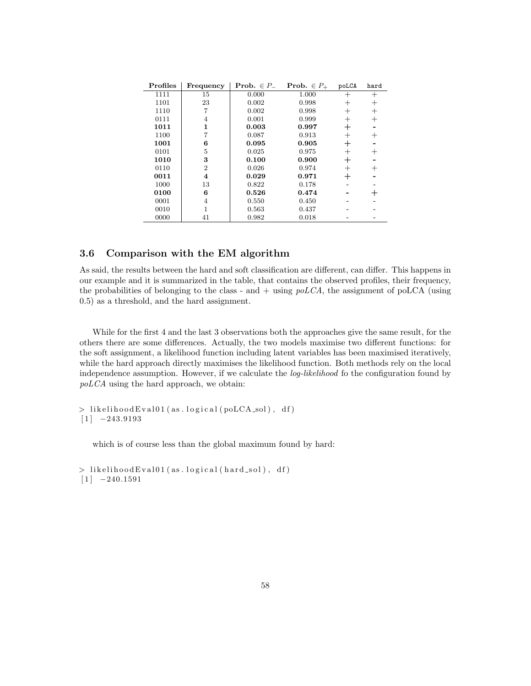| Profiles | Frequency      | <b>Prob.</b> $\in P_-$ | <b>Prob.</b> $\in P_+$ | poLCA | hard |
|----------|----------------|------------------------|------------------------|-------|------|
| 1111     | 15             | 0.000                  | 1.000                  | $^+$  | $^+$ |
| 1101     | 23             | 0.002                  | 0.998                  | $\pm$ | $^+$ |
| 1110     |                | 0.002                  | 0.998                  | $^+$  | $^+$ |
| 0111     | 4              | 0.001                  | 0.999                  | $^+$  | $^+$ |
| 1011     | 1              | 0.003                  | 0.997                  |       |      |
| 1100     |                | 0.087                  | 0.913                  | $^+$  |      |
| 1001     | 6              | 0.095                  | 0.905                  |       |      |
| 0101     | 5              | 0.025                  | 0.975                  | $^+$  | $^+$ |
| 1010     | 3              | 0.100                  | 0.900                  |       |      |
| 0110     | $\overline{2}$ | 0.026                  | 0.974                  | $^+$  | $^+$ |
| 0011     | 4              | 0.029                  | 0.971                  |       |      |
| 1000     | 13             | 0.822                  | 0.178                  |       |      |
| 0100     | 6              | 0.526                  | 0.474                  |       |      |
| 0001     | 4              | 0.550                  | 0.450                  |       |      |
| 0010     |                | 0.563                  | 0.437                  |       |      |
| 0000     | 41             | 0.982                  | 0.018                  |       |      |

# 3.6 Comparison with the EM algorithm

As said, the results between the hard and soft classification are different, can differ. This happens in our example and it is summarized in the table, that contains the observed profiles, their frequency, the probabilities of belonging to the class - and  $+$  using  $poLCA$ , the assignment of poLCA (using 0.5) as a threshold, and the hard assignment.

While for the first 4 and the last 3 observations both the approaches give the same result, for the others there are some differences. Actually, the two models maximise two different functions: for the soft assignment, a likelihood function including latent variables has been maximised iteratively, while the hard approach directly maximises the likelihood function. Both methods rely on the local independence assumption. However, if we calculate the *log-likelihood* fo the configuration found by poLCA using the hard approach, we obtain:

 $>$  likelihood Eval01 (as. logical (poLCA\_sol), df)  $[1]$  -243.9193

which is of course less than the global maximum found by hard:

```
> likelihood Eval01 (as. logical (hard_sol), df)
[1] -240.1591
```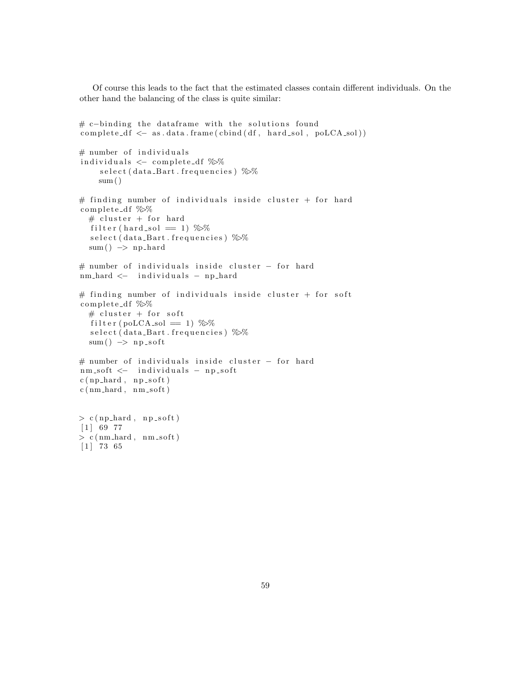Of course this leads to the fact that the estimated classes contain different individuals. On the other hand the balancing of the class is quite similar:

```
# c−binding the dataframe with the solutions found
complete\_df \leq -as.data frame(cbind(df, hard_sol, polCA_sol))# number of individuals
individuals \, \leftarrow \, \texttt{complete\_df} \, \, \% \%select (data_Bart . frequencies) %%
    sum()# finding number of individuals inside cluster + for hard
complete_df %%
  # cluster + for hard
  filter (hard_sol = 1) \%select (data_Bart . frequencies) %%
  sum() \Rightarrow np-hard# number of individuals inside cluster - for hard
nm_hard <− individuals - np_hard
# finding number of individuals inside cluster + for soft
complete_df %%
  # cluster + for soft
  filter (poLCA_sol = 1) \%select (data_Bart.frequencies) %%
  sum() \rightarrow np\_soft# number of individuals inside cluster - for hard
nm_soft <− individuals - np_soft
c(np-hard, np.sort)c(nm\_hard, nm\_soft)> c(np-hard, np.sort)[1] 69 77
> c (nm hard, nm soft)
[1] 73 65
```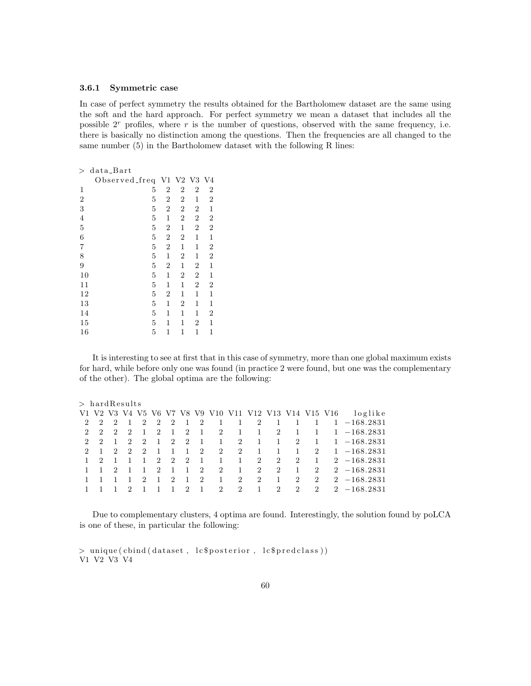#### 3.6.1 Symmetric case

In case of perfect symmetry the results obtained for the Bartholomew dataset are the same using the soft and the hard approach. For perfect symmetry we mean a dataset that includes all the possible  $2<sup>r</sup>$  profiles, where r is the number of questions, observed with the same frequency, i.e. there is basically no distinction among the questions. Then the frequencies are all changed to the same number (5) in the Bartholomew dataset with the following R lines:

| $\rm{>}$       | data_Bart      |                |                  |                |                |  |
|----------------|----------------|----------------|------------------|----------------|----------------|--|
|                | Observed_freq  | $\rm{V1}$      | $\rm V2$         | V3             | V <sub>4</sub> |  |
| 1              | 5              | $\overline{2}$ | $\overline{2}$   | $\overline{2}$ | $\sqrt{2}$     |  |
| $\overline{2}$ | 5              | $\sqrt{2}$     | $\boldsymbol{2}$ | 1              | $\overline{2}$ |  |
| 3              | 5              | $\overline{2}$ | $\overline{2}$   | $\overline{2}$ | 1              |  |
| 4              | 5              | 1              | 2                | $\overline{2}$ | $\overline{c}$ |  |
| $\overline{5}$ | $\overline{5}$ | $\overline{2}$ | 1                | $\overline{2}$ | $\overline{2}$ |  |
| 6              | $\overline{5}$ | $\overline{2}$ | $\overline{2}$   | 1              | 1              |  |
| 7              | $\overline{5}$ | $\overline{2}$ | 1                | 1              | $\overline{2}$ |  |
| 8              | 5              | 1              | $\overline{2}$   | 1              | $\overline{2}$ |  |
| 9              | 5              | $\overline{2}$ | 1                | 2              | 1              |  |
| 10             | $\overline{5}$ | 1              | 2                | $\overline{2}$ | 1              |  |
| 11             | 5              | 1              | 1                | $\overline{2}$ | $\overline{2}$ |  |
| 12             | 5              | $\overline{2}$ | 1                | 1              | 1              |  |
| 13             | 5              | 1              | 2                | 1              | 1              |  |
| 14             | 5              | 1              | 1                | 1              | $\overline{2}$ |  |
| 15             | $\overline{5}$ | 1              | 1                | 2              | 1              |  |
| 16             | 5              | 1              | 1                | 1              | 1              |  |

It is interesting to see at first that in this case of symmetry, more than one global maximum exists for hard, while before only one was found (in practice 2 were found, but one was the complementary of the other). The global optima are the following:

#### $>$  hard Results

|             |               |                |                             |                |                                       |                           |                |                |                                   |                | V1 V2 V3 V4 V5 V6 V7 V8 V9 V10 V11 V12 V13 V14 V15 V16 |                |                |                | loglike        |
|-------------|---------------|----------------|-----------------------------|----------------|---------------------------------------|---------------------------|----------------|----------------|-----------------------------------|----------------|--------------------------------------------------------|----------------|----------------|----------------|----------------|
| $2^{\circ}$ | 2             | $\overline{2}$ | $\overline{1}$              | 2              | 2                                     | $\overline{2}$            | -1             | $\sim 2$       | $\begin{array}{cc} 1 \end{array}$ | $\mathbf{1}$   |                                                        | 2 1            | $\mathbf{1}$   |                | $1 - 168.2831$ |
| $2^{\circ}$ | $\mathcal{D}$ | $\overline{2}$ | $\mathcal{D}_{\mathcal{L}}$ | $\overline{1}$ | $\mathcal{D}$                         | $\overline{1}$            | $\overline{2}$ | - 1            | 2                                 | 1              | <sup>1</sup>                                           | $\overline{2}$ | $\mathbf{1}$   |                | $1 - 168.2831$ |
| $2^{\circ}$ | $\mathcal{D}$ |                | 2                           | $\overline{2}$ | -1                                    | $\mathbf{2}$              | 2              | $\overline{1}$ | $\mathbf{1}$                      | 2              | -1                                                     | 1              | $\overline{2}$ |                | $1 - 168.2831$ |
|             | $2 \quad 1$   | $\overline{2}$ | 2                           | $\overline{2}$ | $\overline{1}$                        |                           | $\mathbf{1}$   | 2              | 2                                 | 2              | -1                                                     | $\mathbf{1}$   | 1              | 2              | $1 - 168.2831$ |
|             |               |                |                             | $\overline{1}$ | $\overline{2}$                        | $\overline{\phantom{a}2}$ | 2              | $\overline{1}$ | $\mathbf{1}$                      | $\mathbf{1}$   | 2                                                      | $\overline{2}$ | $\overline{2}$ | $\overline{1}$ | $2 -168.2831$  |
|             |               | $\overline{2}$ | $\mathbf{1}$                | <sup>1</sup>   | -2                                    | $\mathbf{1}$              | -1             | $\overline{2}$ | 2                                 | $\mathbf{1}$   | 2                                                      | $\overline{2}$ | $\mathbf{1}$   | 2              | $2 -168.2831$  |
|             |               |                |                             | 2              | $\mathbf{1}$                          | $\overline{2}$            | $\overline{1}$ | $\overline{2}$ | $\overline{1}$                    | $\overline{2}$ | $\overline{2}$                                         | $\blacksquare$ | $\overline{2}$ | 2              | $2 -168.2831$  |
|             |               |                | $\mathcal{D}$               |                | $\begin{array}{cc} 1 & 1 \end{array}$ | $\overline{1}$            | $\overline{2}$ | $\frac{1}{2}$  |                                   | 2 2            | $\mathbf{1}$                                           | $\overline{2}$ | $\mathcal{D}$  | $2^{\circ}$    | $2 - 168.2831$ |
|             |               |                |                             |                |                                       |                           |                |                |                                   |                |                                                        |                |                |                |                |

Due to complementary clusters, 4 optima are found. Interestingly, the solution found by poLCA is one of these, in particular the following:

 $>$  unique ( cbind ( dataset, lc\$posterior, lc\$pred class )) V1 V2 V3 V4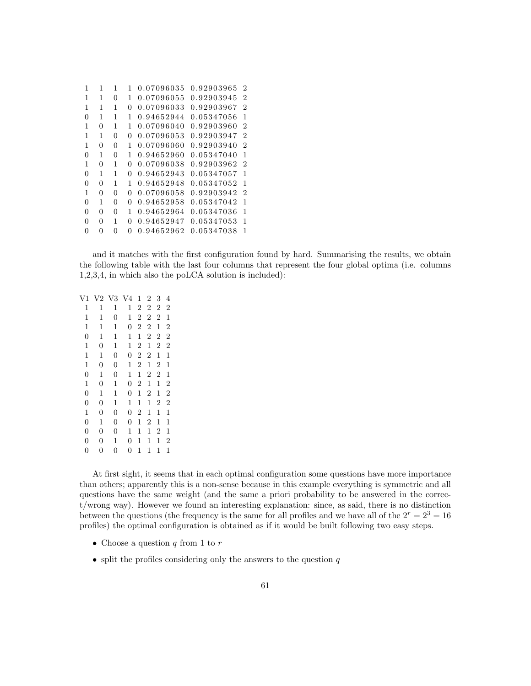| 1        | 1 | 1 |          | 0.07096035 | 0.92903965 | $\overline{2}$ |
|----------|---|---|----------|------------|------------|----------------|
| 1        | 1 | 0 | 1        | 0.07096055 | 0.92903945 | 2              |
| 1        | 1 | 1 | $\Omega$ | 0.07096033 | 0.92903967 | 2              |
| 0        | 1 | 1 | 1        | 0.94652944 | 0.05347056 | 1              |
| 1        | 0 | 1 | 1        | 0.07096040 | 0.92903960 | 2              |
| 1        | 1 | 0 | $\Omega$ | 0.07096053 | 0.92903947 | 2              |
| 1        | 0 | 0 | 1        | 0.07096060 | 0.92903940 | $\overline{2}$ |
| 0        | 1 | 0 | 1        | 0.94652960 | 0.05347040 | 1              |
| 1        | 0 | 1 | $\Omega$ | 0.07096038 | 0.92903962 | $\mathfrak{D}$ |
| $\Omega$ | 1 | 1 | 0        | 0.94652943 | 0.05347057 | 1              |
| 0        | 0 | 1 | 1        | 0.94652948 | 0.05347052 | 1              |
| 1        | 0 | 0 | $\theta$ | 0.07096058 | 0.92903942 | 2              |
| $\Omega$ | 1 | 0 | 0        | 0.94652958 | 0.05347042 | 1              |
| 0        | 0 | 0 | 1        | 0.94652964 | 0.05347036 | 1              |
| 0        | 0 | 1 | $\Omega$ | 0.94652947 | 0.05347053 | 1              |
| 0        | 0 | 0 | 0        | 0.94652962 | 0.05347038 | 1              |

and it matches with the first configuration found by hard. Summarising the results, we obtain the following table with the last four columns that represent the four global optima (i.e. columns 1,2,3,4, in which also the poLCA solution is included):

| V1             |                | V2 V3 V4         |                | 1              | $\overline{2}$   | 3              | $\overline{4}$ |  |
|----------------|----------------|------------------|----------------|----------------|------------------|----------------|----------------|--|
| 1              | 1              | 1                | 1              | $\overline{2}$ | 2                | $\overline{2}$ | $\overline{2}$ |  |
| 1              | 1              | $\overline{0}$   | 1              | $\overline{2}$ | $\boldsymbol{2}$ | $\overline{2}$ | 1              |  |
| 1              | 1              | 1                | $\overline{0}$ | $\overline{2}$ | $\overline{2}$   | 1              | $\overline{2}$ |  |
| $\overline{0}$ | 1              | 1                | 1              | 1              | $\overline{2}$   | $\overline{2}$ | $\overline{2}$ |  |
| 1              | $\overline{0}$ | 1                | 1              | $\overline{2}$ | 1                | $\overline{2}$ | $\overline{2}$ |  |
| 1              | 1              | $\boldsymbol{0}$ | $\overline{0}$ | $\overline{2}$ | 2                | 1              | $\mathbf{1}$   |  |
| 1              | $\overline{0}$ | $\boldsymbol{0}$ | 1              | $\overline{2}$ | 1                | 2              | 1              |  |
| $\overline{0}$ | 1              | $\boldsymbol{0}$ | 1              | 1              | 2                | $\overline{2}$ | 1              |  |
| 1              | 0              | 1                | $\overline{0}$ | $\overline{2}$ | 1                | 1              | $\overline{2}$ |  |
| $\overline{0}$ | 1              | 1                | $\overline{0}$ | 1              | 2                | 1              | $\overline{2}$ |  |
| 0              | 0              | 1                | 1              | 1              | 1                | $\overline{2}$ | $\overline{2}$ |  |
| 1              | 0              | 0                | 0              | 2              | 1                | 1              | 1              |  |
| $\overline{0}$ | 1              | 0                | $\overline{0}$ | 1              | 2                | 1              | 1              |  |
| $\overline{0}$ | 0              | 0                | 1              | 1              | 1                | $\overline{2}$ | 1              |  |
| $\overline{0}$ | $\overline{0}$ | 1                | $\overline{0}$ | 1              | 1                | 1              | $\overline{2}$ |  |
| 0              | 0              | $\overline{0}$   | $\overline{0}$ | 1              | 1                | 1              | $\mathbf{1}$   |  |
|                |                |                  |                |                |                  |                |                |  |

At first sight, it seems that in each optimal configuration some questions have more importance than others; apparently this is a non-sense because in this example everything is symmetric and all questions have the same weight (and the same a priori probability to be answered in the correct/wrong way). However we found an interesting explanation: since, as said, there is no distinction between the questions (the frequency is the same for all profiles and we have all of the  $2^r = 2^3 = 16$ profiles) the optimal configuration is obtained as if it would be built following two easy steps.

- Choose a question  $q$  from 1 to  $r$
- split the profiles considering only the answers to the question  $q$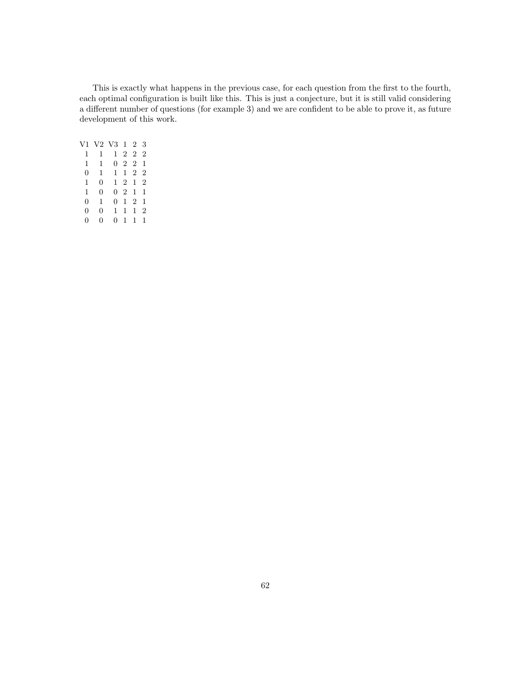This is exactly what happens in the previous case, for each question from the first to the fourth, each optimal configuration is built like this. This is just a conjecture, but it is still valid considering a different number of questions (for example 3) and we are confident to be able to prove it, as future development of this work.

| V1 |   | V2 V3 1 2    |             |             | 3              |  |
|----|---|--------------|-------------|-------------|----------------|--|
| 1  | 1 | $\mathbf{1}$ |             | 2 2 2       |                |  |
| 1  | 1 |              |             | $0 \t2 \t2$ | 1              |  |
| 0  | 1 | $\mathbf{1}$ |             | 1 2 2       |                |  |
| 1  | 0 |              | $1 \t2 \t1$ |             | $\overline{2}$ |  |
| 1  | 0 |              | $0 \t2 \t1$ |             | 1              |  |
| 0  | 1 | 0            |             | $1\quad 2$  | 1              |  |
| 0  | 0 | 1            | 1           | 1           | $\overline{2}$ |  |
| 0  | 0 | 0            | 1           | 1           | 1              |  |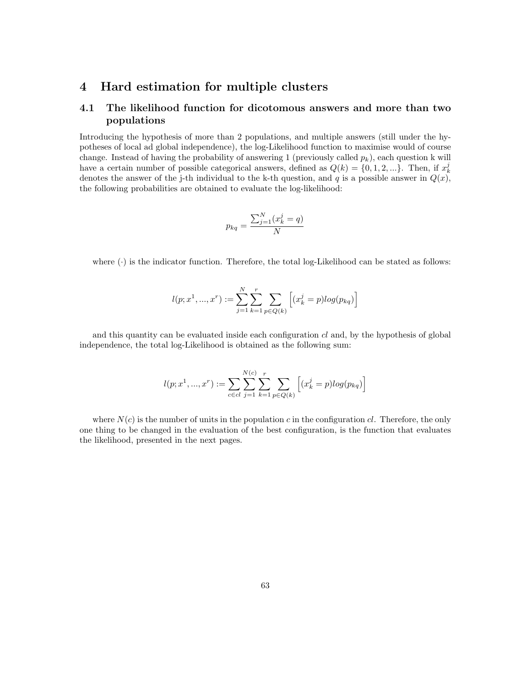# 4 Hard estimation for multiple clusters

# 4.1 The likelihood function for dicotomous answers and more than two populations

Introducing the hypothesis of more than 2 populations, and multiple answers (still under the hypotheses of local ad global independence), the log-Likelihood function to maximise would of course change. Instead of having the probability of answering 1 (previously called  $p_k$ ), each question k will have a certain number of possible categorical answers, defined as  $Q(k) = \{0, 1, 2, ...\}$ . Then, if  $x_k^j$ denotes the answer of the j-th individual to the k-th question, and q is a possible answer in  $Q(x)$ , the following probabilities are obtained to evaluate the log-likelihood:

$$
p_{kq} = \frac{\sum_{j=1}^{N} (x_k^j = q)}{N}
$$

where  $(\cdot)$  is the indicator function. Therefore, the total log-Likelihood can be stated as follows:

$$
l(p; x^1, ..., x^r) := \sum_{j=1}^{N} \sum_{k=1}^{r} \sum_{p \in Q(k)} \left[ (x_k^j = p) log(p_{kq}) \right]
$$

and this quantity can be evaluated inside each configuration  $cl$  and, by the hypothesis of global independence, the total log-Likelihood is obtained as the following sum:

$$
l(p; x^1, ..., x^r) := \sum_{c \in cl} \sum_{j=1}^{N(c)} \sum_{k=1}^{r} \sum_{p \in Q(k)} \left[ (x_k^j = p) log(p_{kq}) \right]
$$

where  $N(c)$  is the number of units in the population c in the configuration cl. Therefore, the only one thing to be changed in the evaluation of the best configuration, is the function that evaluates the likelihood, presented in the next pages.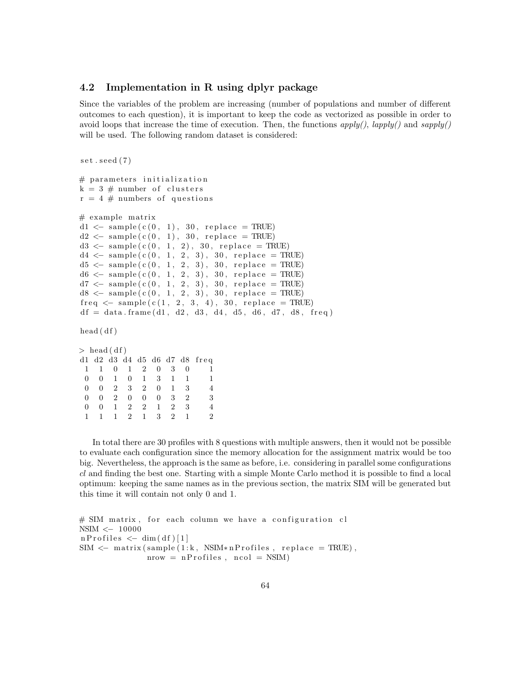## 4.2 Implementation in R using dplyr package

Since the variables of the problem are increasing (number of populations and number of different outcomes to each question), it is important to keep the code as vectorized as possible in order to avoid loops that increase the time of execution. Then, the functions  $apply(), \,apply()$  and  $sapply()$ will be used. The following random dataset is considered:

```
set . seed (7)# parameters initialization
k = 3 # number of clusters
r = 4 \# numbers of questions
# example matrix
d1 \leq - \text{ sample} (c(0, 1), 30, \text{ replace } = \text{TRUE})d2 \leq -\ \text{sample}(\ c(0, 1), 30, \ \text{replace} = \text{TRUE})d3 \leq -\operatorname{sample}(c(0, 1, 2), 30, \operatorname{replace} = \text{TRUE})d4 \leq \text{sample}(c(0, 1, 2, 3), 30, \text{ replace } = \text{TRUE})d5 \leq sample (c (0, 1, 2, 3), 30, replace = TRUE)
d6 \leftarrow sample (c (0, 1, 2, 3), 30, replace = TRUE)
d7 < - sample (c (0, 1, 2, 3), 30, replace = TRUE)
d8 \leq \text{sample}(c(0, 1, 2, 3), 30, \text{ replace } = \text{TRUE})freq \leq sample(c(1, 2, 3, 4), 30, replace = TRUE)df = data . frame (d1, d2, d3, d4, d5, d6, d7, d8, freq)head(df)> head (df)
d1 d2 d3 d4 d5 d6 d7 d8 freq
 1 1 0 1 2 0 3 0 1
 0 0 1 0 1 3 1 1 1
 0 0 2 3 2 0 1 3 4
 0 0 2 0 0 0 3 2 3
 0 0 1 2 2 1 2 3 4
```
1 1 1 2 1 3 2 1 2

In total there are 30 profiles with 8 questions with multiple answers, then it would not be possible to evaluate each configuration since the memory allocation for the assignment matrix would be too big. Nevertheless, the approach is the same as before, i.e. considering in parallel some configurations cl and finding the best one. Starting with a simple Monte Carlo method it is possible to find a local optimum: keeping the same names as in the previous section, the matrix SIM will be generated but this time it will contain not only 0 and 1.

```
# SIM matrix, for each column we have a configuration cl
NSIM <− 10000
n P r o files \leftarrow dim (df) [1]
SIM \leftarrow matrix(sample(1:k, NSIM*nProfiles, replace = TRUE),nrow = nProfiles, ncol = NSIM)
```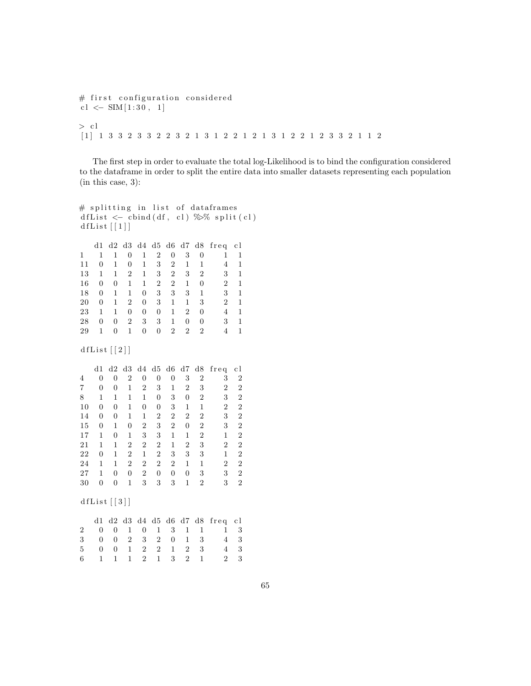# first configuration considered cl < $-$  SIM  $[1:30, 1]$  $>$  cl [ 1 ] 1 3 3 2 3 3 2 2 3 2 1 3 1 2 2 1 2 1 3 1 2 2 1 2 3 3 2 1 1 2

The first step in order to evaluate the total log-Likelihood is to bind the configuration considered to the dataframe in order to split the entire data into smaller datasets representing each population (in this case, 3):

```
# splitting in list of dataframes
d f L ist \langle -\text{cbind}(\text{df}, \text{cl}) \rangle \gg split \langle \text{cl} \rangled f List [1]d1 d2 d3 d4 d5 d6 d7 d8 freq cl
1 1 1 0 1 2 0 3 0 1 1
11 0 1 0 1 3 2 1 1 4 1
13 1 1 2 1 3 2 3 2 3 1
16 0 0 1 1 2 2 1 0 2 1
18 0 1 1 0 3 3 3 1 3 1
20 0 1 2 0 3 1 1 3 2 1
23 1 1 0 0 0 1 2 0 4 1
28 0 0 2 3 3 1 0 0 3 1
29 1 0 1 0 0 2 2 2 4 1
d f L i s t [2]d1 d2 d3 d4 d5 d6 d7 d8 freq cl
4 0 0 2 0 0 0 3 2 3 2
7 0 0 1 2 3 1 2 3 2 2
8 1 1 1 1 0 3 0 2 3 2
10 0 0 1 0 0 3 1 1 2 2
14 0 0 1 1 2 2 2 2 3 2
15 0 1 0 2 3 2 0 2 3 2
17 1 0 1 3 3 1 1 2 1 2
21 1 1 2 2 2 1 2 3 2 2
22 0 1 2 1 2 3 3 3 1 2
24 1 1 2 2 2 2 1 1 2 2
27 1 0 0 2 0 0 0 3 3 2
30 0 0 1 3 3 3 1 2 3 2
d f L i s t [3]d1 d2 d3 d4 d5 d6 d7 d8 freq cl
2 0 0 1 0 1 3 1 1 1 3
3 0 0 2 3 2 0 1 3 4 3
5 0 0 1 2 2 1 2 3 4 3
6 1 1 1 2 1 3 2 1 2 3
```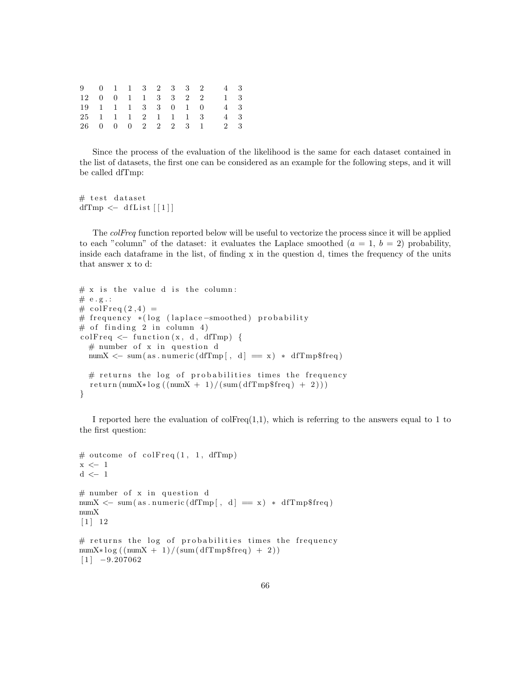|  |  |  |  | 9 0 1 1 3 2 3 3 2 4 3                      |  |
|--|--|--|--|--------------------------------------------|--|
|  |  |  |  | 12 0 0 1 1 3 3 2 2 1 3                     |  |
|  |  |  |  | 19   1   1   1   3   3   0   1   0   4   3 |  |
|  |  |  |  | 25 1 1 1 2 1 1 1 3 4 3                     |  |
|  |  |  |  | 26 0 0 0 2 2 2 3 1 2 3                     |  |

Since the process of the evaluation of the likelihood is the same for each dataset contained in the list of datasets, the first one can be considered as an example for the following steps, and it will be called dfTmp:

```
# test dataset
dfTmp \leftarrow dfList[[1]]
```
The colFreq function reported below will be useful to vectorize the process since it will be applied to each "column" of the dataset: it evaluates the Laplace smoothed  $(a = 1, b = 2)$  probability, inside each data frame in the list, of finding  $x$  in the question d, times the frequency of the units that answer x to d:

```
# x is the value d is the column:
# e.g.:# colFreq(2, 4) =# frequency *(log (laplace –smoothed) probability
# of finding 2 in column 4)
colFreq \leq function(x, d, dfTmp) {
  # number of x in question d
  numX \langle sum (as . numeric (dfTmp [, d] = x) * dfTmp$ freq)
  # returns the log of probabilities times the frequency
  return(numX * log ((numX + 1) / (sum ( d f T mp \$ freq ) + 2 ) ))}
```
I reported here the evaluation of  $colFreq(1,1)$ , which is referring to the answers equal to 1 to the first question:

```
# outcome of colFreq(1, 1, dfTmp)x \leftarrow 1\rm d~<-~1# number of x in question d
numX \leftarrow sum(as.numeric(dfTmp[, d] = x) * dfTmp$freq)numX
\lceil 1 \rceil 12
# returns the log of probabilities times the frequency
numX*log((numX + 1)/(sum( dfTmp$freq) + 2))[1] -9.207062
```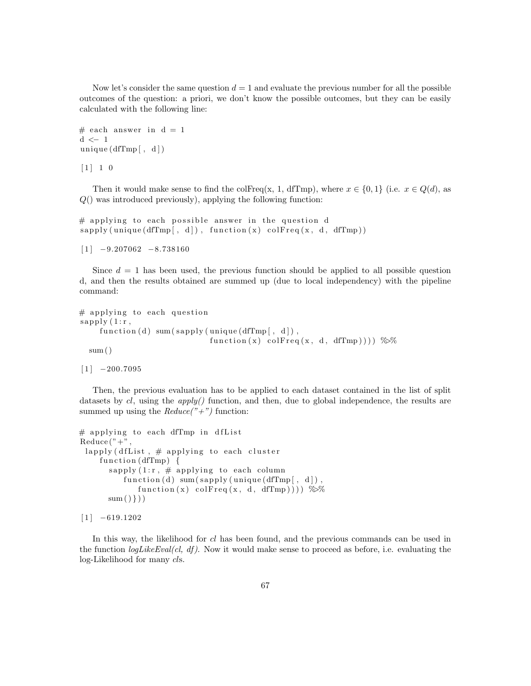Now let's consider the same question  $d = 1$  and evaluate the previous number for all the possible outcomes of the question: a priori, we don't know the possible outcomes, but they can be easily calculated with the following line:

```
# each answer in d = 1d <− 1
unique (dfTmp[ , d] )
```
 $[1] 1 0$ 

Then it would make sense to find the colFreq(x, 1, dfTmp), where  $x \in \{0,1\}$  (i.e.  $x \in Q(d)$ , as  $Q()$  was introduced previously), applying the following function:

 $#$  applying to each possible answer in the question d  $s$  apply (unique (dfTmp  $[ , d ]$ ), function  $(x)$  colfreq  $(x, d, dfTmp)$ )

 $[1]$  -9.207062 -8.738160

Since  $d = 1$  has been used, the previous function should be applied to all possible question d, and then the results obtained are summed up (due to local independency) with the pipeline command:

```
# applying to each question
sapply (1:r,function (d) sum (sapply (unique (dfTmp [ , d ]),
                             function (x) colFreq(x, d, dTmp))) %%
  sum()
```
 $[1]$  -200.7095

Then, the previous evaluation has to be applied to each dataset contained in the list of split datasets by  $cl$ , using the  $apply()$  function, and then, due to global independence, the results are summed up using the  $Reduce(" +")$  function:

```
# applying to each dfTmp in dfList
Reduce('' +")lapply (dfList, # applying to each cluster
    function (dfTmp) \{sapply (1:r, # applying to each column
          function (d) sum(sapply (unique(dffmp[, d]),function (x) colFreq (x, d, dfTmp))) \gg%
      sum()})
```

```
[1] -619.1202
```
In this way, the likelihood for cl has been found, and the previous commands can be used in the function  $logLikeEval(cl, df)$ . Now it would make sense to proceed as before, i.e. evaluating the log-Likelihood for many cls.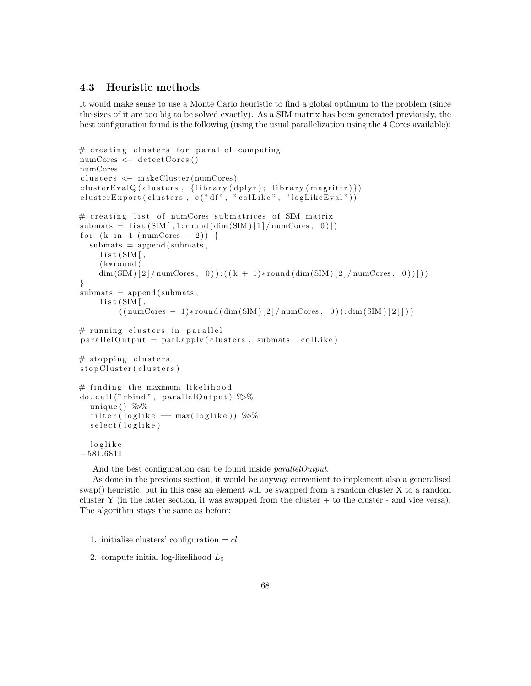# 4.3 Heuristic methods

It would make sense to use a Monte Carlo heuristic to find a global optimum to the problem (since the sizes of it are too big to be solved exactly). As a SIM matrix has been generated previously, the best configuration found is the following (using the usual parallelization using the 4 Cores available):

```
# creating clusters for parallel computing
numCores \leftarrow detectCores()numCores
clusters \leftarrow makeCluster(numCores)clusterEvalQ(clusters, {library(dplyr); library(magrittr)})
clusterExpert ( clusters, c ("df", " col Like", " log Like Eval"))
# creating list of numCores submatrices of SIM matrix
submats = list (SIM[1:round(dim(SIM)[1]/numCores, 0)])for (k \in ]1:(numCores - 2)) {
  submats = append(submats,list (SIM[,( k∗round (
     \dim \left(SIM\right)\left[2\right] / \text{numCores}, 0) : \left(\left(k + 1\right)*\text{round}\left(\dim \left(SIM\right)\left[2\right]\right) / \text{numCores}, 0\right)\right)\right)}
submats = append(submats,list (SIM[,((\text{numCores } - 1) * \text{round}(\dim(\text{SIM})[2]/\text{numCores}, 0)) : \dim(\text{SIM})[2]))# running clusters in parallel
parallel Output = parLapply (clusters, submats, colLike)# stopping clusters
stop Cluster (clusters)
# finding the maximum likelihood
do. call ("rbind", parallelOutput) %
   unique ( ) %filter (loglike = max(loglike)) \%%
   s e lect (loglike)
  l o g l i k e
−581.6811
```
And the best configuration can be found inside *parallelOutput*.

As done in the previous section, it would be anyway convenient to implement also a generalised swap() heuristic, but in this case an element will be swapped from a random cluster X to a random cluster Y (in the latter section, it was swapped from the cluster + to the cluster - and vice versa). The algorithm stays the same as before:

<sup>1.</sup> initialise clusters' configuration  $= cl$ 

<sup>2.</sup> compute initial log-likelihood  $L_0$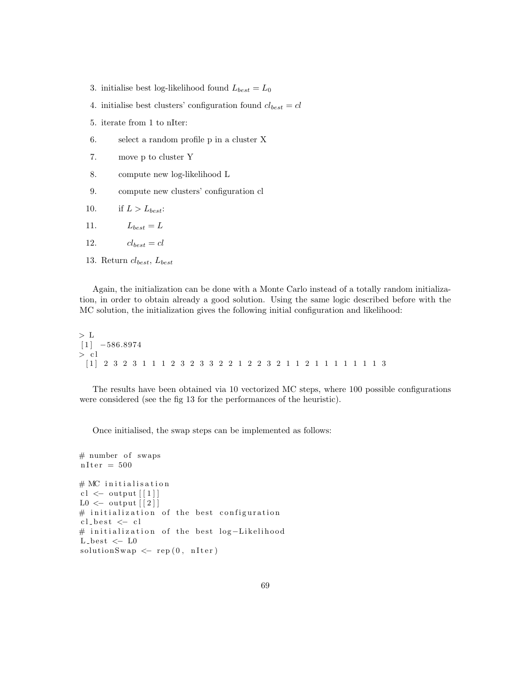- 3. initialise best log-likelihood found  $L_{best} = L_0$
- 4. initialise best clusters' configuration found  $cl_{best} = cl$
- 5. iterate from 1 to nIter:
- 6. select a random profile p in a cluster X
- 7. move p to cluster Y
- 8. compute new log-likelihood L
- 9. compute new clusters' configuration cl
- 10. if  $L > L_{best}$ :
- 11.  $L_{best} = L$
- 12.  $cl_{best} = cl$
- 13. Return  $cl_{best}$ ,  $L_{best}$

Again, the initialization can be done with a Monte Carlo instead of a totally random initialization, in order to obtain already a good solution. Using the same logic described before with the MC solution, the initialization gives the following initial configuration and likelihood:

 $> \,$  L  $[1]$   $-586.8974$  $> c1$ [ 1 ] 2 3 2 3 1 1 1 2 3 2 3 3 2 2 1 2 2 3 2 1 1 2 1 1 1 1 1 1 1 3

The results have been obtained via 10 vectorized MC steps, where 100 possible configurations were considered (see the fig 13 for the performances of the heuristic).

Once initialised, the swap steps can be implemented as follows:

```
# number of swaps
nIter = 500
# MC initialisation
cl \leftarrow output \lceil 1 \rceilL0 \leftarrow output \lceil 2 \rceil# initialization of the best configuration
cl\_best \leftarrow cl# initialization of the best log-Likelihood
L_{best} \leftarrow L0solutionSwap \leftarrow rep(0, nIter)
```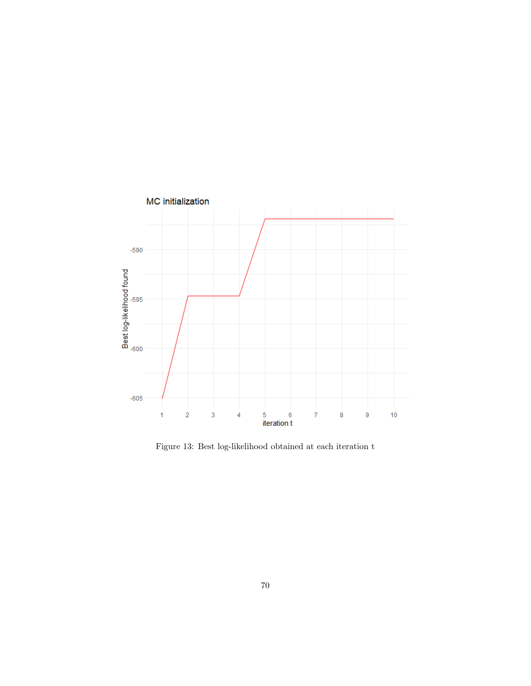

Figure 13: Best log-likelihood obtained at each iteration t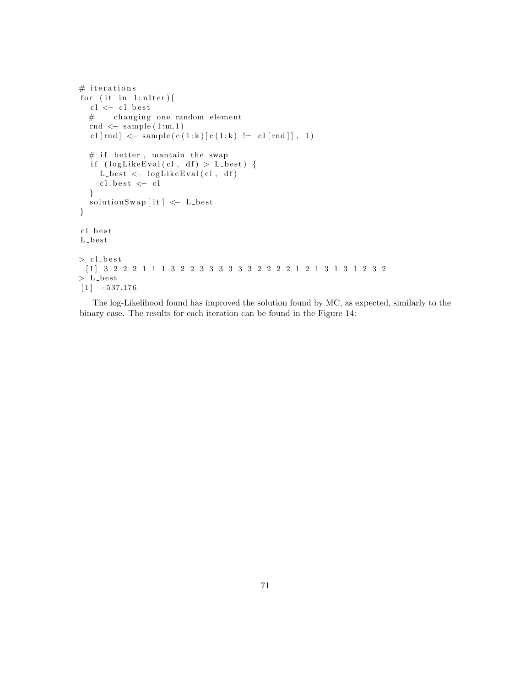```
# iterations
for (it \in i n 1:nIter) {
  cl \leftarrow cl\_best# changing one random element
  rnd \leq sample (1:m,1)cl [rnd] <- sample (c (1:k) [c (1:k) != c l [rnd ]], 1)# if better, mantain the swap
  if (logLikeEval(cl, df) > L-best) {
    L_{best} < -logLikeEval(cl, df)cl\_best \; <\; cl}
  solutionSwap[i t] \leftarrow L-best}
c l b e s t
L_best
> cl_best[ 1 ] 3 2 2 2 1 1 1 3 2 2 3 3 3 3 3 3 2 2 2 2 1 2 1 3 1 3 1 2 3 2
> L_{\text{-best}}[1] -537.176
```
The log-Likelihood found has improved the solution found by MC, as expected, similarly to the binary case. The results for each iteration can be found in the Figure 14: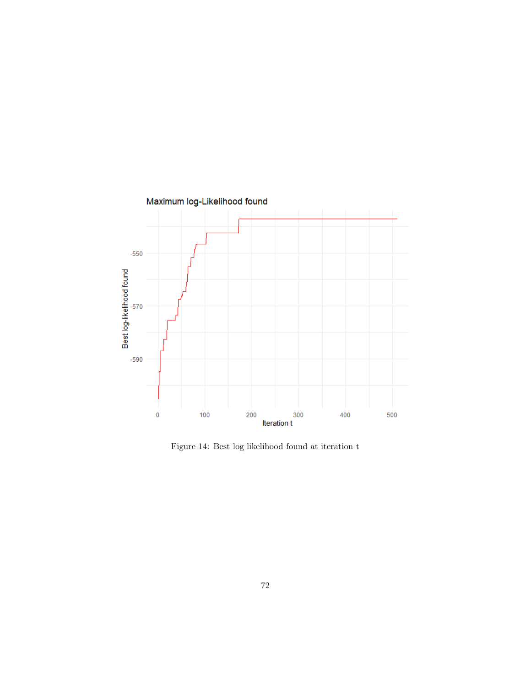

Figure 14: Best log likelihood found at iteration t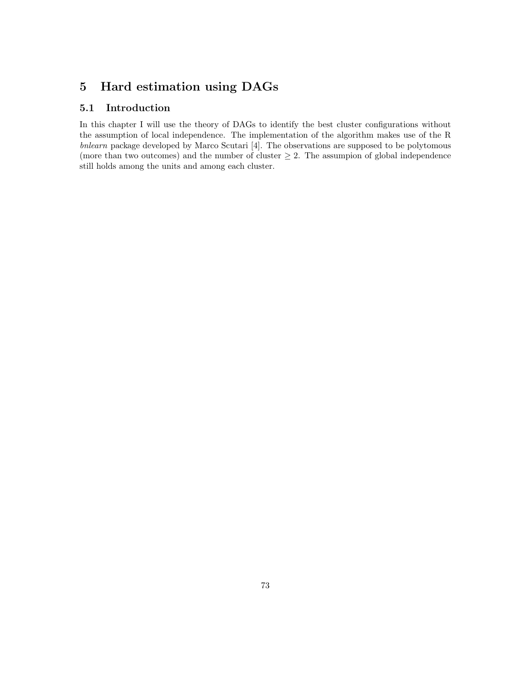# 5 Hard estimation using DAGs

### 5.1 Introduction

In this chapter I will use the theory of DAGs to identify the best cluster configurations without the assumption of local independence. The implementation of the algorithm makes use of the R bnlearn package developed by Marco Scutari [4]. The observations are supposed to be polytomous (more than two outcomes) and the number of cluster  $\geq 2$ . The assumpion of global independence still holds among the units and among each cluster.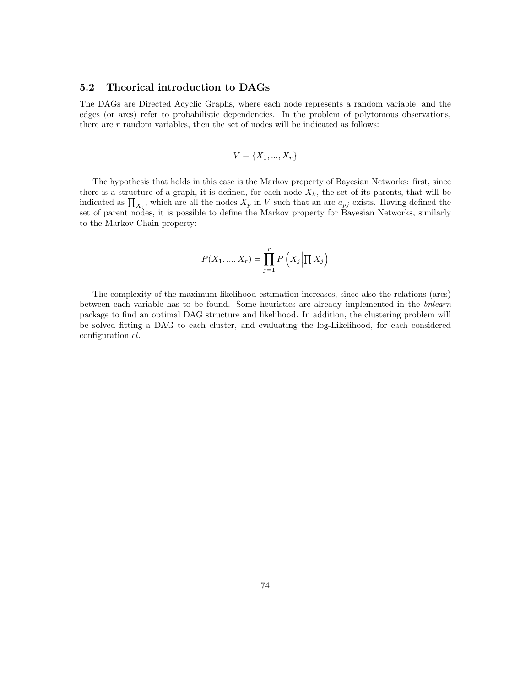#### 5.2 Theorical introduction to DAGs

The DAGs are Directed Acyclic Graphs, where each node represents a random variable, and the edges (or arcs) refer to probabilistic dependencies. In the problem of polytomous observations, there are  $r$  random variables, then the set of nodes will be indicated as follows:

$$
V = \{X_1, ..., X_r\}
$$

The hypothesis that holds in this case is the Markov property of Bayesian Networks: first, since there is a structure of a graph, it is defined, for each node  $X_k$ , the set of its parents, that will be indicated as  $\prod_{X_j}$ , which are all the nodes  $X_p$  in V such that an arc  $a_{pj}$  exists. Having defined the set of parent nodes, it is possible to define the Markov property for Bayesian Networks, similarly to the Markov Chain property:

$$
P(X_1, ..., X_r) = \prod_{j=1}^r P\left(X_j \middle| \prod X_j\right)
$$

The complexity of the maximum likelihood estimation increases, since also the relations (arcs) between each variable has to be found. Some heuristics are already implemented in the bnlearn package to find an optimal DAG structure and likelihood. In addition, the clustering problem will be solved fitting a DAG to each cluster, and evaluating the log-Likelihood, for each considered configuration *cl*.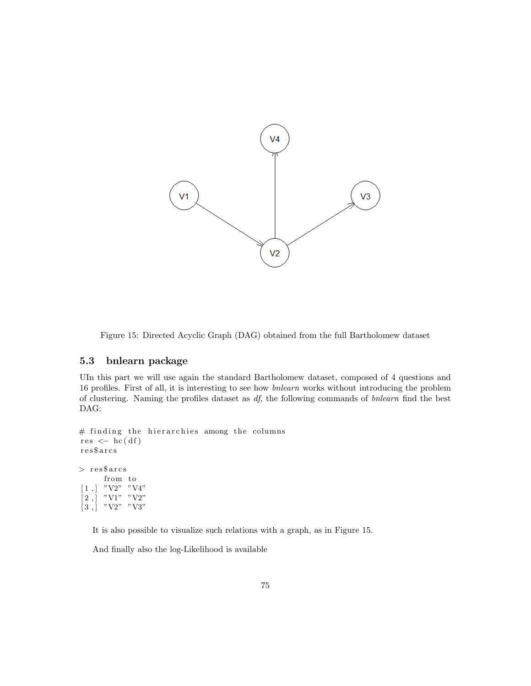

Figure 15: Directed Acyclic Graph (DAG) obtained from the full Bartholomew dataset

#### 5.3 bnlearn package

UIn this part we will use again the standard Bartholomew dataset, composed of 4 questions and 16 profiles. First of all, it is interesting to see how bnlearn works without introducing the problem of clustering. Naming the profiles dataset as  $df$ , the following commands of bnlearn find the best DAG:

```
# finding the hierarchies among the columns
res \leftarrow hc(df)r e s $ a r c s
> res$arcs
       from to
 [1,] "V2" "V4"
 [2,] "V1" "V2"
\begin{bmatrix} 3 \\ 1 \end{bmatrix} "V2" "V3"
```
It is also possible to visualize such relations with a graph, as in Figure 15.

And finally also the log-Likelihood is available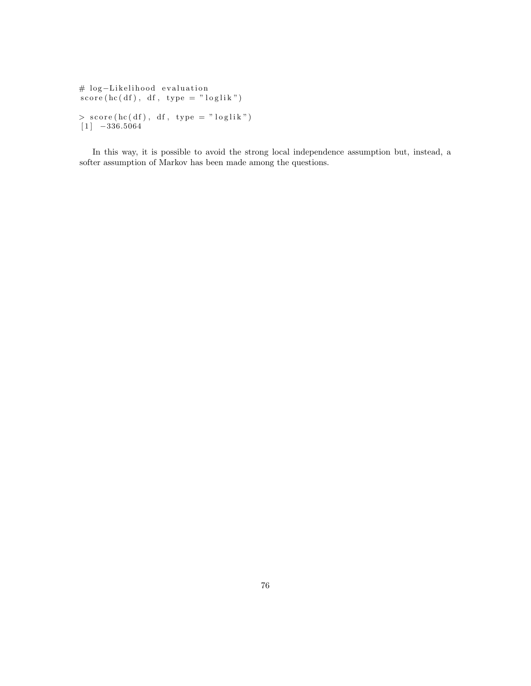```
# log-Likelihood evaluation
\int score (hc(df), df, type = "loglik")
> score (hc (df), df, type = "loglik")
[1] -336.5064
```
In this way, it is possible to avoid the strong local independence assumption but, instead, a softer assumption of Markov has been made among the questions.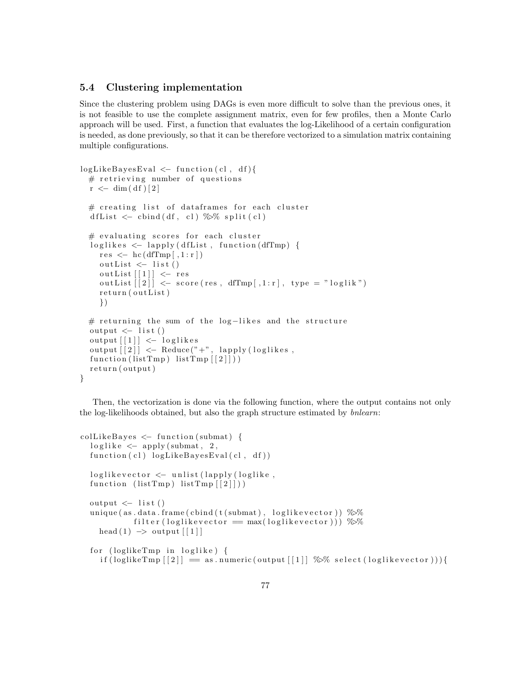### 5.4 Clustering implementation

Since the clustering problem using DAGs is even more difficult to solve than the previous ones, it is not feasible to use the complete assignment matrix, even for few profiles, then a Monte Carlo approach will be used. First, a function that evaluates the log-Likelihood of a certain configuration is needed, as done previously, so that it can be therefore vectorized to a simulation matrix containing multiple configurations.

```
logLikeBayesEval \leftarrow function (cl, df){
  # retrieving number of questions
  r \leq -\dim(\mathrm{df})[2]# creating list of dataframes for each cluster
  d f List \leftarrow cbind (df, cl) \% split (cl)
  # evaluating scores for each cluster
  loglikes \leftarrow lapply (dfList, function (dfTmp) )res \leftarrow \text{hc}(\text{dfTmp}[, 1 : r])outList \leftarrow list()outList [1] \leftarrow res
     \text{outList}\left[\begin{bmatrix}2\end{bmatrix}\right] <- score(res, dfTmp[,1:r], type = "loglik")
     return (outList)})
  # returning the sum of the log-likes and the structure
  output \leftarrow list ()
  output [1] \leftarrow loglikes
  output \lceil 2 \rceil \leq Reduce \binom{n}{+}, lapply (loglikes,
  function (listTmp) listTmp [[2]]))
  return (output)
}
```
Then, the vectorization is done via the following function, where the output contains not only the log-likelihoods obtained, but also the graph structure estimated by bnlearn:

```
\text{collikeBayes} \leftarrow \text{function} (\text{submat})loglike \leq apply (submat, 2,
  function (c!) logLikeBayesEval(cl, df))loglikevector \leftarrow unlist (lapply (loglike ,function (listrTmp) listTmp \lceil 2 \rceil))
  output \leftarrow list ()
  unique (as.data.frame (cbind (t (submat), loglik evector)) \%%
              filter (loglikevector = max(loglikevector))) \%head (1) \rightarrow output \lceil 1 \rceilfor (loglikeTmp in loglike) {
     \text{if (loglikeTmp [2])} = \text{as numeric}(\text{output}[1]) \gg \text{\% select}(\text{loglikevector})).
```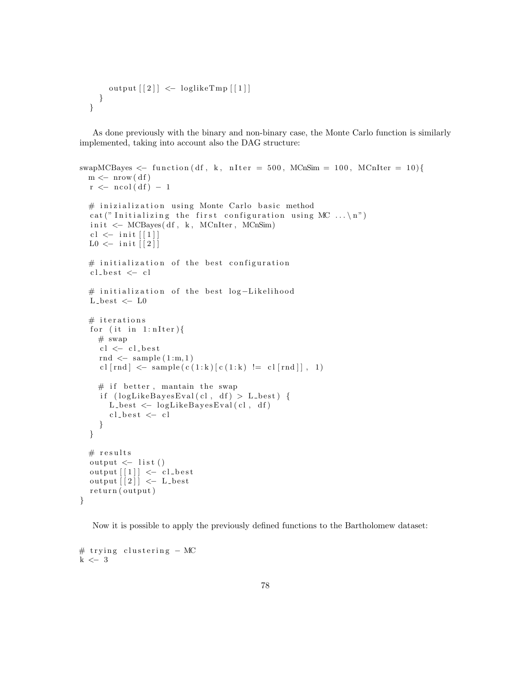```
output \lceil 2 \rceil \leq loglikeTmp \lceil 1 \rceil}
}
```
As done previously with the binary and non-binary case, the Monte Carlo function is similarly implemented, taking into account also the DAG structure:

```
swapMCBayes <- function (df, k, nIter = 500, MCnSim = 100, MCnIter = 10){
  m \leftarrow nrow(d f)r \leq -ncol(df) - 1# inizialization using Monte Carlo basic method
  cat ("Initializing the first configuration using MC ... \langle n'' \rangleinit \leftarrow MCBayes(df, k, MCnIter, MCnSim)cl \leftarrow init [1]L0 \le - init \lceil 2 \rceil# initialization of the best configuration
  cl\_best \leftarrow cl# initialization of the best log-Likelihood
  L-best \leftarrow L0# iterations
  for (it in 1: nIter){
    # swap
     cl \leftarrow cl\_bestrnd \leq sample (1:m, 1)cl \lceil \text{rnd} \rceil < sample (c(1:k) \lceil c(1:k) \rceil = c \lceil \lceil \text{rnd} \rceil, 1)
    # if better, mantain the swap
     if (\text{logLikeBayesEval}(c1, df) > L_{best}) {
       L_{\text{best}} \leftarrow \text{logLikeBayesEval}(cl, df)cl\_best \; <\; cl}
  }
  # results
  output \leftarrow list ()
  output [[1]] \leftarrow cl_best
  output [2] \leftarrow L_best
  return (output)}
```
Now it is possible to apply the previously defined functions to the Bartholomew dataset:

```
# trying clustering - MC
k \leftarrow 3
```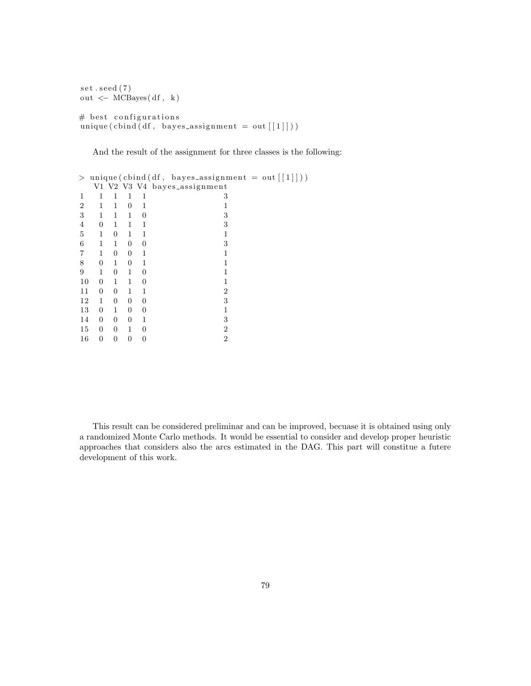```
set . seed (7)out < -MCBayes(df, k)# best configurations
unique ( \text{cbind} ( df, \text{ bayes} \text{.} assignment = out [[1]])) )
```
And the result of the assignment for three classes is the following:

```
> unique (cbind (df, bayes_assignment = out \lceil 1 \rceil \rceil))
 V1 V2 V3 V4 bayes_assignment
1 1 1 1 1 3
2 1 1 0 1 1
3 1 1 1 0 3
4 0 1 1 1 3
5 1 0 1 1 1
6 1 1 0 0 3
7 1 0 0 1 1
8 0 1 0 1 1
9 1 0 1 0 1
10 0 1 1 0 1
11 0 0 1 1 2
12 1 0 0 0 3
13 0 1 0 0 1
14 0 0 0 1 3
15 0 0 1 0 2
16 0 0 0 0 2
```
This result can be considered preliminar and can be improved, becuase it is obtained using only a randomized Monte Carlo methods. It would be essential to consider and develop proper heuristic approaches that considers also the arcs estimated in the DAG. This part will constitue a futere development of this work.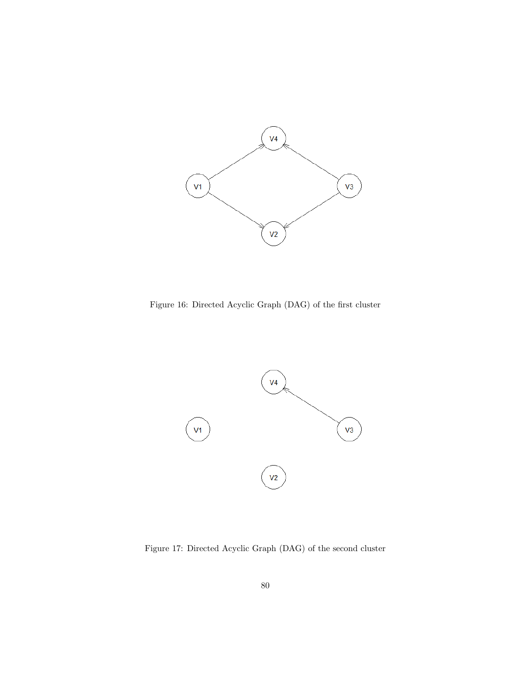

Figure 16: Directed Acyclic Graph (DAG) of the first cluster



Figure 17: Directed Acyclic Graph (DAG) of the second cluster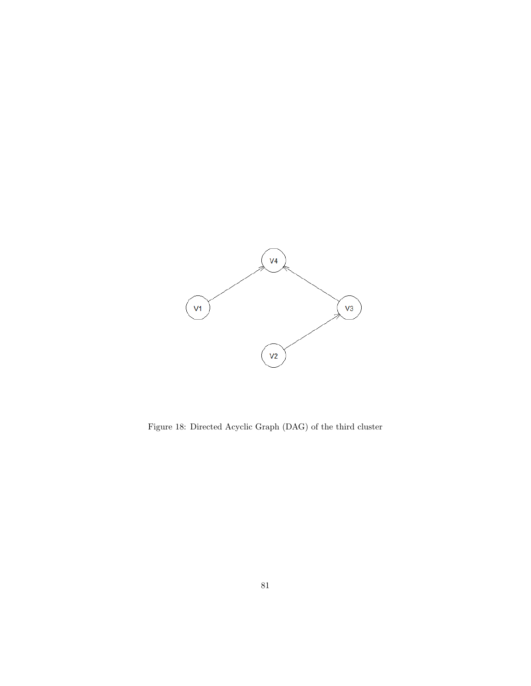

Figure 18: Directed Acyclic Graph (DAG) of the third cluster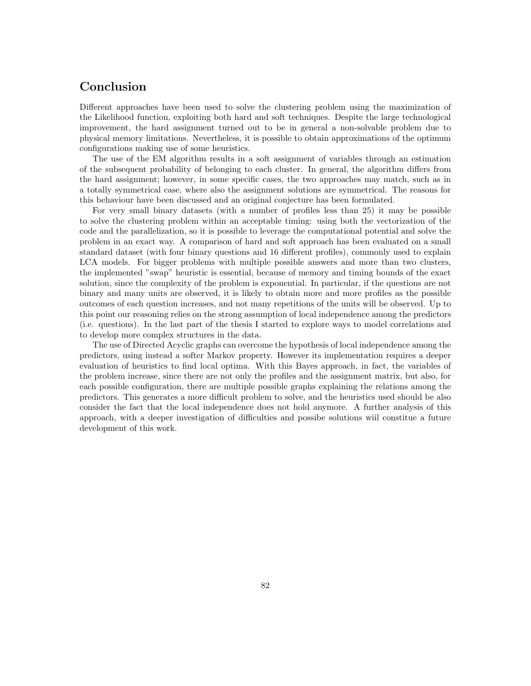## Conclusion

Different approaches have been used to solve the clustering problem using the maximization of the Likelihood function, exploiting both hard and soft techniques. Despite the large technological improvement, the hard assignment turned out to be in general a non-solvable problem due to physical memory limitations. Nevertheless, it is possible to obtain approximations of the optimum configurations making use of some heuristics.

The use of the EM algorithm results in a soft assignment of variables through an estimation of the subsequent probability of belonging to each cluster. In general, the algorithm differs from the hard assignment; however, in some specific cases, the two approaches may match, such as in a totally symmetrical case, where also the assignment solutions are symmetrical. The reasons for this behaviour have been discussed and an original conjecture has been formulated.

For very small binary datasets (with a number of profiles less than 25) it may be possible to solve the clustering problem within an acceptable timing: using both the vectorization of the code and the parallelization, so it is possible to leverage the computational potential and solve the problem in an exact way. A comparison of hard and soft approach has been evaluated on a small standard dataset (with four binary questions and 16 different profiles), commonly used to explain LCA models. For bigger problems with multiple possible answers and more than two clusters, the implemented "swap" heuristic is essential, because of memory and timing bounds of the exact solution, since the complexity of the problem is exponential. In particular, if the questions are not binary and many units are observed, it is likely to obtain more and more profiles as the possible outcomes of each question increases, and not many repetitions of the units will be observed. Up to this point our reasoning relies on the strong assumption of local independence among the predictors (i.e. questions). In the last part of the thesis I started to explore ways to model correlations and to develop more complex structures in the data.

The use of Directed Acyclic graphs can overcome the hypothesis of local independence among the predictors, using instead a softer Markov property. However its implementation requires a deeper evaluation of heuristics to find local optima. With this Bayes approach, in fact, the variables of the problem increase, since there are not only the profiles and the assignment matrix, but also, for each possible configuration, there are multiple possible graphs explaining the relations among the predictors. This generates a more difficult problem to solve, and the heuristics used should be also consider the fact that the local independence does not hold anymore. A further analysis of this approach, with a deeper investigation of difficulties and possibe solutions wiil constitue a future development of this work.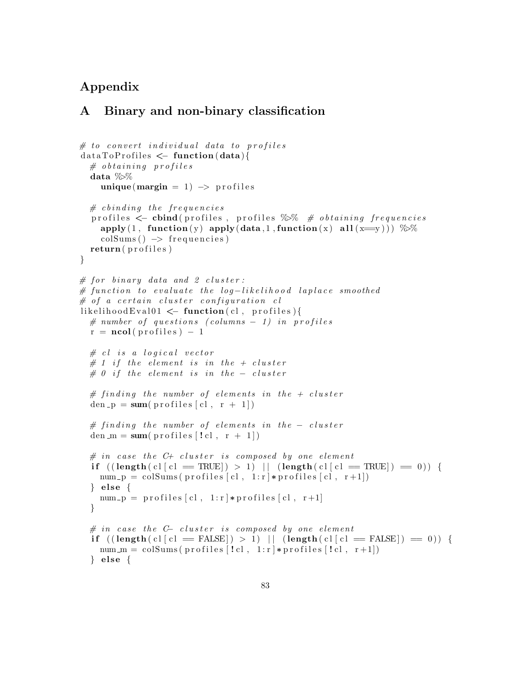### Appendix

### A Binary and non-binary classification

```
# to convert individual data to profiles
data To Profiles \leftarrow function(data){
  # obtaining profiles
  data %>%
     unique (margin = 1) \rightarrow profiles
  # c b inding the frequencies
  profiles \leq cbind(profiles, profiles %% \# obtaining frequencies
    apply(1, function(y) apply(data, 1, function(x) all (x=y))) %%
     \text{colSums}() \rightarrow \text{frequencies}return ( profiles )
}
# for binary data and 2 cluster :# function to evaluate the log-likelihood laplace smoothed
# of a certain cluster configuration <math>c</math>llikelihoodEval01 \leftarrow function(cl, profiles){
  # number of questions (columns - 1) in profilesr = \text{ncol}(\text{profiles}) - 1# cl is a logical vector
  # 1 if the element is in the + cluster
  # 0 if the element is in the - cluster
  # finding the number of elements in the + cluster
  den_p = sum(p \text{ of } s \mid c \mid, r + 1])# finding the number of elements in the - cluster
  den m = sum(p \text{rofiles} | ! c], r + 1)# in case the C+ cluster is composed by one element
  if ((\text{length}( \text{ cl } [c] = \text{TRUE}]) > 1) || (\text{length}( \text{ cl } [c] = \text{TRUE}]) = 0))num -p = \text{colSums}(\text{profiles}[\text{cl}, 1:r] * \text{profiles}[\text{cl}, r+1])\} else \{num -p = profiles |cl, 1:r| *profiles |cl, r+1|}
  # in case the C- cluster is composed by one element
  if ((\text{length}( \text{ cl } c) \mid c) = \text{FALSE}) > 1) || (\text{length}( \text{ cl } c) = \text{FALSE}) = 0) {
    num_m = colSums( profiles [!cl, 1:r] * profiles [!cl, r+1])\} else \{
```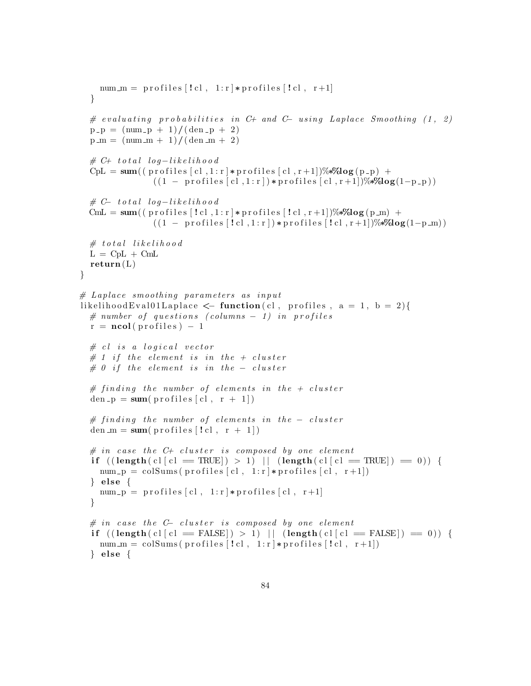```
num m = profiles [!c], 1:r * profiles [!c], r+1]}
  # evaluating probabilities in C+ and C- using Laplace Smoothing (1, 2)
  p - p = (num - p + 1) / (den - p + 2)p_{m} = (num_{m} + 1) / (den_{m} + 2)\# C+ total log-likelihoodCpL = sum((pr ofiles [c], 1:r] * profiles [c], r+1])% * \%log(p-p) +((1 - \text{profiles} [c], 1 : r]) * \text{profiles} [c], r+1])%*\text{log}(1-p_p)\# C-\tau \text{total log}-likelihood\text{CmL} = \text{sum}((\text{profiles} [! \text{cl}], 1 \text{ or } \text{series} [! \text{cl}], \text{r+1}])\%*\text{log}(p \text{ or } \text{cases}((1 - \text{profiles} [! \text{cl} , 1 \text{cl}]) * \text{profiles} [! \text{cl} , r+1])%*%log(1-p_m))
  # total likelihood
  L = CpL + CmLreturn(L)}
# Laplace smoothing parameters as input
likelihood Eval 01 Laplace \leq function (cl, profiles, a = 1, b = 2) {
  # number of questions (columns - 1) in profilesr = \text{ncol}(\text{profiles}) - 1# cl is a logical vector
  # 1 if the element is in the + cluster
  # 0 if the element is in the - cluster
  # finding the number of elements in the + cluster
  den_p = sum(p \text{ profiles} [c], r + 1])# finding the number of elements in the - cluster
  den m = sum(p \text{rofiles} [! \text{cl}, r + 1])# in case the C+ cluster is composed by one element
  if ((\text{length}( \text{ cl } c) \mid c) = \text{TRUE}) > 1) || (\text{length}( \text{ cl } c) \mid c) = \text{TRUE}) = 0)num -p = \text{colSums}(\text{profiles} [\text{cl}, 1 : r] * \text{profiles} [\text{cl}, r + 1])\} else \{num -p = profiles \lceil c \rceil, 1:r \rceil * profiles \lceil c \rceil, r+1}
  # in case the C- cluster is composed by one element
  if ((\text{length}( \text{ cl } [c] = \text{FALSE}]) > 1) || (\text{length}( \text{ cl } [c] = \text{FALSE})) = 0))num m = colSums( profiles [!c], 1:r] * profiles [!c], r+1]\} else {
```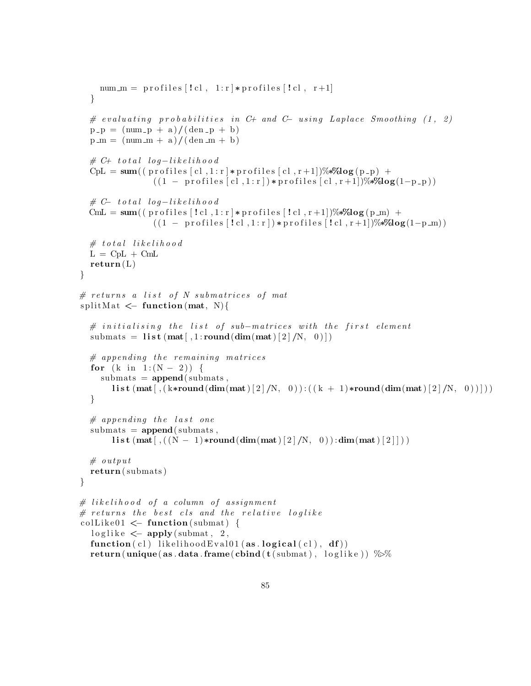```
num m = profiles [!c], 1:r * profiles [!c], r+1]}
  # evaluating probabilities in C+ and C- using Laplace Smoothing (1, 2)
  p_{p} = \frac{\text{num}_{p} + a}{\text{dim}_{p} + b}p_{m} = (num_{m} + a)/(den_{m} + b)\# C+ total log-likelihoodCpL = sum((pr ofiles [c], 1:r] * profiles [c], r+1])% * \%log(p-p) +((1 - \text{profiles} [c], 1 : r]) * \text{profiles} [c], r+1])%*\text{log}(1-p_p)\# C-\tau \text{total log}-likelihood\text{CmL} = \text{sum}((\text{profiles} [! \text{cl}], 1 \text{ or } \text{series} [! \text{cl}], \text{r+1}])\%*\text{log}(p \text{ or } \text{cases}((1 - \text{profiles} [! \text{cl} , 1 \text{cl}]) * \text{profiles} [! \text{cl} , r+1])%*%log(1-p_m))
  # total likelihood
  L = CpL + CmLreturn(L)}
# returns a list of N submatrices of mat
splitMat \leq function (mat, N){
  # initialising the list of sub-matrices with the first element
  submats = \text{list}(\text{mat}[, 1:\text{round}(\text{dim}(\text{mat})[2]/N, 0)])# appending the remaining matrices
  for (k \text{ in } 1:(N-2)) {
     submats = append(submats,l i s t (\text{mat} [\, , (k*\text{round}(\text{dim}(\text{mat})[2]/N, 0)) : ((k + 1)*\text{round}(\text{dim}(\text{mat})[2]/N, 0))}
  # appending the last one
  submats = append(submats,l i s t (\text{mat} [ , ((N-1)*round(\text{dim} ( \text{mat} ) [ 2 ] / N, 0 ) ) : \text{dim} ( \text{mat} ) [ 2 ] ) )# output
  return ( submats )
}
# likelihood of a column of assignment
# returns the best cls and the relative loglike
\text{collike01} \leftarrow \text{function} (\text{submat})loglike < apply(submat, 2,
  function ( c!) likelihood Eval01 (as. logical ( c!) , df)return (unique (as. data. frame (cbind (t (submat), loglike)) \%
```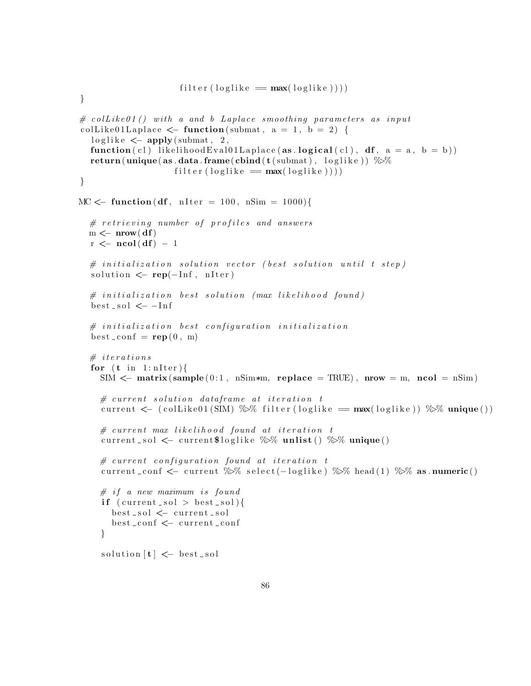```
filter (loglike = max(loglike))}
\# collike 01() with a and b Laplace smoothing parameters as input
colLike01Laplace \leq function (submat, a = 1, b = 2) {
  loglike \, <= \, apply(submat, 2, )function (c1) likelihood Eval 01L aplace (as . logical (c1), df, a = a, b = b))
  return (unique (as.data frame (cbind (t (submat) , loglike)) %filter (loglike = max(loglike))}
MC \leftarrow function (df, nIter = 100, nSim = 1000) {
  # retrieving number of profiles and answers
  m \leftarrow nrow(df)r \leftarrow \text{ncol}(df) - 1\# initialization solution vector (best solution until t step)
  solution \leftarrow \text{rep}(-\text{Inf}, \text{nIter})# initialization best solution (max likelihood found)best\_sol \leq -Inf#initialization best configuration initialization
  best\_conf = rep(0, m)# iterations
  for (t \text{ in } 1 \text{: nIter})SIM \leq matrix (sample (0:1, \text{ nSim} * \text{m}, \text{ replace } = \text{TRUE}), nrow = m, ncol = \text{nSim})
    # current solution data frame at iteration tcurrent \langle -\rangle (collike 01 (SIM) \gg filter (loglike = max(loglike)) \gg unique ())
    # current max likelihood found at iteration t
    current sol \leq current $loglike \% unlist () \% unique ()
    # current configuration found at iteration tcurrent_conf <- current %% select(-loglike) %% head(1) %% as .numeric()
    # if a new maximum is found
    if (current_sol > best_sol){
       best_sol <− current_sol
       best_conf <− current_conf
    }
    solution [t] \leftarrow best _sol
```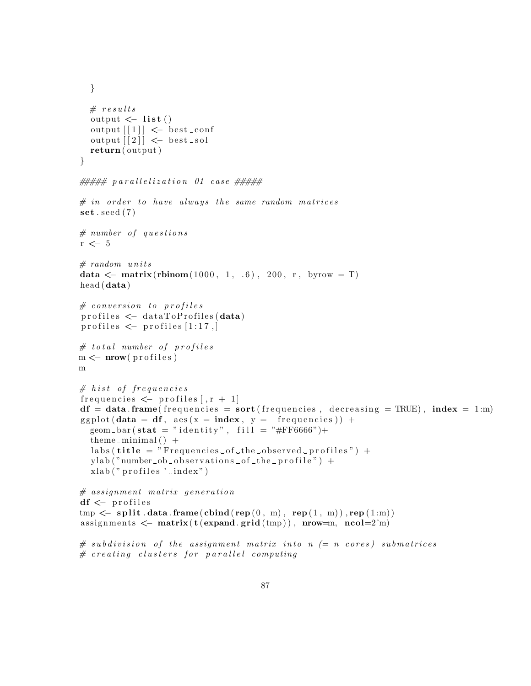```
}
  # results
  output \leftarrow list ()
  output [1] \leftarrow best _conf
  output \lceil 2 \rceil \leq best _sol
  return ( output )
}
# # # # [ p \, a \, r \, a \, l \, l \, e \, l \, i \, o \, n 01 \, case # # # ## in order to have always the same random matrices
\textbf{set}. seed (7)# number of questionsr <- 5
# random units
data \leq matrix(rbinom(1000, 1, .6), 200, r, byrow = T)
head (data )
# conversion  to profiles\text{profiles} \leq \text{dataToProfiles} (data)
profiles \leftarrow profiles [1:17,]
# total number of profiles
m \leftarrow mow(profiles)m
# h ist of frequencies
frequencies \leftarrow profiles [x + 1]df = data frame (frequencies = sort (frequencies, decreasing = TRUE), index = 1:m)ggplot(data = df, aes(x = index, y = frequency) +geom bar(\text{stat} = "identity", fill = " \#FF6666") +theme_minimal() +
  \text{labels}(\text{title} = "Frequencies \text{__of} \text{__the} \text{__observed} \text{__profile}") +y \, lab("number\_ob\_observations\_of\_the\_profile") +x \,lab(" profiles '\lnotndex")
# assignment matrix generation
df \leftarrow profiles
tmp \leftarrow split.data-frame(cbind(rep(0, m), rep(1, m)), rep(1:m))assignments \leq matrix(t(expand.grid(tmp)), nrow=m, ncol=2^m)
\# subdivision of the assignment matrix into n (= n cores) submatrices
```

```
# creating clusters for parallel computing
```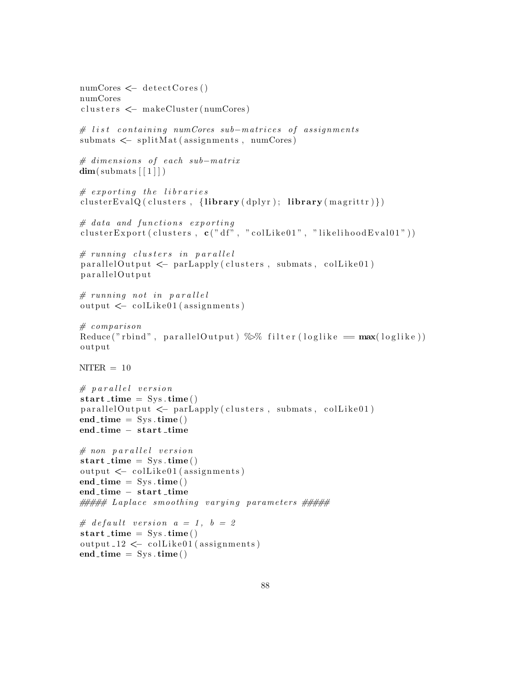```
numCores \leftarrow detectCores()numCores
clusters \leftarrow makeCluster (numCores)
# list containing numCores sub-matrices of assignments
submats \leftarrow splitMat (assignments, numCores)
# dimensions of each sub-matrix
dim(submats[[1]])# exporting the libraries
clusterEvalQ ( clusters, {library ( dplyr );} library ( magrittr ) })
# data and functions exporting
clusterExport ( clusters, c(" df", " colllike01", "likelihoodEval01"))# running clusters in parallel
parallel Output \leftarrow parLapply (clusters, submats, colLike01)parallelOutput
# running not in parallel
output \leftarrow collike01 (assignments)# comparisonReduce("rbind", parallelOutput) %\% filter(loglike = max(loglike))output
NITER = 10# parallel version
start_time = Sys.time()parallel Output \leftarrow parLapply (clusters, submats, colLike01)end_time = Sys.time()end_time – start_time
# non parallel version
start_time = Sys.time()output \leftarrow colllike01 (assignments)end_time = Sys.time()end_time – start_time
###### Laplace smoothing varying parameters #####
# default version a = 1, b = 2start_time = Sys.time()output_12 \leftarrow colllike01 (assignments)end_time = Sys.time()
```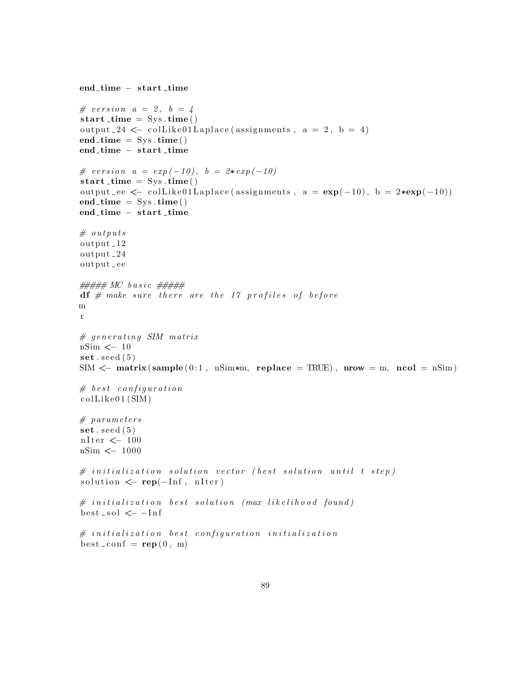```
end_time – start_time
\# \text{ version } a = 2, b = 4start_time = Sys.time()output -24 \leq collike 01L aplace (assignments, a = 2, b = 4)
end\_time = Sys . time()end_time – start_time
# version a = exp(-10), b = 2*exp(-10)start_time = Sys.time()output ee \leftarrow \text{collike01Laplace} (assignments, a = \exp(-10), b = 2*\exp(-10))
end_time = Sys.time()end_time – start_time
# outputs
output 12
output 24
output ee
##### MC basic #####df # make sure there are the 17 profiles of beforem
r
# generating SIM matrix
nSim \leq 10
\textbf{set}. seed (5)SIM \leq matrix (sample (0:1, \text{ nSim} \cdot \text{m}, \text{ replace } = \text{TRUE}), nrow = m, ncol = nSim)
# best configuration\text{collike01}\left(\text{SIM}\right)# parameters
\textbf{set}. seed (5)n<br>Iter<br/> \ensuremath{\leftarrow} 100
nSim <− 1000
# initialization solution vector (best solution until t step)solution \leftarrow \text{rep}(-\text{Inf}, \text{nIter})# initialization best solution (max likelihood found)
best\_sol \leq -Inf# initialization best configuration initialization
best\_conf = rep(0, m)
```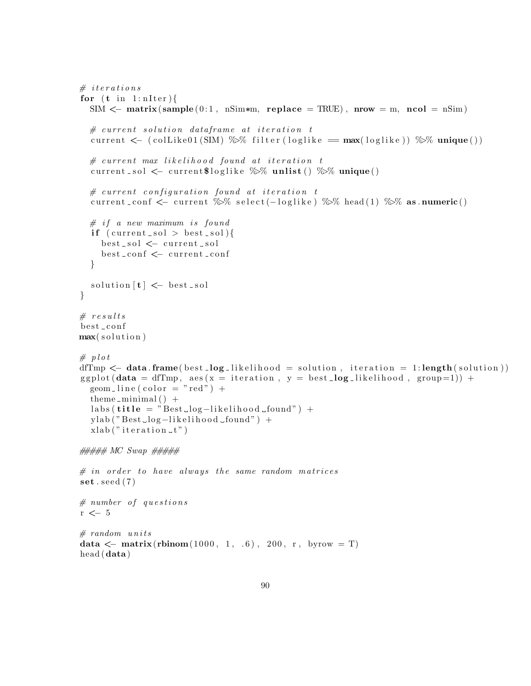```
# iterations
for (t \text{ in } 1 \text{: nIter})SIM \leq matrix (sample (0:1, \text{ nSim*m}, \text{ replace } = \text{TRUE}), nrow = m, ncol = nSim)
  # current solution data frame at iteration tcurrent \langle -\rangle (collike 01 (SIM) %% filter (loglike = max(loglike)) %% unique())
  \# current max \, likelihood \, found \, at \, iteration \, tcurrent_sol \leq current$loglike \% unlist () \% unique()
  # current configuration found at iteration t
  current _conf < current %% select(-loglike) %% head(1) %% as numeric()
  # if a new maximum is found
  if (current_sol > best_sol){
     best_sol <- current_sol
     best_conf <- current_conf
  }
  solution [t] \leftarrow best _sol
}
# results
best_conf
max(solution)# plot
dfTmp \leq data. frame(best log likelihood = solution, iteration = 1:length(solution))
ggplot (data = dfTmp, aes (x = iteration, y = best_log _{likelihood}, group=1)) +geom - line (color = "red") +
  theme_minimal() +
  \text{labels}(\text{title} = "Best\_log-likelihood\_found") +y \, lab("Best\_log-likelihood\_found") +x \,lab ("iteration tt")
##### MC Swap ###### in order to have always the same random matrices
\textbf{set} . seed (7)# number of questionsr \leftarrow 5
# random units
data \leftarrow matrix(rbinom(1000, 1, .6), 200, r, byrow = T)
head (data )
```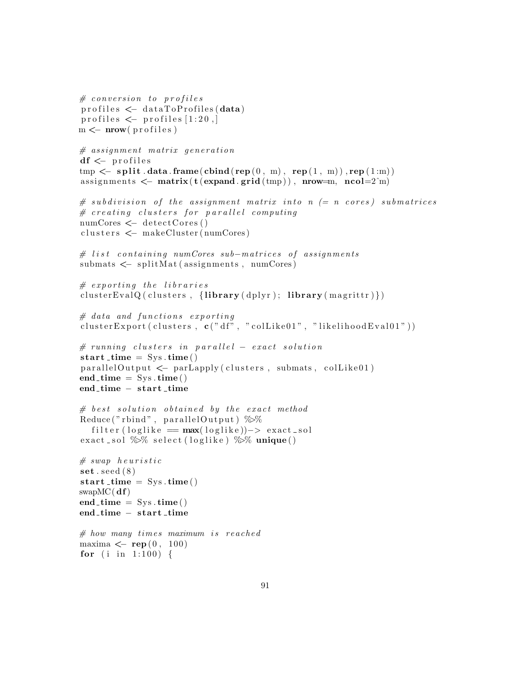```
# conversion  to profilesprofiles \leq data ToProfiles (data)profiles \leftarrow profiles [1:20,m \leftarrow mow(profiles))# assignment matrix generation
df \leftarrow profiles
tmp \leftarrow split.data-frame(cbind(rep(0, m), rep(1, m)), rep(1:m))assignments \leq matrix(t(expand.grid(tmp)), nrow=m, ncol=2^m)
\# subdivision of the assignment matrix into n (= n cores) submatrices
# creating clusters for parallel computing
numCores \leftarrow detectCores()clusters \leftarrow makeCluster (numCores)
# list containing numCores sub-matrices of assignments
submats < - splitMat (assignments, numCores)
# exporting the libraries
clusterEvalQ ( clusters, {library ( dplyr );}  library ( mapify( { marginitr }) )# data and functions exporting
clusterExport (clusters, c(" df", " collike01", "likelihoodEval01")))
# running clusters in parallel - exact solution
start_time = Sys.time()parallel Output \leftarrow parLapply (clusters, submats, colLike01)end_time = Sys.time()end_time – start_time
# best solution obtained by the exact methodReduce ("rbind", parallel Output) \%%
  filter (loglike = max(loglike))-> exact\_solexact_sol \% select (loglike) \% unique()
# \ swap \ heuristic\textbf{set}. seed (8)start_time = Sys.time()swapMC(<b>df</b>)end_time = Sys.time()end_time – start_time
# how many times maximum is reachedmaxima \leftarrow rep (0, 100)for (i in 1:100) {
```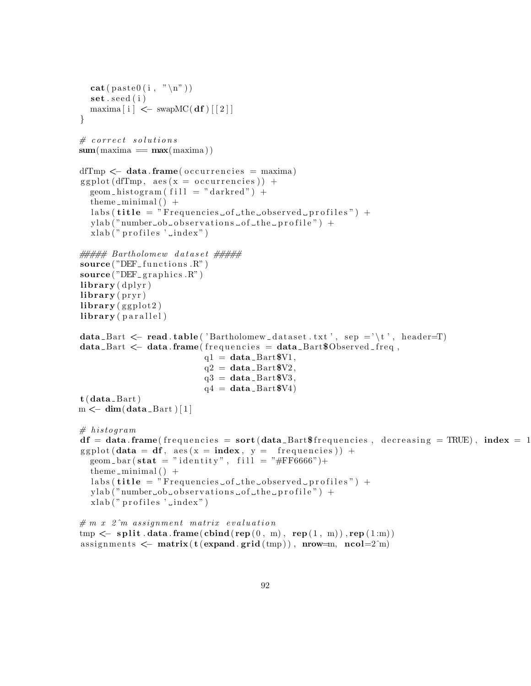```
cat ( p a s t e 0 ( i , "\n" ) )
   \mathbf{set}. \mathbf{seed}(i)\text{maxima} \left[ \text{ i } \right] \leq - \text{ swapMC}(\text{ df}) \left[ \left[ 2 \right] \right]}
# \ correct \ solutionssum(maxima == max(maxima))dfTmp \leftarrow data . frame(occurrence is = maxima)ggplot(dfTmp, aes(x = occurrence is)) +geom histogram (fill = "darkred") +
   theme_minimal() +
   \text{labels}(\text{title} = "Frequencies \_of \_the \_observed \_profile") +y \, lab("number<sub>o</sub> observations<sub>o</sub> of<sub>o</sub> the <sub>o</sub> profile") +x \, lab("profiles '...index")###### Bartholomew dataset #####
source("DEF_functions.R")source("DEF_{graphics.R"})
\mathbf{library} (\mathrm{dplyr})\mathbf{library} (\operatorname{pryr})\mathbf{library} (ggplot2)
library (parallel)
data_Bart \leq read . table ( 'Bartholomew_dataset . txt', sep ='\t', header=T)
data_Bart < - data frame(frequencies = data Bart$Observed freq,
                                  q1 = data_Bart$V1,q2 = data_Bart$V2,
                                  q3 = data_Bart8V3,
                                  q4 = \text{data} - \text{Bart}\$V4t (data_Bart)
m \leftarrow \text{dim}(\text{data}\,\text{-}\,\text{Bart}) [1]
# histogram
df = data frame (frequencies = sort(data_Bart$frequencies, decreasing = TRUE), index = 1ggplot (data = df, \text{aes}(x = index, y = frequencies)) +geom bar(\text{stat} = "identity", fill = "#FF6666")+theme_minimal() +
   \text{labels}(\text{title} = "Frequencies \lrcorner \text{of} \lrcorner \text{the} \lrcorner \text{observed} \lrcorner \text{profiles"}) +ylab ("number_ob_observations_of_the_profile") +
   x \, lab("profiles 'limits')# m x 2<sup>2</sup> m assignment matrix evaluation
```

```
tmp < -split . data . frame(cbind(rep(0, m), rep(1, m)), rep(1:m))
assignments \leq matrix(t(expand.grid(tmp)), nrow=m, ncol=2^m)
```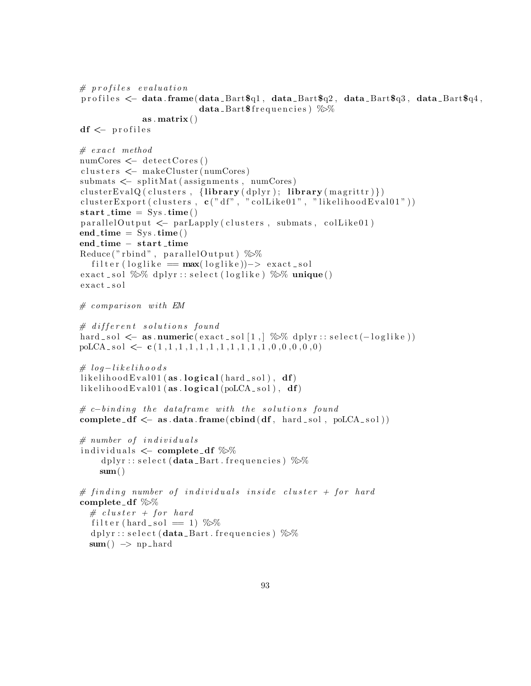```
# profiles evaluation
profiles \leq data frame(data Bart\ q1, data Bart\ q2, data Bart\ q3, data Bart\ q4,
                           data_Bart\ frequencies) %as . matrix ()df \leftarrow profiles
# \, exact \, methodnumCores < detectCores ()
\text{clusters} \leq \text{makeCluster}(\text{numCores})submats < - splitMat(assignments, numCores)
\text{clusterEvalQ}(\text{clusters}, \{\text{library}(\text{dplyr}); \text{ library}(\text{margin})\})clusterExport ( clusters, c("df", "collike01", "likelihoodEval01"))start_time = Sys.time()parallel Output \leftarrow parLapply(clusters, submats, colLike01)end_time = Sys.time()end_time - start_time
Reduce ("rbind", parallel Output) \%%
  filter (loglike = max(loglike))-> exact\_solexact_sol \% dplyr:: select (loglike) \% unique()
\texttt{exact} sol
# comparison with EM\# different solutions found
hard sol \leq as . numeric(\text{exact}\,sol[1,]\, %% dplyr :: select(-loglike))
polCA<sub>-</sub> sol <math>\leftarrow</math> c(1,1,1,1,1,1,1,1,1,1,1,1,0,0,0,0,0)\# log-like l i ho o d s
likelihoodEval01(as, logical(hard_sol), df)likelihoodEval01(as.logical(poLCA_sol), df)# c{\text -}binding the dataframe with the solutions found
complete_df \leq as . data . frame(cbind(df, hard_sol, poLCA_sol))
# number of individual sindividuals \leftarrow complete_df \%d plyr :: select (data_Bart . frequencies) \%%
    sum()# finding number of individuals inside cluster + for hard
complete df \gg\# cluster + for hard
  filter (hard_sol == 1) \%dplyr::select(<b>data</b> _<b>Bart</b>. frequencies) %sum() \rightarrow np_{\text{-}}hard
```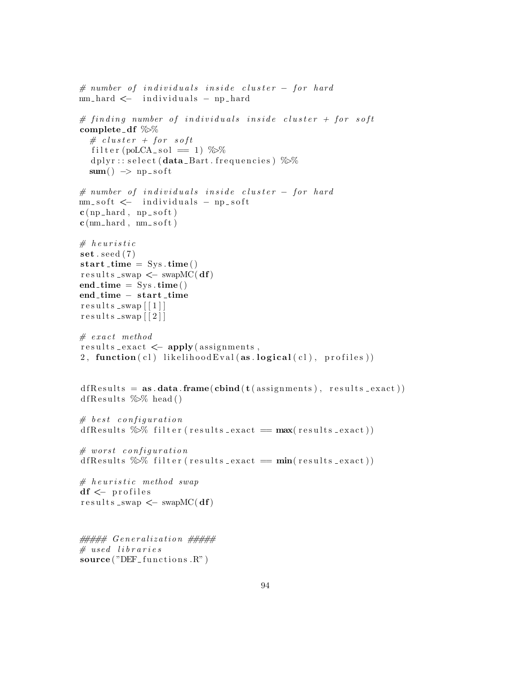```
# number of individuals inside cluster - for hardnm_hard <− individuals - np_hard
# finding number of individuals inside cluster + for soft
complete df \gg# cluster + for softfilter (poLCA_sol = 1) \%%
  d plyr :: s e lect (data _Bart . frequencies) \%sum() \Rightarrow np\_soft# number of individuals inside cluster - for hardnm_soft <− individuals - np_soft
c (np _hard, np _soft)
c (nm hard, nm soft)
# heuristic
\textbf{set}. seed (7)start_time = Sys.time()r \cdot s \cdot ults _swap < \leq swapMC(df)
end_time = Sys.time()end_time – start_time
results _swap \lceil 1 \rceil ]
results _swap \lceil 2 \rceil]
# exact methodresults = exact \leftarrow apply(assignments,
2, function (cl) likelihood Eval (as. logical(cl), profiles)
d f R e sult s = as. data. frame (cbind (t (assignments), result s _exact))
d f R e sults \% head ()
# best configurationd f R e sults \% filter (results exact = max(results exact))
# worst\ configurationd f R e sults \% filter (results exact = \min(\text{results} \text{-} \text{exact})))
# heuristic method swap
df \leftarrow profiles
r e s u l t s swap <− swapMC( df)
# # # # G en er ali z ati on # # # # ## used libraries
```

```
source("DEF_functions.R")
```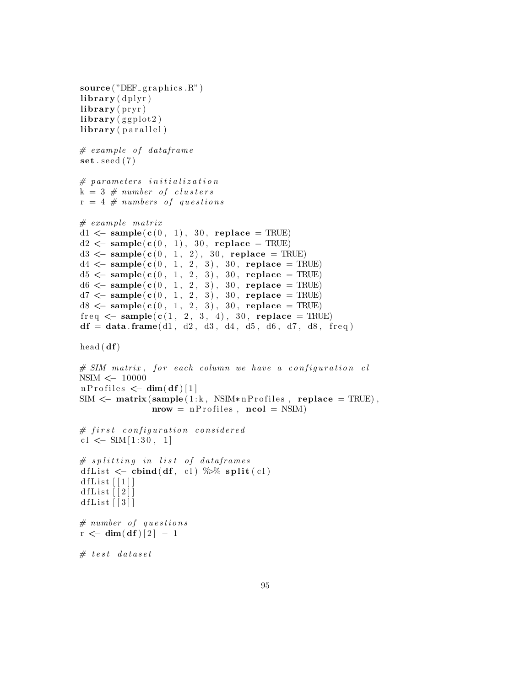```
source("DEF_{graphics.R"})\mathbf{library} (\mathrm{dplyr})\mathbf{library} (\text{ pryr})\mathbf{library} (ggplot2)
library (parallel)
# \hspace{.1cm} example \hspace{.1cm} of \hspace{.1cm} data frame\textbf{set}. seed (7)# parameters initialization
k = 3 # number of clusters
r = 4 \# numbers of questions# example matrixd1 \leftarrow sample(c(0, 1), 30, replace = TRUE)
d2 \leq -\text{ sample}(c(0, 1), 30, \text{ replace } = \text{TRUE})d3 \leq - \text{sample}(c(0, 1, 2), 30, \text{ replace } = \text{TRUE})d4 \leq - \text{sample}(c(0, 1, 2, 3), 30, \text{ replace } = \text{TRUE})d5 < - sample(c(0, 1, 2, 3), 30, replace = TRUE)
d6 <- sample(c(0, 1, 2, 3), 30, replace = TRUE)
d7 < - sample(c(0, 1, 2, 3), 30, replace = TRUE)
d8 < - sample(c(0, 1, 2, 3), 30, replace = TRUE)
freq \leq sample(c(1, 2, 3, 4), 30, replace = TRUE)df = data frame(d1, d2, d3, d4, d5, d6, d7, d8, freq)head(df)\# SIM matrix, for each column we have a configuration cl
NSIM <− 10000
n P r o files \leftarrow dim(df)[1]
SIM \leq matrix (sample (1:k, NSIM*nProfiles, replace = TRUE),
                 nrow = nProfiles, ncol = NSIM)# first configuration considered
cl \leftarrow SIM [1:30, 1]
# splitting in list of dataframes
dfList \leftarrow cbind(df, cl) %% split(cl)
d f List \lceil 1 \rceild f L i s t \lceil 2 \rceildfList[[3]]# number of questionsr < -\dim(\mathrm{d}f)[2] - 1# test dataset
```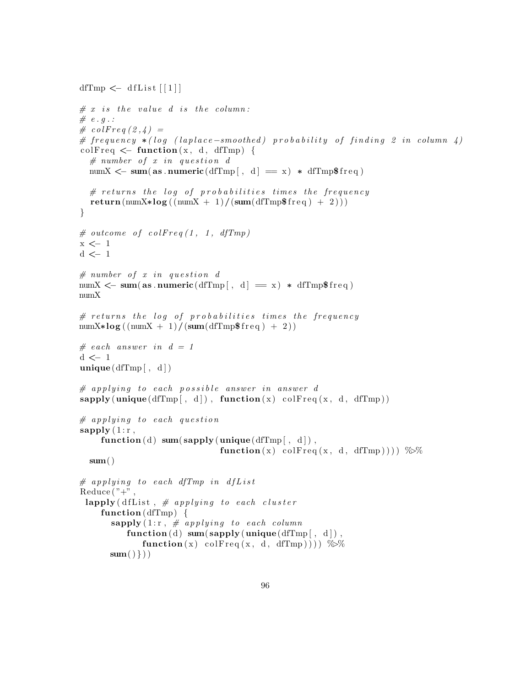```
dfTmp \leftarrow dfList \lceil 1 \rceil
```

```
# x is the value d is the column:
# e.g.:\#\; colFreq\; (2,4) =# frequency *(log (laplace-smoothed) probability of finding 2 in column 4)colFreq \leq function (x, d, dfTmp) {
  # number of x in question dnumX \leftarrow sum(as . numeric(dfTmp[, d] = x) * dfTmp$ freq)
  # returns the log of probabilities times the frequency
  return (\text{numX} * \log((\text{numX} + 1) / (\text{sum}(\text{dfTmp$freq}) + 2)))}
# outcome of colFreq(1, 1, dfTmp)
x <− 1
d \leq 1# number of x in question dnumX \leftarrow sum(as . numeric(dfTmp[, d] = x) * dfTmp$freq)
numX
# returns the log of probabilities times the frequency
numX∗log ((numX + 1)/(sum(dfTmp$ freq) + 2))
\# each answer in d = 1d <− 1
unique(dfTmp[ , d])# applying to each possible answer in answer d
\text{supply}(\text{unique}(\text{dTmp}[\, , \, d]), \text{function}(x) \text{ colFreq}(x, d, d\text{fTmp}))# applying to each question
sapply(1:r,function (d) sum(sapply (unique(dfTmp[, d]),function(x) \cdot colFreq(x, d, dTmp))) %%
  sum()# applying to each dfTmp in dfL ist
Reduce("+",lapply (dfList, # applying to each cluster
    function (dfTmp) \{\textbf{supply} (1:\text{r}, \# \text{ applying to each column})function (d) sum(sapply (unique(dfTmp[, d]),function(x) colFreq(x, d, dfTmp))) \%sum() \})
```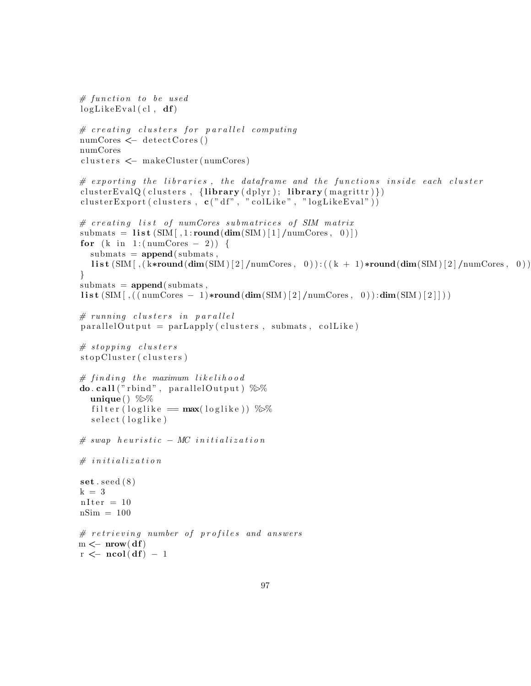```
# function to be usedlogLikeEval(cl, df)# creating clusters for parallel computing
numCores \leq -\text{detectCores}()numCores
clusters \leftarrow makeCluster (numCores)
# exporting the libraries, the dataframe and the functions inside each cluster
cluster EvalQ ( clusters, \{ library ( dplyr ); library ( magrittr ) })
clusterExpert ( clusters, c("df", "colllike", "logLikeEval"))# creating list of numCores submatrices of SIM matrix
submats = list (SIM[, 1:round(dim(SIM)[1]/numCores, 0)])for (k \in ]1:(numCores - 2)) {
  submats = append(submats,list (SIM [\, , (k*round(dim(SIM) [2] /numCores, 0)): ((k + 1)*round(dim(SIM) [2] /numCores, 0))}
submats = append(submats,list (SIM[ , ((numCores - 1) * round(dim(SIM)[2] / numCores, 0)) : dim(SIM)[2]])# running clusters in parallel
parallel Output = parLapply (clusters, submats, colLike)# stopping\ clustersstopCluster (clusters)# finding the maximum likelihood
do. call ("rbind", parallelOutput) %%
  unique ( ) \%filter (loglike = max(loglike)) %%
  s e lect (loglike)
# swap \ heuristic - MC \ initialization# in itialization
set . seed (8)k = 3nIter = 10nSim = 100# retrieving number of profiles and answers
m \leftarrow nrow(df)r \leftarrow \text{ncol}(df) - 1
```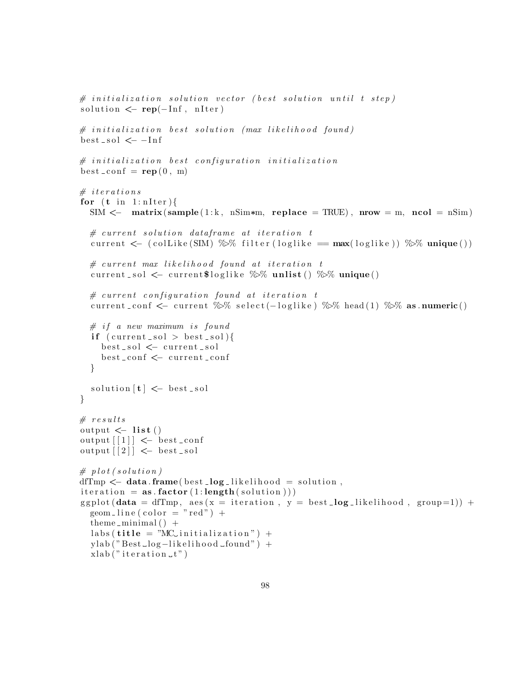```
\# initialization solution vector (best solution until t step)
solution \leftarrow \text{rep}(-\text{Inf}, \text{nIter})\# initialization best solution (max likelihood found)
best\_sol \leq -Inf# initialization best configuration initialization
best\_conf = rep(0, m)# iterations
for (t \text{ in } 1 \text{: nIter})SIM \leq matrix(sample(1:k, nSim*m, replace = TRUE), nrow = m, ncol = nSim)
  # current solution data frame at iteration tcurrent \leftarrow (colLike (SIM) %% filter (loglike = max(loglike)) %% unique())
  # current max likelihood found at iteration t
  current_sol \leq current$loglike \%% unlist() \%% unique()
  # current\ configuration\ found\ at\ iteration\ tcurrent_conf <- current %>% select(-loglike) %>% head(1) %>% as .numeric()
  # if a new maximum is found
  if (current_sol > best_sol){
    best_sol <− current_sol
    best_conf <- current_conf
  }
  solution [t] \leftarrow best sol
}
# results
output \leftarrow list ()
output \left[ \begin{array}{c} 1 \end{array} \right] \leftarrow best_conf
output [2] \leftarrow best_sol
# plot (solution)
dfTmp \leq data frame(best _log_likelihood = solution,
iteration = as.factor(1:length(solution)))ggplot(data = dfTmp, aes(x = iteration, y = best_log_likelihood, group=1)) +geom\_line (color = "red") +theme_minimal() +\text{labels}(\text{title} = \text{"MC} \text{initialization"} ) +ylab("Best\_log-likelihood\_found") +x \,lab ("iteration -t")
```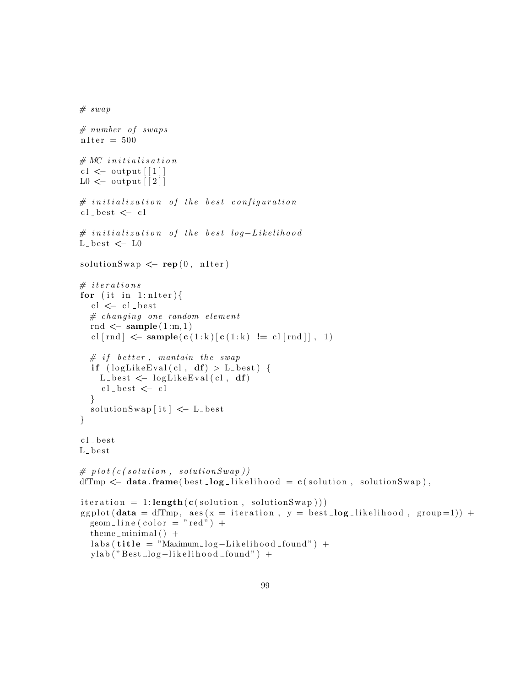```
# \, swap# number of swapsnIter = 500# MC initialisation
cl \lt output \lceil 1 \rceilL0 \leftarrow output \lceil 2 \rceil# initialization of the best configurationcl\_best \leq -cl# initialization of the best log-LikelihoodL_b = t \leftarrow L0solutionSwap \leftarrow \text{rep}(0, \text{nIter})# iterations
for (it \in i n 1: nIter) {
  cl \leftarrow cl\_best# changing one random elementrnd \leq sample (1:m,1)cl [rnd] \leftarrow sample(c(1:k)[c(1:k) != cl[rnd]], 1)
  # if better, maintain the swapif (\text{logLikeEval}(c), df) > L_{best} {
    L best \leftarrow logLikeEval(cl, df)
     cl_best \ensuremath{\leftarrow} cl
  }
  solutionSwap[i] \leftarrow L_best}
cl_best
L_{-}best# plot(c(solution, solution, solutionSwap))dfTmp \leftarrow data.frame(best_log_likelihood = c(solution, solutionSwap),
iteration = 1:length(c(solution, solutionSwap)))ggplot (data = dfTmp, aes (x = iteration, y = best_log\_likelihood, group=1)) +geom\_line (color = "red") +theme_minimal() +
  \text{labels}(\text{title} = "Maximum\_log-Likelihood\_found") +ylab("Best\_log-likelihood\_found") +
```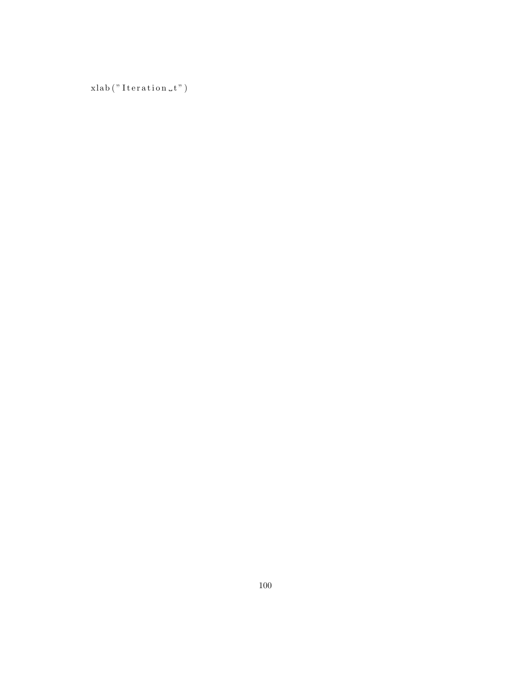xlab ("Iteration $\llcorner t"$ )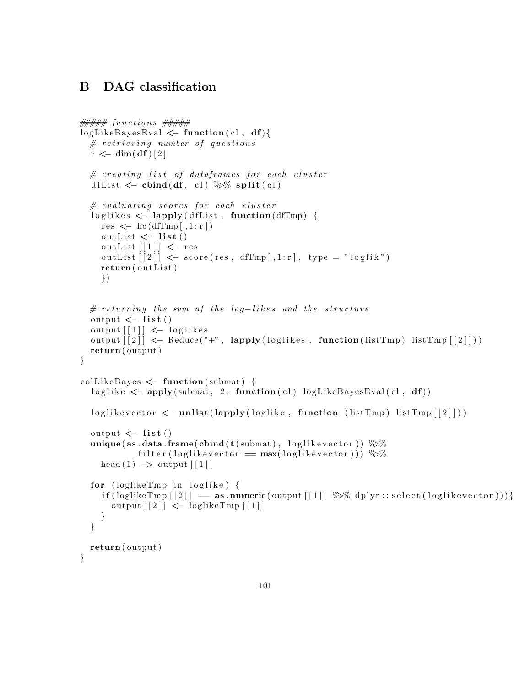# B DAG classification

```
\# \# \# \# \# functions \# \# \# \#logLikeBayesEval \leftarrow function (cl, df){
  # retrieving number of questions
  r \leftarrow dim(df)[2]# creating list of dataframes for each cluster
  d f L ist \langle -\text{cbind}(\text{df}, \text{cl}) \rangle \gg split (\text{cl})# evaluating scores for each cluster
  loglikes < - lapply (dfList, function (dfTmp) {
     res \leq -\mathrm{hc}(\mathrm{dfTmp}[\cdot,1:\mathrm{r}])outList \leftarrow list ()
     outList [[1]] \leftarrow \text{res}outList[[2]] \leq score(res, dfTmp[, 1:r], type = "loglik")return (outList)})
  # returning the sum of the log-likes and the structure
  output \leftarrow list ()
  output [1] \leftarrow loglikes
  output \lceil 2 \rceil \rceil \leq Reduce \binom{n}{r}, lapply (loglikes, function (list Tmp) list Tmp \lceil 2 \rceil))
  return ( output )
}
\text{colllikeBayes} \leq \text{function}(\text{submat}) {
  loglike \leq -apply(submat, 2, function(c1) logLikeBayesEval(c1, df))loglikevector \leftarrow \textbf{unlist}(lapply(loglike, function (listTmp) listTmp[[2]]))output \leftarrow list ()
  unique(as.data frame(cbind(t(submat), loglikevector)) %filter (loglikevector = max(loglikevector)) %%
     head (1) \rightarrow output \lceil 1 \rceilfor (loglikeTmp in loglike) {
     \textbf{if}(\text{loglikeTmp }[[2]]) = \textbf{as}.\textbf{numeric}(\text{output }[[1]]) \text{ %}\text{ % } \text{dplyr}::\text{select}(\text{loglikevector})))\}output \lceil 2 \rceil \leq loglikeTmp \lceil 1 \rceil}
  }
  return ( output )
}
```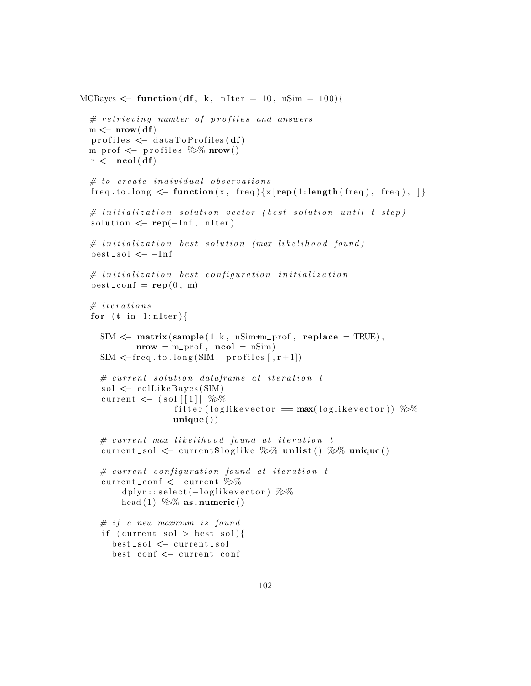```
MCBayes \mathcal{L} function (df, k, nIter = 10, nSim = 100) {
  # retrieving number of profiles and answers
  m \leftarrow nrow(df)\text{profiles} \leftarrow \text{dataToProfiles}(\text{df})m_prof \leq profiles \% mrow()
  r \leftarrow \text{ncol}(df)# to create individual observationsfreq.to.long \leftarrow function (x, \text{ freq})\{x \mid \text{rep}(1:\text{length}(\text{ freq}), \text{ freq}), \}\# initialization solution vector (best solution until t step)
  solution \leftarrow \text{rep}(-\text{Inf}, \text{nIter})# initialization best solution (max likelihood found)best\_sol \leq -Inf#initialization\; best\; configuration\; initializationbest\_conf = rep(0, m)# iterations
  for (t \text{ in } 1 \text{: nIter})SIM \leq matrix (sample (1:k, nSim*m_prof, replace = TRUE),
             \textbf{mrow} = \text{m}_{\text{p}} \text{pof}, \textbf{ncol} = \text{nSim}SIM < -freq . to . long (SIM, profiles [ , r+1])# current solution data frame at iteration tsol \leftarrow collike Bayes (SIM)
     current \leftarrow (sol [[1]] %%
                      filter (loglikevector = max(loglikevector)) %%
                      unique()# current max likelihood found at iteration t
    current sol \leq current $loglike \% unlist () \% unique ()
    # current\ configuration\ found\ at\ iteration\ tcurrent_conf \leq current %%
          dplyr::select(-loglikevector) %
         head (1) %% as . numeric ()
    # if a new maximum is found
    if (current_sol > best_sol){
       best_sol <− current_sol
       best_conf <- current_conf
```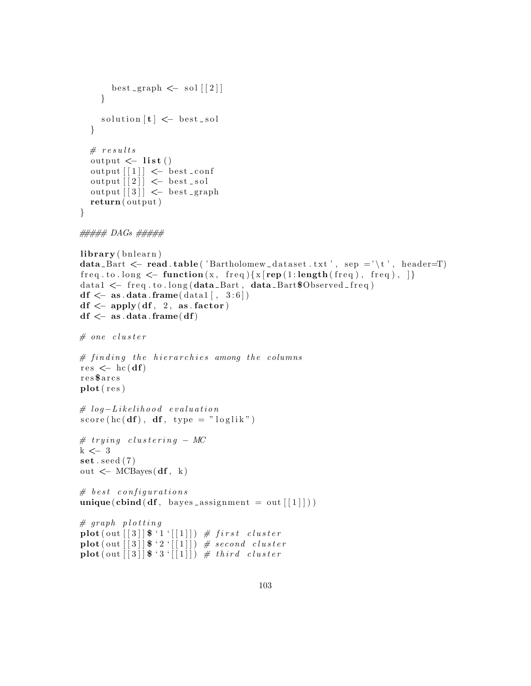```
best graph \leq sol \lceil 2 \rceil}
       solution[t] \leftarrow best\_sol}
   # results
   output \leftarrow list ()
    output \left[ \begin{array}{c} 1 \end{array} \right] \leftarrow best_conf
   output \lceil 2 \rceil \leq best _sol
   output \begin{bmatrix} 3 \\ 1 \end{bmatrix} \leftarrow best graph
   return ( output )
}
```

```
##### DAGs #####
```

```
\mathbf{library} (b + n)
```

```
data_Bart \leq read . table ( 'Bartholomew_dataset . txt', sep ='\t', header=T)
freq. to. long < \text{\textendash} function(x, freq) \{x[\text{rep}(1:\text{length}(freq), freq),\text{freq})\},data1 \leq freq.to.long(data_Bart, data_Bart$Observed-free)
df \leftarrow as.data frame(data1[, 3:6])df \leftarrow apply(df, 2, as.factor)df \leftarrow as.data frame(df)# one cluster
# finding the hierarchies among the columns
res \leftarrow hc(df)r e s $ a r c s
plot(res)# log-Likelihood evaluation
score(hc(df), df, type = "loglik")# trying clustering -MCk \leq -3\textbf{set}. seed (7)out \leftarrow MCBayes(df, k)
# best \ configurationsunique( \text{cbind}(df, \text{ bayes} \_ \text{assignment} = out[[1]]))# graph plottingplot( out [ [ 3 ] \  \ 1 \' [ [ 1 ] ) \# first cluster\overrightarrow{\text{plot}}(\overrightarrow{\text{out}} \mid [3] | \ \frac{2}{3} \cdot \left[\begin{bmatrix}1\end{bmatrix} \right] \frac{2}{7} second cluster
\textbf{plot}(\text{out}[[3]]\<sup>4</sup> 3 '[[1]]) # third cluster
```